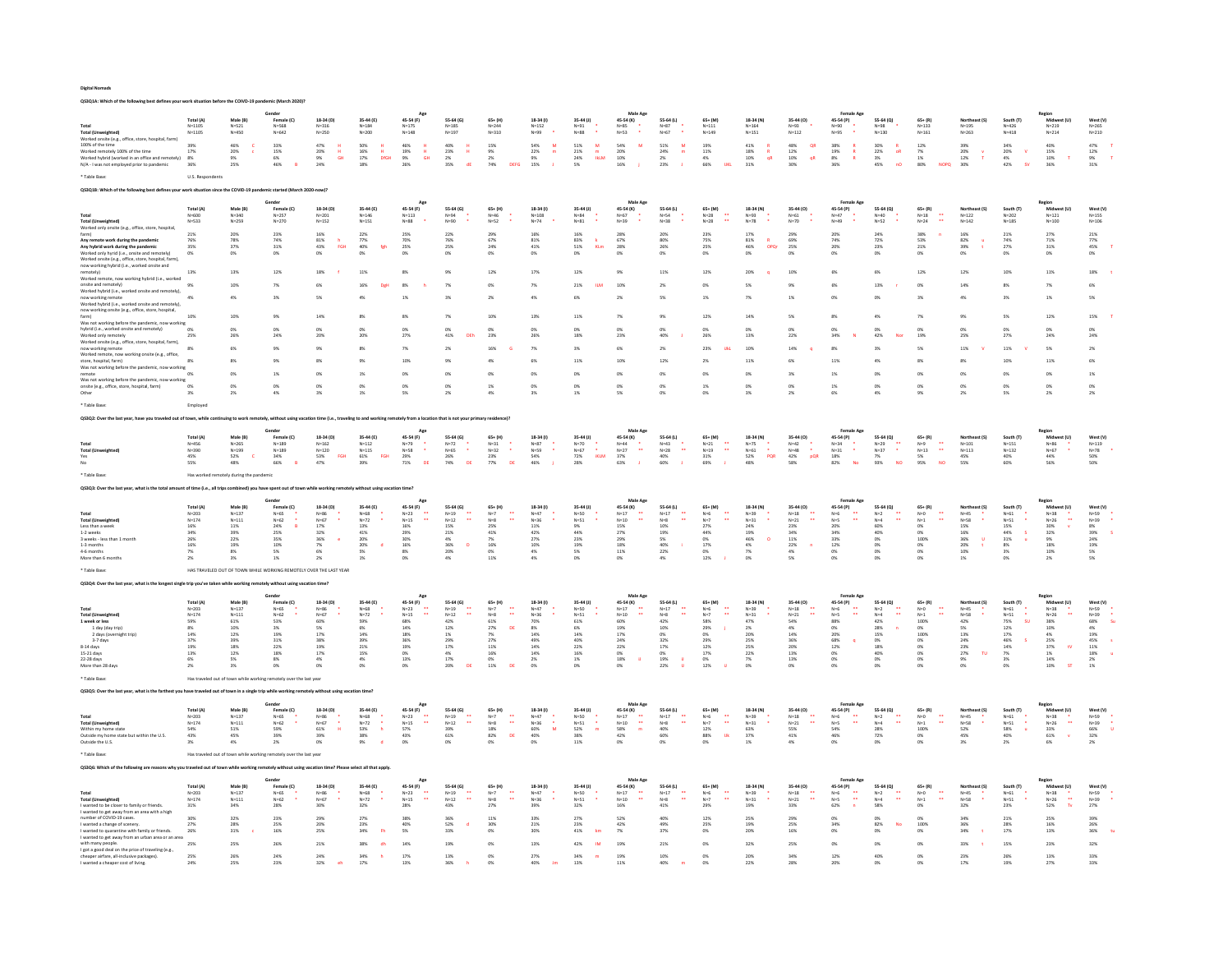| QS3Q1A: Which of the following best defines your worl                                                                  |                          |                                         |                                                                                                           |                                                            |                                        |                                            |                                            |                                                    |                                   |                           |                                                                          |                                                |                                              |                               |                                                      |                                          |                                          |                                                                                                  |                            |                                        |                                                                              |                                            |
|------------------------------------------------------------------------------------------------------------------------|--------------------------|-----------------------------------------|-----------------------------------------------------------------------------------------------------------|------------------------------------------------------------|----------------------------------------|--------------------------------------------|--------------------------------------------|----------------------------------------------------|-----------------------------------|---------------------------|--------------------------------------------------------------------------|------------------------------------------------|----------------------------------------------|-------------------------------|------------------------------------------------------|------------------------------------------|------------------------------------------|--------------------------------------------------------------------------------------------------|----------------------------|----------------------------------------|------------------------------------------------------------------------------|--------------------------------------------|
|                                                                                                                        |                          |                                         | Gende                                                                                                     |                                                            |                                        |                                            |                                            |                                                    |                                   |                           | Male Age                                                                 |                                                |                                              |                               |                                                      | Female Ago                               |                                          |                                                                                                  |                            |                                        |                                                                              |                                            |
|                                                                                                                        | Total (A)                | Male (B)                                | Female (C)                                                                                                | 18-34 (D)                                                  | 35-44 (E)                              | 45-54 (F)                                  | 55-64 (G)                                  | $65+$ (H                                           | 18-34 (1)                         | 35-44 (J)                 | 45-54 (K)                                                                | 55-64 (L)                                      | $65+ (M)$                                    | 18-34 (N)                     | 35-44 (0)                                            | 45-54 (P)                                | 55-64 (Q)                                | $65 + (R)$                                                                                       | rtheast (S)                | South (T)                              | -<br>Midy                                                                    | West (V)                                   |
| <b>Total (Unweighted)</b>                                                                                              | $N = 1105$<br>$N = 1105$ | $N = 521$<br>N=450                      | $N = 568$<br>$N = 642$                                                                                    | $N = 316$<br>$N = 250$                                     | $N = 184$<br>$N = 200$                 | $N = 175$<br>$N = 148$                     | $N = 185$<br>$N = 197$                     | $N = 244$<br>$N = 310$                             | $N = 152$<br>$N = 99$             | $N = 91$<br>$N=88$        | $N = 85$<br>$N = 53$                                                     | $N=87$<br>$N = 67$                             | $N = 111$<br>$N = 149$                       | $N = 164$<br>$N = 151$        | $N = 93$<br>$N = 112$                                | $N = 90$<br>$N = 95$                     | $N = 98$<br>$N = 130$                    | $N = 133$<br>$N = 161$                                                                           | $N = 195$<br>$N = 263$     | $N = 426$<br>$N = 418$                 | $N = 219$<br>$N = 214$                                                       | $N = 265$<br>$N = 210$                     |
| Worked onsite (e.g., office, store, hospital, farm)                                                                    |                          |                                         |                                                                                                           |                                                            |                                        |                                            |                                            |                                                    |                                   |                           |                                                                          |                                                |                                              |                               |                                                      |                                          |                                          |                                                                                                  |                            |                                        |                                                                              |                                            |
| 100% of the time<br>Worked remotely 100% of the time                                                                   | 39%<br>17%               | 46%<br>20%                              | 33%<br>15%                                                                                                | 47%<br>20%<br>H                                            | sow<br>16%<br>н                        | 46%<br>19%<br>H.                           | 40%<br>23%                                 | 15%<br>9%                                          | 54%<br>$\overline{M}$<br>22%<br>m | 51%<br>M<br>21%<br>m      | 54%<br>20%                                                               | 51%<br>$\overline{M}$<br>24%<br>m              | 19%<br>11%                                   | 41%<br>18%<br>$\mathbb{R}$    | 48%<br>OR<br>$12\%$                                  | 38%<br>19%                               | 30%<br>22%<br>oR                         | 12%<br>7%                                                                                        | 39%<br>20%                 | 34%<br>20%<br>.v                       | 40%<br>15%                                                                   | 47%<br>12%                                 |
| Worked hybrid (worked in an office and remotely)                                                                       | 8%                       | <b>Q</b> <sub>K</sub>                   | 6%                                                                                                        | 9%<br>24%<br>GH                                            | 17%<br>DfGH                            | 9%<br>26%<br><b>GH</b>                     | $2\%$                                      | $2\%$                                              | $9\%$                             | 24%<br><b>IREM</b>        | 10%                                                                      | $2\%$                                          | a%                                           | 10%<br>qR                     | $10\%$<br>$\mathsf{q}\mathsf{R}$                     | 8%<br>36%                                | $\frac{3\%}{45\%}$                       | $1\%$                                                                                            | 12%                        | 4%                                     | 10%                                                                          | 9%<br>31%                                  |
| N/A - I was not employed prior to pandemic                                                                             | 36%                      | 25%                                     | 46%                                                                                                       |                                                            | 18%                                    |                                            | dE<br>35%                                  | DEFG<br>74%                                        | 15%                               | 5%                        | 16%                                                                      | 23%                                            | 66%<br>UKL                                   | $31\%$                        | 30%                                                  |                                          | nO                                       | 80%<br><b>NOPO</b>                                                                               | 30%                        | 42%                                    | 36%                                                                          |                                            |
| Table Base:                                                                                                            | U.S. Respondents         |                                         |                                                                                                           |                                                            |                                        |                                            |                                            |                                                    |                                   |                           |                                                                          |                                                |                                              |                               |                                                      |                                          |                                          |                                                                                                  |                            |                                        |                                                                              |                                            |
|                                                                                                                        |                          |                                         |                                                                                                           |                                                            |                                        |                                            |                                            |                                                    |                                   |                           |                                                                          |                                                |                                              |                               |                                                      |                                          |                                          |                                                                                                  |                            |                                        |                                                                              |                                            |
| Q\$3Q1B: Which of the following best defines your work situation since the COVID-19 pandemic started (March 2020-now)? |                          |                                         |                                                                                                           |                                                            |                                        |                                            |                                            |                                                    |                                   |                           |                                                                          |                                                |                                              |                               |                                                      |                                          |                                          |                                                                                                  |                            |                                        |                                                                              |                                            |
|                                                                                                                        |                          |                                         |                                                                                                           |                                                            |                                        | Ap                                         |                                            |                                                    |                                   |                           | Male Age                                                                 |                                                |                                              |                               |                                                      | Female Ag                                |                                          |                                                                                                  |                            |                                        | Region                                                                       |                                            |
| Total                                                                                                                  | Total (A)<br>$N = 600$   | Male (B)<br>$N = 340$                   | Female (C)<br>$N = 257$                                                                                   | 18-34 (D)<br>$N = 201$                                     | 35-44 (E)<br>$N = 146$                 | 45-54 (F)<br>$N = 113$                     | 55-64 (G)<br>$N = 94$                      | $65 + (H)$<br>$N = 46$                             | 18-34 (1)<br>$N = 108$            | 35-44 (J)<br>$N = 84$     | 45-54 (K)<br>$N = 67$                                                    | 55-64 (L)<br>$N = 54$                          | $65 + (M)$<br>$N=28$                         | 18-34 (N)<br>$N = 93$         | 35-44 (0)<br>$N = 61$                                | 45-54 (P)<br>$N = 47$                    | 55-64 (Q)<br>$N = 40$                    | $65 + (R)$<br>$N=18$                                                                             | Northeast (S)<br>$N = 122$ | South (T)<br>$N = 202$                 | Midwest (U<br>$N = 121$                                                      | West (V)<br>$N = 155$                      |
|                                                                                                                        | $N = 533$                | $N = 259$                               | $N = 270$                                                                                                 | $N = 152$                                                  | $N = 151$                              | $N = 88$                                   | $N = 90$                                   | $N = 52$                                           | $N=74$                            | $N = 81$                  | $N = 39$                                                                 | $N = 38$                                       | $N=28$                                       | $N = 78$                      | $N=70$                                               | $N = 49$                                 | $N = 52$                                 | $N=24$<br>$\ddot{\phantom{1}}$                                                                   | $N = 142$                  | $N = 185$                              | $N = 100$                                                                    | $N = 106$                                  |
| Total (Unweighted)<br>Worked only onsite (e.g., office, store, hospita                                                 |                          |                                         |                                                                                                           |                                                            |                                        |                                            |                                            |                                                    |                                   |                           |                                                                          |                                                |                                              |                               |                                                      |                                          |                                          |                                                                                                  |                            |                                        |                                                                              |                                            |
| farm)<br>Any remote work during the pandemi                                                                            | 21%<br>76%               | 20%<br>78%                              | 23%<br>74%                                                                                                | 16%<br>$81\%$                                              | 22%<br>77%                             | 25%<br>70%                                 | 22%<br>76%                                 | 29%<br>67%                                         | 16%<br>$81\%$                     | 16%<br>$83\%$             | 28%<br>67%                                                               | 20%<br>80%                                     | 22%<br>75%                                   | 17%<br>$81\%$<br>$\mathbb{R}$ | 29%<br>69%                                           | 20%<br>74%                               | 24%<br>$72\%$                            | 38%<br>$53\%$                                                                                    | 16%<br>$82\%$<br><b>u</b>  | 21%<br>$74\%$                          | 27%<br>$71\%$                                                                | 21%<br>$77\%$                              |
| Any hybrid work during the pandemic                                                                                    | 35%                      | 37%                                     | 31%                                                                                                       | 43%<br>FGH                                                 | 40%<br>feh                             | 25%                                        | 25%                                        | 24%                                                | 41%                               | 51%<br>KLm                | 28%                                                                      | 26%                                            | 25%                                          | 46%<br>OPOr                   | 25%                                                  | 20%                                      | 23%                                      | 21%                                                                                              | 39%                        | 27%                                    | 31%                                                                          | 45%                                        |
| Worked only hyrid (i.e., onsite and remotely)                                                                          | 0%                       | 0%                                      | 0%                                                                                                        | 0%                                                         | O%                                     | 0%                                         | 0%                                         | 0%                                                 | 0%                                | O%                        | 0%                                                                       | 0%                                             | 0%                                           | 0%                            | 0%                                                   | 0%                                       | 0%                                       | 0%                                                                                               | 0%                         | 0%                                     | 0%                                                                           | O%                                         |
| Worked onsite (e.g., office, store, hospital, farm),<br>now working hybrid (i.e., worked onsite and                    |                          |                                         |                                                                                                           |                                                            |                                        |                                            |                                            |                                                    |                                   |                           |                                                                          |                                                |                                              |                               |                                                      |                                          |                                          |                                                                                                  |                            |                                        |                                                                              |                                            |
| remotely)                                                                                                              | 13%                      | 13%                                     | 12%                                                                                                       | 18%                                                        | 11%                                    | 8%                                         | 9%                                         | 12%                                                | 17%                               | 12%                       | 9%                                                                       | 11%                                            | 12%                                          | 20%                           | 10%                                                  | 6%                                       | 6%                                       | 12%                                                                                              | 12%                        | 10%                                    | 11%                                                                          | 18%                                        |
| Worked remote, now working hybrid (i.e., worked<br>onsite and remotely)                                                | 9%                       | 10%                                     | 7%                                                                                                        | 6%                                                         | 169                                    | 8%                                         | 7%                                         | 0%                                                 | $7\%$                             | 21%                       | 10%                                                                      | $2\%$                                          | 0%                                           | 5%                            | 9%                                                   | 6%                                       | 13%                                      | O%                                                                                               | 14%                        |                                        | $7\%$                                                                        | 6%                                         |
| Worked hybrid (i.e., worked onsite and remotely),                                                                      |                          |                                         |                                                                                                           |                                                            |                                        |                                            |                                            |                                                    |                                   |                           |                                                                          |                                                |                                              |                               |                                                      |                                          |                                          |                                                                                                  |                            |                                        |                                                                              |                                            |
| now working remote                                                                                                     | 4%                       | 4%                                      | 3%                                                                                                        | RM.                                                        | 4%                                     | 1%                                         | 3%                                         | 256                                                | 4%                                | 6%                        | 2%                                                                       | 5%                                             | 1%                                           | 7%                            | 1%                                                   | n%                                       | n%                                       | 3%                                                                                               | A%                         |                                        | 1%                                                                           | 5%                                         |
| Worked hybrid (i.e., worked onsite and remotely),<br>now working onsite (e.g., office, store, hospital,                |                          |                                         |                                                                                                           |                                                            |                                        |                                            |                                            |                                                    |                                   |                           |                                                                          |                                                |                                              |                               |                                                      |                                          |                                          |                                                                                                  |                            |                                        |                                                                              |                                            |
|                                                                                                                        | 10%                      | 10%                                     | 9%                                                                                                        | 14%                                                        | 8%                                     | 8%                                         | 7%                                         | 10%                                                | 13%                               | 11%                       | 7%                                                                       | 9%                                             | 12%                                          | 14%                           | 5%                                                   | $8\%$                                    | 4%                                       | 7%                                                                                               | 9%                         | 5%                                     | 12%                                                                          | 15%                                        |
| Was not working before the pandemic, now working<br>hybrid (i.e., worked onsite and remotely)                          | 0%                       | 0%                                      | 0%                                                                                                        |                                                            | O%                                     | 0%                                         | 0%                                         | 0%                                                 | 0%                                |                           | 0%                                                                       | 0%                                             | 0%                                           | 0%                            |                                                      | 0%                                       | 0%                                       |                                                                                                  |                            | O%                                     | 0%                                                                           | O%                                         |
| Worked only remotely                                                                                                   | 25%                      |                                         | 24%                                                                                                       |                                                            | 201                                    | 279                                        | 41%                                        | 23%                                                | 26%                               | 18%                       | 23%                                                                      | 40%                                            | 26%                                          | 13%                           | 22%                                                  | 34%                                      | 42%                                      |                                                                                                  | 25%                        | 279                                    | 24%                                                                          | 24%                                        |
| Worked onsite (e.g., office, store, hospital, farm),                                                                   |                          |                                         |                                                                                                           |                                                            |                                        |                                            |                                            |                                                    |                                   |                           |                                                                          |                                                |                                              |                               |                                                      |                                          |                                          |                                                                                                  |                            |                                        |                                                                              |                                            |
| now working remote<br>Worked remote, now working onsite (e.g., office,                                                 | 8%                       | 6%                                      | 9%                                                                                                        |                                                            | 8%                                     | 7%                                         | 2 <sup>5</sup>                             | 16%                                                | 7%                                | 3%                        | 6%                                                                       | 2 <sup>5</sup>                                 | 22%                                          | 10%                           | 14%                                                  |                                          |                                          | 5%                                                                                               | 11%                        | 11%                                    | 5%                                                                           | 2 <sub>0</sub>                             |
| store, hospital, farm)                                                                                                 | 8%                       | $8\%$                                   |                                                                                                           |                                                            | 9%                                     | 109                                        | 93                                         |                                                    | 6%                                | 11%                       | 10%                                                                      | 12%                                            | 2%                                           | 11%                           | 6%                                                   | 11%                                      | 4%                                       |                                                                                                  |                            | 103                                    | 11%                                                                          | 6%                                         |
| Was not working before the pandemic, now working                                                                       | 0%                       | 0%                                      | 1%                                                                                                        | ON                                                         | 1%                                     | 0%                                         | 0%                                         |                                                    |                                   | 0%                        | 0%                                                                       | 0%                                             | 0%                                           | 0%                            | 3%                                                   | 1%                                       | O%                                       |                                                                                                  |                            | O%                                     | 0%                                                                           | 1%                                         |
| remote<br>Was not working before the pandemic, now working                                                             |                          |                                         |                                                                                                           |                                                            |                                        |                                            |                                            |                                                    |                                   |                           |                                                                          |                                                |                                              |                               |                                                      |                                          |                                          |                                                                                                  |                            |                                        |                                                                              |                                            |
| onsite (e.g., office, store, hospital, farm)                                                                           | $\frac{0\%}{3\%}$        |                                         |                                                                                                           |                                                            | 0%<br>1%                               | 0%<br>5%                                   | OX                                         |                                                    |                                   | 0%<br>1%                  | 0%<br>5%                                                                 | 0%                                             | 1%                                           | O%                            |                                                      | 1%<br>6%                                 | 0%<br>4%                                 | 0%                                                                                               | 0%<br>2%                   |                                        | 0%<br>2%                                                                     | 0%<br>2%                                   |
| Other                                                                                                                  |                          |                                         |                                                                                                           |                                                            |                                        |                                            | 2%                                         |                                                    |                                   |                           |                                                                          |                                                |                                              | 3%                            |                                                      |                                          |                                          |                                                                                                  |                            | 5%                                     |                                                                              |                                            |
| * Table Base:                                                                                                          | Employee                 |                                         |                                                                                                           |                                                            |                                        |                                            |                                            |                                                    |                                   |                           |                                                                          |                                                |                                              |                               |                                                      |                                          |                                          |                                                                                                  |                            |                                        |                                                                              |                                            |
| QS3Q2: Over the last year, have you traveled out of town                                                               |                          |                                         |                                                                                                           | hout using vacation time (i.e., traveling to and working r |                                        |                                            | that is not vour primar                    |                                                    |                                   |                           |                                                                          |                                                |                                              |                               |                                                      |                                          |                                          |                                                                                                  |                            |                                        |                                                                              |                                            |
|                                                                                                                        |                          |                                         |                                                                                                           |                                                            |                                        |                                            |                                            |                                                    |                                   |                           |                                                                          |                                                |                                              |                               |                                                      |                                          |                                          |                                                                                                  |                            |                                        |                                                                              |                                            |
|                                                                                                                        |                          |                                         |                                                                                                           |                                                            |                                        |                                            |                                            |                                                    |                                   |                           | Male Ap                                                                  |                                                |                                              |                               |                                                      | Female Ago                               |                                          |                                                                                                  |                            |                                        | Region                                                                       |                                            |
| Total                                                                                                                  | Total (A)<br>N=456       | Male (B)<br>$N = 265$                   | Female (C)<br>$N = 189$                                                                                   | 18-34 (D)<br>$N = 162$                                     | 35-44 (E)<br>$N = 112$                 | 45-54 (F)<br>$N=79$                        | 55-64 (G)<br>$N=72$                        | 65+ (H)<br>$N = 31$                                | 18-34 (1)<br>$N=87$               | 35-44 (J)<br>$N=70$       | 45-54 (K)<br>$N = 44$                                                    | 55-64 (L)<br>$N = 43$                          | 65+ (M)<br>ă<br>$N = 21$                     | 18-34 (N)<br>$N=75$           | 35-44 (0)<br>$N=42$                                  | 45-54 (P)<br>$N = 34$                    | 55-64 (Q)<br>÷<br>$N=29$                 | $65+ (R)$<br>$N=9$                                                                               | $N = 101$                  | South (T)<br>$N = 151$                 | Midw<br>$N = 86$                                                             | West (V)<br>$N = 119$                      |
| <b>Total (Unweighted)</b>                                                                                              | $N = 390$                | $N = 199$                               | $N = 189$                                                                                                 | $N = 120$                                                  | $N=115$                                | $\bullet$<br>$N = 58$                      | $N = 65$                                   | ٠<br>$N = 32$                                      | $N = 59$                          | ÷.<br>$N = 67$            | $\bullet\bullet$<br>$N = 27$                                             | $\ddot{\phantom{a}}$<br>$N=28$                 | $N=19$                                       | $N = 61$                      | ÷.<br>$N=48$                                         | $N = 31$                                 | $N = 37$                                 | ÷.<br>$N = 13$                                                                                   | $N = 113$                  | $N = 132$                              | $N = 67$                                                                     | $N=78$ 50%                                 |
| Yes<br>No.                                                                                                             | 45%<br>55%               | 52%<br>$\mathbf{c}$<br>48%              | 34%<br>66%<br>$\overline{R}$                                                                              | 53%<br>FGH<br>47%                                          | $61\%$<br>FGH<br>39%                   | 29%<br>71%<br>DE                           | 26%<br>74%<br>DE                           | 23%<br>77%<br>DE                                   | 54%<br>46%                        | 72%<br><b>IKLM</b><br>28% | 37%<br>63%                                                               | 40%<br>60%                                     | 31%<br>69%                                   | 52%<br>PQR<br>48%             | 42%<br>pQR<br>58%                                    | 18%<br>82%<br>No                         | $7\%$<br>93%<br><b>NO</b>                | 5%<br>95%<br>$10$                                                                                | 45%<br>55%                 | 40%<br>60%                             | $44\%$<br>56%                                                                | 50%                                        |
|                                                                                                                        |                          |                                         |                                                                                                           |                                                            |                                        |                                            |                                            |                                                    |                                   |                           |                                                                          |                                                |                                              |                               |                                                      |                                          |                                          |                                                                                                  |                            |                                        |                                                                              |                                            |
| * Table Base                                                                                                           |                          | Has worked remotely during the pandemic |                                                                                                           |                                                            |                                        |                                            |                                            |                                                    |                                   |                           |                                                                          |                                                |                                              |                               |                                                      |                                          |                                          |                                                                                                  |                            |                                        |                                                                              |                                            |
|                                                                                                                        |                          |                                         |                                                                                                           |                                                            |                                        |                                            |                                            |                                                    |                                   |                           |                                                                          |                                                |                                              |                               |                                                      |                                          |                                          |                                                                                                  |                            |                                        |                                                                              |                                            |
| QS3Q3: Over the last year, what is the total am                                                                        |                          |                                         | unt of time (i.e., all trips combined) you have spent out of town while working remotely without using va |                                                            |                                        |                                            |                                            |                                                    |                                   |                           |                                                                          |                                                |                                              |                               |                                                      |                                          |                                          |                                                                                                  |                            |                                        |                                                                              |                                            |
|                                                                                                                        |                          |                                         |                                                                                                           |                                                            |                                        |                                            |                                            |                                                    |                                   |                           |                                                                          |                                                |                                              |                               |                                                      |                                          |                                          |                                                                                                  |                            |                                        |                                                                              |                                            |
|                                                                                                                        | Total (A)                |                                         |                                                                                                           |                                                            |                                        |                                            |                                            |                                                    |                                   |                           | Male Age                                                                 |                                                |                                              |                               |                                                      |                                          |                                          |                                                                                                  | Northeast (S)              |                                        |                                                                              |                                            |
| Total                                                                                                                  | $N = 203$                | Male (B)<br>$N = 137$                   | Female (C)<br>$N=65$                                                                                      | 18-34 (D)<br>$N = 86$                                      | 35-44 (E)<br>$N = 68$                  | 45-54 (F)<br>$N=23$                        | 55-64 (G)<br>$N=19$                        | $65+ (H)$<br>$N=7$                                 | 18-34 (1)<br>$N=47$               | 35-44 (J)<br>$N = 50$     | 45-54 (K)<br>$N=17$                                                      | 55-64 (L)<br>$N=17$                            | $65+ (M)$<br>$N=6$                           | 18-34 (N)<br>$N=39$           | 35-44 (0)<br>$N=18$                                  | 45-54 (P)<br>$N = 6$                     | 55-64 (Q)<br>$_{\mathsf{N=2}}$           | $65+ (R)$<br>$N=0$                                                                               | $N = 45$                   | South (T)<br>$N = 61$                  | Midy<br>$N = 38$                                                             | West (V)                                   |
| <b>Total (Unweighted)</b>                                                                                              | $N = 174$                | $N = 111$                               | $N = 62$                                                                                                  | $N = 67$                                                   | $N=72$                                 | $N=15$                                     | $\ddot{\phantom{a}}$<br>$N=12$             | $N = 8$                                            | $N = 36$                          | $N = 51$                  | $N=10$                                                                   | $\ddot{\phantom{a}}$<br>$N=8$                  | $\ddot{\phantom{a}}$<br>$N=7$                | $N = 31$                      | $\ddot{\phantom{a}}$<br>$N=21$                       | $N = 5$                                  | $N = 4$                                  | $\ddot{\phantom{a}}$<br>$N=1$                                                                    | $N = 58$                   | $N = 51$                               | $N = 26$                                                                     | $N = 59$<br>$N = 39$                       |
| Less than a week<br>1-2 weeks                                                                                          | 16%<br>34%               | $11\%$<br>39%                           | $24\%$<br>$\overline{R}$<br>25%                                                                           | $17\%$<br>32%                                              | 13%<br>41%                             | 16%<br>29%                                 | 15%<br>21%                                 | 25%<br>41%                                         | $11\%$<br>42%                     | $-9%$<br>44%              | $15\%$<br>27%                                                            | 10%<br>19%                                     | 27%<br>44%                                   | 24%<br>19%                    | $23\%$<br>34%                                        | 20%<br>34%                               | 60%<br>40%                               | 0%<br>0%                                                                                         | $15\%$<br>16%              | $15\%$<br>44%<br>s                     | 30%<br>32%                                                                   | $8\%$<br>39%                               |
| 3 weeks - less than 1 mont                                                                                             | 26%                      | 22%                                     | $35\%$                                                                                                    | 36%                                                        | <b>20%</b>                             | $30\%$                                     | $4\%$                                      | $7\%$                                              | $27\%$                            | 23%                       | 29%                                                                      | $5\%$                                          | $0\%$                                        | $46\%$<br>ö                   | $11\%$                                               | 33%                                      | O%                                       | 100%                                                                                             | $36\%$<br>$\mathbf{u}$     | $31\%$                                 |                                                                              | 24%                                        |
| 1-3 months<br>4-6 months                                                                                               | 16%<br>7%                | 19%<br><b>R%</b>                        | 10%<br>5%                                                                                                 | $7\%$<br>ùХ,                                               | 20%<br><b>H</b><br>5%                  | 16%<br>8%                                  | 36%<br>$\overline{p}$<br>20%               | 16%<br>nw.                                         | 10%<br>4%                         | 19%<br>5%                 | 18%<br>11%                                                               | 40%<br>22%                                     | 17%<br>ns.                                   | $4\%$<br>7 <sub>1</sub>       | 22%<br><b>District</b>                               | 12%<br>0%                                | 0%<br>O%                                 | 0%<br>0%                                                                                         | 20%<br>$\pm$<br>10%        | $8\%$<br>3%                            | $\frac{9\%}{18\%}$<br>10%                                                    | 19%<br>5%                                  |
| More than 6 month                                                                                                      | 2%                       | 3%                                      | 1%                                                                                                        | 2%                                                         | 1%                                     | 0%                                         | 4%                                         | 11%                                                | 4%                                |                           | 0%                                                                       |                                                | 12%                                          | 0%                            | $4\%$<br>5%                                          | 0%                                       | 0%                                       | 0%                                                                                               | 1%                         | 0%                                     | 2%                                                                           | $\frac{1}{5\%}$                            |
|                                                                                                                        |                          |                                         |                                                                                                           |                                                            |                                        |                                            |                                            |                                                    |                                   |                           |                                                                          |                                                |                                              |                               |                                                      |                                          |                                          |                                                                                                  |                            |                                        |                                                                              |                                            |
| Table Base:                                                                                                            |                          |                                         | HAS TRAVELED OUT OF TOWN WHILE WORKING REMOTELY OVER THE LAST YEAR                                        |                                                            |                                        |                                            |                                            |                                                    |                                   |                           |                                                                          |                                                |                                              |                               |                                                      |                                          |                                          |                                                                                                  |                            |                                        |                                                                              |                                            |
| QS3Q4: Over the last year, what is the longest single trip you've taken while working rer                              |                          |                                         | tely without using vacation time?                                                                         |                                                            |                                        |                                            |                                            |                                                    |                                   |                           |                                                                          |                                                |                                              |                               |                                                      |                                          |                                          |                                                                                                  |                            |                                        |                                                                              |                                            |
|                                                                                                                        |                          |                                         | Gende                                                                                                     |                                                            |                                        | Age                                        |                                            |                                                    |                                   |                           | Male Age                                                                 |                                                |                                              |                               |                                                      | <b>Female Age</b>                        |                                          |                                                                                                  |                            |                                        | Regior                                                                       |                                            |
|                                                                                                                        | Total (A)                |                                         |                                                                                                           | 18-34 (D)                                                  | 35-44 (E)                              | 45-54 (F)                                  | 55-64 (G)                                  |                                                    | 18-34 (1)                         | 35-44 (J)                 |                                                                          | 55-64 (L)                                      | $65+ (M)$                                    | 18-34 (N)                     | 35-44 (O)                                            | 45-54 (P)                                | 55-64 (Q)                                |                                                                                                  |                            |                                        |                                                                              |                                            |
| Total<br><b>Total (Unweighted)</b>                                                                                     | $N = 203$<br>$N = 174$   | $N = 137$<br>$N = 111$                  | Female (C)<br>N=65<br>$N = 62$                                                                            | $N = 86$<br>$N = 67$                                       | $N = 68$<br>$N=72$                     | $N = 23$<br>$N=15$<br>$\ddot{\phantom{1}}$ | $N = 19$<br>$N = 12$                       | $\frac{65+ (H)}{N=7}$<br>$N=8$<br>$\bullet\bullet$ | $N=47$<br>$N = 36$                | $N=50$<br>$N = 51$        | 45-54 (K)<br>N=17<br>$N=10$<br>$\ddot{\phantom{1}}$                      | $N=17$<br>$N=8$                                | $N=6$<br>$N=7$<br>$\ddot{\phantom{1}}$       | $N = 39$<br>$N=31$            | $N=18$<br>$N=21$<br>$\ddot{\phantom{a}}$             | $N = 6$<br>$N = 5$                       | $N=2$<br>$N = 4$<br>$\ddot{\phantom{1}}$ | $\mathbf{A}$<br>$\ddot{\phantom{1}}$                                                             | $N = 45$<br>$N = SR$       | South (T)<br>$_{\rm N=61}$<br>$N = 51$ | Midwo<br>N=38<br>$N = 26$                                                    | West (V)<br>$_{\mathrm{N=59}}$<br>$N = 39$ |
| 1 week or less                                                                                                         | 59%                      | 61%                                     | 53%                                                                                                       | 60%                                                        | 59%                                    | 68%                                        | 42%                                        | 61%                                                | 70%                               | 61%                       | 60%                                                                      | 42%                                            | 58%                                          | 47%                           | 54%                                                  | 88%                                      | 42%                                      | $\begin{array}{l} 65+ (R) \\ \mathsf{N} \text{=} 0 \\ \mathsf{N} \text{=} 1 \end{array}$<br>100% | 42%                        | su<br>75%                              | 38%                                                                          | 68%                                        |
| 1 day (day trip)                                                                                                       | 8%                       | 10%                                     | 3%                                                                                                        | S%                                                         | <b>RNS</b>                             | 14%                                        | 12%                                        | $27\%$<br>DE                                       | $8\%$                             | 6%                        | 19%                                                                      | 10%                                            | 29%                                          | $2\%$                         | 4%                                                   | 0%                                       | <b>28%</b>                               | $0\%$                                                                                            | 5%                         | 12%                                    | 10%                                                                          | 4%                                         |
| 2 days (overnight trip)                                                                                                | 14%                      | 12%<br>39%                              | 19%                                                                                                       | 17%                                                        | 14%                                    | 18%                                        | $1\%$<br>29%                               | 7%                                                 | 14%                               | 14%<br>40%                | 17%                                                                      | 0%<br>32%                                      | 0%<br>29%                                    | 20%                           | 14%<br>36%                                           | 20%                                      | 15%<br>O%                                | 100%                                                                                             | 13%                        | 17%                                    | 4%                                                                           | 19%                                        |
| 3-7 days<br>8-14 days                                                                                                  | 37%<br>19%               | 18%                                     | $31\%$<br>22%                                                                                             | 38%<br>19%                                                 | 39%<br>21%                             | 36%<br>19%                                 | 17%                                        | $27\%$<br>11%                                      | 49%<br>14%                        | 22%                       | 24%<br>22%                                                               | 17%                                            | 12%                                          | 25%<br>25%                    | 20%                                                  | 68%<br>12%                               | 18%                                      | $0\%$<br>0%                                                                                      | 24%<br>23%                 | $46\%$<br>$14\%$                       | 25%<br>37%<br>tV                                                             | 45%<br>11%                                 |
|                                                                                                                        | 13%                      | 12%                                     | $18\%$                                                                                                    | 17%                                                        |                                        |                                            |                                            | 16%                                                | 14%                               | 16)                       |                                                                          |                                                | 17%                                          | 22%                           |                                                      |                                          |                                          |                                                                                                  | TU                         | $7\%$                                  |                                                                              |                                            |
| 15-21 days<br>22-28 days<br>More than 28 days                                                                          | 6%<br>2%                 | 5%<br>3%                                | 8%<br>0%                                                                                                  | 4%<br>CON                                                  | $\frac{15\%}{4\%}$<br>O%               | 0%<br>13%<br>0%                            | $\frac{4\%}{17\%}$<br>20%<br><b>DE</b>     | 0%<br>11%<br><sub>ns</sub>                         | 2%<br>0%                          | 1%<br>ms.                 | $0\%$ 18%<br>0%                                                          | $\frac{0\%}{19\%}$<br>22%                      | 0%<br>12%                                    | 7%<br>$\alpha$                | $\begin{array}{l} 13\% \\ 13\% \end{array}$<br>0%    | 0%<br>0%<br>0%                           | $\frac{40\%}{0\%}$<br>O%                 | 0%<br>0%<br>0%                                                                                   | 27%<br>9%<br>$0\%$         | 3%<br>O%                               | $\begin{array}{l} 1\% \\ 14\% \end{array}$<br>10%<br>$\overline{\mathbf{S}}$ | 18%<br>2%<br>1%                            |
|                                                                                                                        |                          |                                         |                                                                                                           |                                                            |                                        |                                            |                                            |                                                    |                                   |                           |                                                                          |                                                |                                              |                               |                                                      |                                          |                                          |                                                                                                  |                            |                                        |                                                                              |                                            |
| * Table Rase                                                                                                           |                          |                                         | Has traveled out of town while working remotely over the last year                                        |                                                            |                                        |                                            |                                            |                                                    |                                   |                           |                                                                          |                                                |                                              |                               |                                                      |                                          |                                          |                                                                                                  |                            |                                        |                                                                              |                                            |
| QS3Q5: Over the last year, what is the farthest you have trave                                                         |                          | eled out of town in a single            | trip while working r                                                                                      |                                                            |                                        |                                            |                                            |                                                    |                                   |                           |                                                                          |                                                |                                              |                               |                                                      |                                          |                                          |                                                                                                  |                            |                                        |                                                                              |                                            |
|                                                                                                                        |                          |                                         |                                                                                                           |                                                            |                                        |                                            |                                            |                                                    |                                   |                           |                                                                          |                                                |                                              |                               |                                                      |                                          |                                          |                                                                                                  |                            |                                        |                                                                              |                                            |
|                                                                                                                        | Total (A)                | Male (B)                                | Female (C)                                                                                                | 18-34 (D)                                                  | 35-44 (E)                              | 45-54 (F)                                  | 55-64 (G)                                  | $65 + (H)$                                         | 18-34 (1)                         | 35-44 (J)                 | 45-54 (K)                                                                | 55-64 (L)                                      | $65+ (M)$                                    | 18-34 (N)                     | 35-44 (0)                                            | rema<br>45-54 (P)                        | 55-64 (Q)                                | $65+ (R)$                                                                                        | Northeast (S)              | South (T)                              | tegion<br>Midw<br>est (U)                                                    | West (V)                                   |
| Total<br><b>Total (Unweighted)</b>                                                                                     | $N = 203$<br>$N = 174$   | $N = 137$<br>$N = 111$                  |                                                                                                           |                                                            | ×                                      | $N=23$<br>$\ddot{\phantom{a}}$<br>$N=15$   | $N=19$<br>$\ddot{\phantom{a}}$<br>$N = 12$ | $\bullet\bullet$<br>$\rightarrow$                  | $\lambda$                         |                           | $_{\mathsf{N=17}}$<br>$\ddot{\phantom{1}}$<br>$\bullet\bullet$<br>$N=10$ | $\ddot{\phantom{a}}$                           | $\ddot{\phantom{1}}$<br>$\ddot{\phantom{a}}$ |                               | $_{\mathsf{N=18}}$<br>$\ddot{\phantom{a}}$<br>$N=21$ | $\ddot{\phantom{a}}$                     | $\ddot{\phantom{1}}$<br>$\mathbf{a}$     | $\bullet\bullet$<br>$\ddot{\phantom{a}}$                                                         |                            | $\,$ .                                 | $_{\mathsf{N=38}}$<br>$\ddot{\phantom{1}}$<br>$N=26$                         |                                            |
|                                                                                                                        | 54%                      | $51\%$                                  | N=65<br>N=62<br>$59\%$                                                                                    | $N=86$<br>$N=67$<br>$61\%$<br>$\mathbf{H}$                 | N=68<br>N=72<br>$53\%$<br>$\mathbf{h}$ |                                            |                                            | $N=7$<br>$N=8$                                     | $N=47$<br>$N=36$<br>M             | $N=50$<br>$N=51$          | $\blacksquare$                                                           | $N=17$<br>$N=8$<br>$40\%$                      | $N=6$<br>$N=7$<br>$12\%$                     | N=39<br>N=31<br>63%           | $55\%$                                               | $N=6$<br>N=5<br>54%                      | $N=2$<br>$N=4$                           | $\begin{array}{c} N=0\\ N=1 \end{array}$<br>$100\%$                                              | N=45<br>N=58               | N=61<br>N=51<br>ú                      |                                                                              | N=59<br>N=39                               |
| Within my home state<br>Outside my home state but within the U.S.                                                      | 43%                      | 45%                                     | 39%                                                                                                       | 39%                                                        | 38%                                    | $\frac{57\%}{43\%}$                        | $39\%$<br>61%                              | 18%<br>82%<br>DE                                   | 60%<br>40%                        | $52\%$<br>38%             | $\frac{58\%}{42\%}$                                                      | 60%                                            | <b>Uk</b><br>88%                             | 37%                           | 41%                                                  | 46%                                      | 28%<br>72%                               | 0%                                                                                               | $52\%$<br>45%              | 58%<br>40%                             | $33\%$<br>61%<br>$\mathbf{v}$                                                | 66%<br>32%                                 |
| Outside the U.S.                                                                                                       | 3%                       | 4%                                      | 2%                                                                                                        | 0%                                                         | 9%                                     | 0%                                         | 0%                                         | 0%                                                 |                                   | 11%                       | 0%                                                                       |                                                | 0%                                           | $1\%$                         | 4%                                                   | 0%                                       | O%                                       | 0%                                                                                               | 3%                         | 2%                                     | 6%                                                                           |                                            |
|                                                                                                                        |                          |                                         | Has traveled out of town while working remotely over the last year                                        |                                                            |                                        |                                            |                                            |                                                    |                                   |                           |                                                                          |                                                |                                              |                               |                                                      |                                          |                                          |                                                                                                  |                            |                                        |                                                                              |                                            |
|                                                                                                                        |                          |                                         |                                                                                                           | ation time? Ple                                            |                                        |                                            |                                            |                                                    |                                   |                           |                                                                          |                                                |                                              |                               |                                                      |                                          |                                          |                                                                                                  |                            |                                        |                                                                              |                                            |
| QS3Q6: Which of the following are reasons why you traveled out of to                                                   |                          |                                         |                                                                                                           |                                                            | lect all that appl                     |                                            |                                            |                                                    |                                   |                           |                                                                          |                                                |                                              |                               |                                                      |                                          |                                          |                                                                                                  |                            |                                        |                                                                              |                                            |
|                                                                                                                        |                          |                                         |                                                                                                           |                                                            |                                        |                                            |                                            |                                                    |                                   |                           | Male Ag                                                                  |                                                |                                              |                               |                                                      |                                          |                                          |                                                                                                  |                            |                                        |                                                                              |                                            |
|                                                                                                                        | Total (A)<br>$N = 203$   | Male (B)                                | Female (C)                                                                                                | 18-34 (D)                                                  | 35-44 (E)                              | 45-54 (F)                                  | 55-64 (G)                                  | $65+ (H)$<br>$\mathbf{a}$                          | 18-34 (1)                         | 35-44 (J)                 | 45-54 (K)<br>$\bullet\bullet$                                            | 55-64 (L)                                      | $65 + (M)$<br>$\ddot{\phantom{1}}$           | 18-34 (N)                     | 35-44 (O)                                            | 45-54 (P)                                | 55-64 (Q)                                | $65+ (R)$<br>$\ddot{\phantom{1}}$                                                                | Northeast (S)              | South (T)                              | Midwest (U)                                                                  | West (V)                                   |
| <b>Total (Unweighted)</b>                                                                                              | $N = 174$                | $N = 137$<br>$N = 111$                  | $N = 65$<br>$N = 62$                                                                                      | N=86<br>$N = 67$                                           | $_{\sf{N=68}}$<br>$N=72$               | $N=23$<br>$\ddot{\phantom{a}}$<br>$N=15$   | $N=19$<br>ä,<br>$N = 12$                   | $N=7$<br>$\ddot{\phantom{a}}$<br>$N = 8$           | $N = 47$<br>$N = 36$              | $N = 50$<br>$N = 51$      | $_{\mathrm{N=17}}$<br>$\ddot{\phantom{a}}$<br>$N=10$                     | $_{\rm N=17}$<br>$\ddot{\phantom{a}}$<br>$N=8$ | $N=6$<br>μ.<br>$N=7$                         | $N=39$<br>$N = 31$            | $_{\rm N=18}$<br>$\ddot{\phantom{a}}$<br>$N=21$      | $N=6$<br>$\ddot{\phantom{1}}$<br>$N = 5$ | $N=2$<br>à,<br>$N = 4$                   | $_{\rm N=0}$<br>$\ddot{\phantom{a}}$<br>$N=1$                                                    | $N = 45$<br>$N = 58$       | $_{\rm N=61}$<br>$N = 51$              | $N=38$<br>$\ddot{\phantom{a}}$<br>$N = 26$                                   | $N = 59$<br>$N = 39$                       |
| wanted to be closer to family or friends                                                                               | $31\%$                   | 34%                                     | 28%                                                                                                       | 30%                                                        | $32\%$                                 | 28%                                        | 43%                                        | 27%                                                | 39%                               | 32%                       | 16%                                                                      | 41%                                            |                                              | 19%                           | $33\%$                                               | 62%                                      | 58%                                      | 0%                                                                                               | 32%                        | 23%                                    | 52%<br>$\mathbf{v}$                                                          | $27\%$                                     |
| I wanted to get away from an area with a high<br>number of COVID-19 cases.                                             | 30%                      | 32%                                     | 23%                                                                                                       | 29%                                                        | 27%                                    | 38%                                        | 36%                                        | 11%                                                | 33%                               | 27%                       | 52%                                                                      | 40%                                            | 12%                                          | 25%                           | 29%                                                  | ns.                                      | O%                                       | 0%                                                                                               | 34%                        | 21%                                    | 25%                                                                          | 39%                                        |
| I wanted a change of scenery                                                                                           | 27%                      | 28%                                     | 25%                                                                                                       | 20%                                                        | 23%                                    | 40%                                        | 52%                                        | 30%                                                | 21%                               | 23%                       | 42%                                                                      | 49%                                            | 25%                                          | 19%                           | 25%                                                  | 34%                                      | 82%<br>No                                | 100%                                                                                             | 36%                        | 28%                                    | 16%                                                                          | 26%                                        |
| wanted to quarantine with family or friends.<br>I wanted to get away from an urban area or an area                     | 26%                      | 31%                                     | 16%                                                                                                       | 25%                                                        | $34\%$<br><b>Fh</b>                    | $5\%$                                      | 33%                                        | 0%                                                 | 30%                               | 41%<br>km                 | 7%                                                                       | 37%                                            | 0%                                           | 20%                           | 16%                                                  | 0%                                       | O%                                       | 0%                                                                                               | 34%                        | 17%                                    | $13\%$                                                                       | 36%                                        |
| with many people<br>I got a good deal on the price of traveling (e.g.                                                  | 25%                      |                                         | 26%                                                                                                       | 21%                                                        | 38%                                    |                                            | 19%                                        |                                                    | 13%                               | 42%                       | 199                                                                      | 21%                                            |                                              | 32%                           | 25%                                                  | 0%                                       |                                          |                                                                                                  | 33%                        | 15%                                    | 23%                                                                          | 32%                                        |

I wanted a cheaper cost of living. 24% 25% 23% 32% eh 17% 13% 36% h 0% 40% Jm 13% 11% 40% m 0% 22% 28% 20% 0% 0% 17% 19% 27% 33%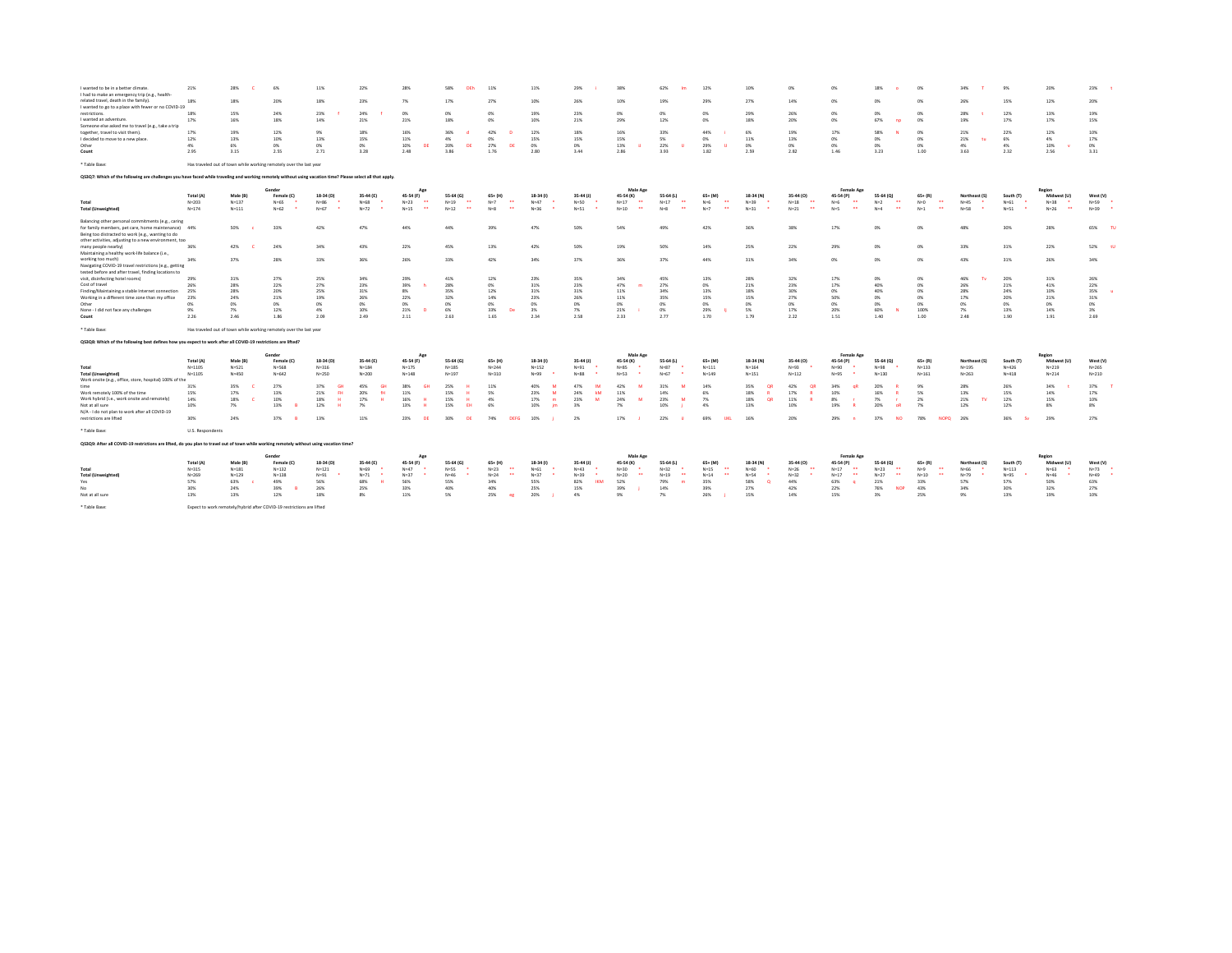| I wanted to be in a better climate.                                                                                                                          | 21%              | 28%       | 6%                                                                    | 11%              | 22%              | 28%                                | 58%<br><b>DEb</b>                | 11%                              | 11%                 | 29%               | 38%                                | 62%<br><b>Im</b>                   | 12%                              | 10%                  | O%                                 | 0%                                  | 18%                                 | ON                                | 34%           | 9%         | 20%                                  | 23%              |
|--------------------------------------------------------------------------------------------------------------------------------------------------------------|------------------|-----------|-----------------------------------------------------------------------|------------------|------------------|------------------------------------|----------------------------------|----------------------------------|---------------------|-------------------|------------------------------------|------------------------------------|----------------------------------|----------------------|------------------------------------|-------------------------------------|-------------------------------------|-----------------------------------|---------------|------------|--------------------------------------|------------------|
| I had to make an emergency trip (e.g., health-                                                                                                               |                  |           |                                                                       |                  |                  |                                    |                                  |                                  |                     |                   |                                    |                                    |                                  |                      |                                    |                                     |                                     |                                   |               |            |                                      |                  |
| related travel, death in the family).                                                                                                                        | 18%              | 18%       | 20%                                                                   | 18%              | 23%              | 7%                                 | 17%                              | 27%                              | 10%                 | 26%               | 10%                                | 19%                                | 29%                              | 27%                  | 14%                                | 0%                                  | 0%                                  | ON                                | 26%           | 15%        | 12%                                  | 20%              |
| I wanted to go to a place with fewer or no COVID-19                                                                                                          |                  |           |                                                                       |                  |                  |                                    |                                  |                                  |                     |                   |                                    |                                    |                                  |                      |                                    |                                     |                                     |                                   |               |            |                                      |                  |
| restrictions.                                                                                                                                                |                  | 15%       | 24%                                                                   |                  |                  |                                    |                                  | CMG.                             |                     |                   |                                    |                                    | n%                               |                      |                                    |                                     |                                     |                                   |               | 12%        |                                      |                  |
|                                                                                                                                                              | 18%              |           |                                                                       | 23%              | 24%              | 0%                                 | 0%                               |                                  | 19%                 | 23%               | 0%                                 | 0%                                 |                                  | 29%                  | 26%                                | 0%                                  | 0%                                  | 0%                                | 28%           |            | 13%                                  | 19%              |
| I wanted an adventure.                                                                                                                                       | 17%              | 16%       | 18%                                                                   | 14%              | 21%              | 21%                                | 18%                              | n%                               | 10%                 | 21%               | 29%                                | 12%                                | 0%                               | 18%                  | 20%                                | 0%                                  | 67%<br>np                           | 0%                                | 19%           | 17%        | 17%                                  | 15%              |
| Someone else asked me to travel (e.g., take a trio                                                                                                           |                  |           |                                                                       |                  |                  |                                    |                                  |                                  |                     |                   |                                    |                                    |                                  |                      |                                    |                                     |                                     |                                   |               |            |                                      |                  |
| together, travel to visit them).                                                                                                                             | 17%              | 19%       | 12%                                                                   | 9%               | 18%              | 16%                                | 36%                              | 42%<br>-n                        | 12%                 | 18%               | 16%                                | 33%                                | 44%                              | 6%                   | 19%                                | 17%                                 | 58%                                 | 0%                                | 21%           | 22%        | 12%                                  | 10%              |
| I decided to move to a new place.                                                                                                                            | 12%              | 13%       | 10%                                                                   | 13%              | 15%              | 11%                                | 4%                               | 0%                               | 15%                 | 15%               | 15%                                | 5%                                 | 0%                               | 11%                  | 13%                                | 0%                                  | 0%                                  | 0%                                | 21%<br>tu     | 6%         | 4%                                   | 17%              |
| Other                                                                                                                                                        | 4%               | 6%        | 0%                                                                    | CHG.             | 0%               | 10%<br>DE                          | 20%<br><b>DF</b>                 | 27%<br>DE                        | 0%                  | O%                | 13%                                | 22%                                | 29%                              | 0%                   | O%                                 | 0%                                  | 0%                                  | 0%                                | 4%            | 4%         | 10%                                  | O%               |
|                                                                                                                                                              |                  |           |                                                                       |                  |                  |                                    |                                  |                                  |                     |                   |                                    |                                    |                                  |                      |                                    |                                     |                                     |                                   |               |            |                                      |                  |
| Count                                                                                                                                                        | 2.95             | 3.15      | 2.55                                                                  | 2.71             | 3.28             | 2.48                               | 3.86                             | 1.76                             | 2.80                | 3.44              | 2.86                               | 3.93                               | 1.82                             | 2.59                 | 2.82                               | 1.46                                | 3.23                                | 1.00                              | 3.63          | 2.32       | 2.56                                 | 3.31             |
| * Table Base:                                                                                                                                                |                  |           | Has traveled out of town while working remotely over the last year    |                  |                  |                                    |                                  |                                  |                     |                   |                                    |                                    |                                  |                      |                                    |                                     |                                     |                                   |               |            |                                      |                  |
|                                                                                                                                                              |                  |           |                                                                       |                  |                  |                                    |                                  |                                  |                     |                   |                                    |                                    |                                  |                      |                                    |                                     |                                     |                                   |               |            |                                      |                  |
| Q\$3Q7: Which of the following are challenges you have faced while traveling and working remotely without using vacation time? Please select all that apply. |                  |           |                                                                       |                  |                  |                                    |                                  |                                  |                     |                   |                                    |                                    |                                  |                      |                                    |                                     |                                     |                                   |               |            |                                      |                  |
|                                                                                                                                                              |                  |           | Gender                                                                |                  |                  | Ap                                 |                                  |                                  |                     |                   | Male Age                           |                                    |                                  |                      |                                    | Female Age                          |                                     |                                   |               |            | Region                               |                  |
|                                                                                                                                                              | Total (A)        | Male (B)  | Female (C)                                                            | 18-34 (D)        | 35-44 (E)        | 45-54 (F)                          | 55-64 (G)                        | $65 + (H)$                       | 18-34 (1)           | $35-44$ (J)       | 45-54 (K)                          | 55-64 (L)                          | $65 + (M)$                       | 18-34 (N)            | 35-44 (0)                          | 45-54 (P)                           | 55-64 (Q)                           | $65 + (R)$                        | Northeast (S) | South (T)  | Midwest (U)                          | West (V)         |
|                                                                                                                                                              |                  |           | $N = 65$<br>٠.                                                        |                  |                  | $\bullet\bullet$                   | $\ddot{\phantom{1}}$             | $\overline{a}$                   | $N = 47$<br>. .     | $N = 50$          | $\bullet\bullet$                   | $\ddot{\phantom{1}}$               | $\ddot{\phantom{1}}$             | $\ddot{\phantom{1}}$ | $\overline{a}$                     | $\overline{a}$                      | $\sim$                              | $\overline{\phantom{a}}$          |               | $N = 61$   |                                      | $N = 59$         |
| Total                                                                                                                                                        | $N = 203$        | $N = 137$ |                                                                       | $N = 86$         | $N = 68$         | $N=23$                             | $N = 19$<br>$\ddot{\phantom{a}}$ | $N=7$                            |                     |                   | $N=17$                             | $N=17$<br>$\overline{\phantom{a}}$ | $N=6$                            | $N=39$               | $N=18$                             | $N=6$                               | $N=2$                               | $N=0$                             | $N = 45$      |            | $N = 38$                             |                  |
| <b>Total (Unweighted)</b>                                                                                                                                    | $N = 174$        | $N = 111$ | $N = 62$                                                              | $N = 67$         | $N=72$           | $\overline{\phantom{a}}$<br>$N=15$ | $N=12$                           | $\overline{a}$<br>$N = 8$        | $N = 36$            | $N = 51$          | $\overline{\phantom{a}}$<br>$N=10$ | $N=8$                              | $\ddot{\phantom{1}}$<br>$N=7$    | . .<br>$N = 31$      | - - -<br>$N=21$                    | $\overline{\phantom{a}}$<br>$N = 5$ | $\overline{\phantom{a}}$<br>$N = 4$ | $\ddot{\phantom{0}}$<br>$N=1$     | $N = 58$      | $N = 51$   | $\overline{\phantom{a}}$<br>$N = 26$ | $N=39$           |
|                                                                                                                                                              |                  |           |                                                                       |                  |                  |                                    |                                  |                                  |                     |                   |                                    |                                    |                                  |                      |                                    |                                     |                                     |                                   |               |            |                                      |                  |
| Balancing other personal commitments (e.g., caring                                                                                                           |                  |           |                                                                       |                  |                  |                                    |                                  |                                  |                     |                   |                                    |                                    |                                  |                      |                                    |                                     |                                     |                                   |               |            |                                      |                  |
| for family members, pet care, home maintenance) 44%                                                                                                          |                  | 50%       | 33%                                                                   | 42%              | 47%              | 44%                                | 44%                              | 39%                              | 47%                 | 50%               | 54%                                | 49%                                | 42%                              | 36%                  | 38%                                | 17%                                 | 0%                                  | m                                 | 48%           | <b>30%</b> | 28%                                  | 65%<br>TU        |
|                                                                                                                                                              |                  |           |                                                                       |                  |                  |                                    |                                  |                                  |                     |                   |                                    |                                    |                                  |                      |                                    |                                     |                                     |                                   |               |            |                                      |                  |
| Being too distracted to work (e.g., wanting to do                                                                                                            |                  |           |                                                                       |                  |                  |                                    |                                  |                                  |                     |                   |                                    |                                    |                                  |                      |                                    |                                     |                                     |                                   |               |            |                                      |                  |
| other activities, adjusting to a new environment, too                                                                                                        |                  |           |                                                                       |                  |                  |                                    |                                  |                                  |                     |                   |                                    |                                    |                                  |                      |                                    |                                     |                                     |                                   |               |            |                                      |                  |
| many people nearby)                                                                                                                                          | 36%              | 42%       | 24%                                                                   | 34%              | 43%              | 22%                                | 45%                              | 13%                              | 42%                 | 50%               | 19%                                | 50%                                | 14%                              | 25%                  | 22%                                | 29%                                 | 0%                                  | 0%                                | 33%           | 31%        | 22%                                  | 52%<br><b>tu</b> |
| Maintaining a healthy work-life balance (i.e.,                                                                                                               |                  |           |                                                                       |                  |                  |                                    |                                  |                                  |                     |                   |                                    |                                    |                                  |                      |                                    |                                     |                                     |                                   |               |            |                                      |                  |
| working too much)                                                                                                                                            | 34%              | 37%       | 28%                                                                   | 33%              | 36%              | 26%                                | 33%                              | 42%                              | 34%                 | 37%               | 36%                                | 37%                                | 44%                              | 31%                  | 34%                                | 0%                                  | 0%                                  | 0%                                | 43%           | 31%        | 26%                                  | 34%              |
|                                                                                                                                                              |                  |           |                                                                       |                  |                  |                                    |                                  |                                  |                     |                   |                                    |                                    |                                  |                      |                                    |                                     |                                     |                                   |               |            |                                      |                  |
| Navigating COVID-19 travel restrictions (e.g., getting                                                                                                       |                  |           |                                                                       |                  |                  |                                    |                                  |                                  |                     |                   |                                    |                                    |                                  |                      |                                    |                                     |                                     |                                   |               |            |                                      |                  |
| tested before and after travel, finding locations to                                                                                                         |                  |           |                                                                       |                  |                  |                                    |                                  |                                  |                     |                   |                                    |                                    |                                  |                      |                                    |                                     |                                     |                                   |               |            |                                      |                  |
| visit, disinfecting hotel rooms)                                                                                                                             | 29%              | 31%       | 27%                                                                   | 25%              | 34%              | 29%                                | 41%                              | 12%                              | 23%                 | 35%               | 34%                                | 45%                                | 13%                              | 28%                  | 32%                                | 17%                                 | 0%                                  | 0%                                | 46%           | 20%        | 31%                                  | 26%              |
| Cost of travel                                                                                                                                               | 26%              | 28%       | 22%                                                                   | 27%              | 23%              | 39%                                | 28%                              | 0%                               | 31%                 | 23%               | 47%<br>m                           | 27%                                | 0%                               | 21%                  | 23%                                | 17%                                 | 40%                                 | 0%                                | 26%           | 21%        | 41%                                  | 22%              |
| Finding/Maintaining a stable Internet connection                                                                                                             | 25%              | 28%       | 20%                                                                   | 25%              | 31%              | 8%                                 | 35%                              | 12%                              | 31%                 | 31%               | 11%                                | 34%                                | 13%                              | 18%                  | 30%                                | 0%                                  | 40%                                 | 0%                                | 28%           | 24%        | 10%                                  | 35%              |
| Working in a different time zone than my office                                                                                                              | 23%              | 24%       | 21%                                                                   | 19%              | 26%              | 22%                                | 32%                              | 14%                              | 23%                 | 26%               | 11%                                | 35%                                | 15%                              | 15%                  | 27%                                | 50%                                 | 0%                                  | 0%                                | 17%           | 20%        | 21%                                  | 31%              |
|                                                                                                                                                              |                  |           |                                                                       |                  |                  |                                    |                                  |                                  |                     |                   |                                    |                                    |                                  |                      |                                    |                                     |                                     |                                   |               |            |                                      |                  |
| Other                                                                                                                                                        | 0%               | 0%        | 0%                                                                    | 0%               | O%               | 0%                                 | 0%                               | 0%                               | O <sub>2</sub>      | 0%                | 0%                                 | 0%                                 | 0%                               | O <sub>2</sub>       | 0%                                 | 0%                                  | 0%                                  | 0%                                | 0%            | 0%         | 0%                                   | 0%               |
| None - I did not face any challenges                                                                                                                         | 9%               | 7%        | 12%                                                                   | A%               | 10%              | 21%                                | 6%                               | 33%<br>De                        | 3%                  | 7%                | 21%                                | 0%                                 | 29%                              | 5%                   | 17%                                | 20%                                 | 60%<br>- 53                         | 100%                              | 7%            | 13%        | 14%                                  | $3\%$            |
| Count                                                                                                                                                        | 2.26             | 2.46      | 1.86                                                                  | 2.09             | 2.49             | 2.11                               | 2.63                             | 1.65                             | 2.34                | 2.58              | 2.33                               | 2.77                               | 1.70                             | 1.79                 | 2.22                               | 1.51                                | 1.40                                | 1.00                              | 2.48          | 1.90       | 1.91                                 | 2.69             |
|                                                                                                                                                              |                  |           |                                                                       |                  |                  |                                    |                                  |                                  |                     |                   |                                    |                                    |                                  |                      |                                    |                                     |                                     |                                   |               |            |                                      |                  |
| * Table Base:                                                                                                                                                |                  |           | Has traveled out of town while working remotely over the last year    |                  |                  |                                    |                                  |                                  |                     |                   |                                    |                                    |                                  |                      |                                    |                                     |                                     |                                   |               |            |                                      |                  |
|                                                                                                                                                              |                  |           |                                                                       |                  |                  |                                    |                                  |                                  |                     |                   |                                    |                                    |                                  |                      |                                    |                                     |                                     |                                   |               |            |                                      |                  |
| Q\$3Q8: Which of the following best defines how you expect to work after all COVID-19 restrictions are lifted?                                               |                  |           |                                                                       |                  |                  |                                    |                                  |                                  |                     |                   |                                    |                                    |                                  |                      |                                    |                                     |                                     |                                   |               |            |                                      |                  |
|                                                                                                                                                              |                  |           |                                                                       |                  |                  |                                    |                                  |                                  |                     |                   |                                    |                                    |                                  |                      |                                    |                                     |                                     |                                   |               |            |                                      |                  |
|                                                                                                                                                              |                  |           |                                                                       |                  |                  |                                    |                                  |                                  |                     |                   |                                    |                                    |                                  |                      |                                    | Female Age                          |                                     |                                   |               |            | Region                               |                  |
|                                                                                                                                                              |                  |           | Gender                                                                |                  |                  | Ap                                 |                                  |                                  |                     |                   | Male Age                           |                                    |                                  |                      |                                    |                                     |                                     |                                   |               |            |                                      |                  |
|                                                                                                                                                              | Total (A)        | Male (B)  | Female (C)                                                            | 18-34 (D)        | 35-44 (E)        | 45-54 (F)                          | 55-64 (G)                        | $65 + (H)$                       | 18-34 (1)           | $35-44$ (J)       | 45-54 (K)                          | 55-64 (L)                          | $65 + (M)$                       | 18-34 (N)            | 35-44 (0)                          | 45-54 (P)                           | 55-64 (0)                           | $65 + (R)$                        | Northeast (S) | South (T)  | Midwest (U)                          | West (V)         |
| Total                                                                                                                                                        | $N = 1105$       | $N = 521$ | $N = 568$                                                             | $N = 316$        | $N = 184$        |                                    | $N = 185$                        | $N = 244$                        |                     |                   | $N = 85$                           | $N=87$                             |                                  | $N = 164$            |                                    | $N = 90$                            | $N = 98$                            | $N = 133$                         |               | $N = 426$  |                                      | $N = 265$        |
|                                                                                                                                                              |                  |           |                                                                       |                  |                  | $N = 175$                          |                                  |                                  | $N = 152$           | $N = 91$          | ٠                                  |                                    | $N = 111$                        |                      | $N = 93$                           |                                     |                                     |                                   | $N = 195$     |            | $N = 219$                            |                  |
| <b>Total (Unweighted)</b>                                                                                                                                    | $N = 1105$       | $N=450$   | $N = 642$                                                             | $N = 250$        | $N = 200$        | $N = 148$                          | $N = 197$                        | $N = 310$                        | $N = 99$            | $N=88$            | $N = 53$                           | $N = 67$                           | $N = 149$                        | $N = 151$            | $N = 112$                          | $N = 95$                            | $N = 130$                           | $N = 161$                         | $N = 263$     | $N = 418$  | $N = 214$                            | $N = 210$        |
| Work onsite (e.g., office, store, hospital) 100% of the                                                                                                      |                  |           |                                                                       |                  |                  |                                    |                                  |                                  |                     |                   |                                    |                                    |                                  |                      |                                    |                                     |                                     |                                   |               |            |                                      |                  |
| time                                                                                                                                                         | 31%              | 35%       | 27%                                                                   | 37%<br><b>GH</b> | 45%<br><b>GH</b> | 38%                                | 25%                              | 11%                              | 40%                 | 47%<br><b>IN</b>  | 42%<br>M                           | 31%<br>M                           | 14%                              | 35%<br>OR            | 42%<br>QR                          | 34%<br>n8                           | 20%                                 | 9%                                | 28%           | 26%        | 34%                                  | 37%              |
| Work remotely 100% of the time                                                                                                                               | 15%              | 17%       | 13%                                                                   | 21%<br>FH.       | 20%<br>fH        | 11%                                | 15%<br>$\mathbf{H}$              | 5%                               | 23%<br>$\mathbf{M}$ | 24%<br>kM         | 11%                                | 14%                                | 6%                               | 18%                  | 17%                                | 10%                                 | 16%<br><b>R</b>                     | 5%                                | 13%           | 15%        | 14%                                  | 17%              |
|                                                                                                                                                              | 14%              | 18%       | 10%                                                                   | 18%              | 17%<br>н         | 16%<br>- 14                        | 15%<br>$\mathbf{H}$              | 4%                               | 17%                 | 23%<br>M          | 24%<br>$\overline{\phantom{a}}$    | 23%<br>M                           | 7%                               | 18%<br>OR            | $11\%$                             | 8%                                  | 7%<br>$\mathbf{r}$                  | 2%                                | 21%<br>TV.    | 12%        | 15%                                  | 10%              |
| Work hybrid (i.e., work onsite and remotely)                                                                                                                 |                  |           |                                                                       |                  |                  |                                    | FH                               |                                  |                     |                   |                                    |                                    |                                  |                      |                                    |                                     |                                     |                                   |               |            |                                      |                  |
| Not at all sure                                                                                                                                              | 10%              | 7%        | 13%                                                                   | 12%              | 7%               | 13%                                | 15%                              | 6%                               | 10%                 | 3%                | 7%                                 | 10%                                | 4%                               | 13%                  | 10%                                | 19%                                 | 20%<br>oR                           | 7%                                | 12%           | 12%        | 8%                                   | 8%               |
| N/A - I do not plan to work after all COVID-19                                                                                                               |                  |           |                                                                       |                  |                  |                                    |                                  |                                  |                     |                   |                                    |                                    |                                  |                      |                                    |                                     |                                     |                                   |               |            |                                      |                  |
| restrictions are lifted                                                                                                                                      | 30%              | 24%       | 37%<br>- R                                                            | 13%              | 11%              | 23%<br>DE                          | 30%<br>DE                        | 74%<br><b>DEFG</b>               | 10%                 | 2%                | 17%                                | 22%                                | 69%<br><b>UKL</b>                | 16%                  | 20%                                | 29%                                 | 37%<br><b>NO</b>                    | 78%                               | NOPQ 26%      | 36%        | 29%                                  | 27%              |
|                                                                                                                                                              |                  |           |                                                                       |                  |                  |                                    |                                  |                                  |                     |                   |                                    |                                    |                                  |                      |                                    |                                     |                                     |                                   |               |            |                                      |                  |
| * Table Base:                                                                                                                                                | U.S. Respondents |           |                                                                       |                  |                  |                                    |                                  |                                  |                     |                   |                                    |                                    |                                  |                      |                                    |                                     |                                     |                                   |               |            |                                      |                  |
| QS3Q9: After all COVID-19 restrictions are lifted, do you plan to travel out of town while working remotely without using vacation time?                     |                  |           |                                                                       |                  |                  |                                    |                                  |                                  |                     |                   |                                    |                                    |                                  |                      |                                    |                                     |                                     |                                   |               |            |                                      |                  |
|                                                                                                                                                              |                  |           | Gender                                                                |                  |                  |                                    |                                  |                                  |                     |                   |                                    |                                    |                                  |                      |                                    |                                     |                                     |                                   |               |            |                                      |                  |
|                                                                                                                                                              |                  |           |                                                                       |                  |                  | Ap                                 |                                  |                                  |                     |                   | Male Age                           |                                    |                                  |                      |                                    | Female Age                          |                                     |                                   |               |            | Region                               |                  |
|                                                                                                                                                              | Total (A)        | Male (B)  | Female (C                                                             | 18-34 (D)        | 35-44 (E)        | 45-54 (F)                          | 55-64 (G)                        | $65+$ (H)                        | $18-34$ (i)         | 35-44 (J)         | 45-54 (K)                          | 55-64 (L)                          | 65+ (M                           | 18-34 (N)            | 35-44 (O)                          | 45-54 (P)                           | 55-64 (C)                           | $65 + (R)$                        | Northeast (S  | South (T   | Midwest (U)                          | West (V)         |
| Total                                                                                                                                                        | $N = 315$        | $N = 181$ | $N = 132$                                                             | $N = 121$        | $N = 69$         | $N=47$                             | $N = 55$                         | $N=23$<br>$\overline{a}$         | $N = 61$            | $N = 43$          | $N = 30$                           | $N=32$                             | $N = 15$<br>$\ddot{\phantom{1}}$ | $N = 60$             | $N=26$<br>$\overline{\phantom{a}}$ | $N=17$<br>$\overline{a}$            | $N=23$<br>$\overline{\phantom{a}}$  | $N=9$<br>$\overline{\phantom{a}}$ | $N = 66$      | $N = 113$  | $N = 63$                             | $N=73$           |
| <b>Total (Unweighted)</b>                                                                                                                                    | $N = 269$        | $N = 129$ | $N = 138$                                                             | $N = 91$         | $N=71$           | $N = 37$                           | $N = 46$                         | $\ddot{\phantom{1}}$<br>$N = 24$ | $N=37$              | $N = 39$          | $\bullet\bullet$<br>$N=20$         | $\ddot{\phantom{1}}$<br>$N=19$     | 44<br>$N = 14$                   | $N = 54$             | $N=32$                             | $\bullet\bullet$<br>$N=17$          | $\bullet\bullet$<br>$N = 27$        | $\ddot{\phantom{1}}$<br>$N = 10$  | $N=79$        | $N = 95$   | $N = 46$                             | $N = 49$         |
| Yes                                                                                                                                                          | 57%              | 63%       | 49%                                                                   | 56%              | 68%              | 56%                                | 55%                              | 34%                              | 55%                 | 82%<br><b>IKM</b> | 52%                                | 79%<br>$\blacksquare$              | 35%                              | 58%<br>$\Omega$      | 44%                                | 63%                                 | 21%                                 | 33%                               | 57%           | 57%        | 50%                                  | 63%              |
| Nn.                                                                                                                                                          |                  |           |                                                                       |                  |                  |                                    |                                  |                                  |                     |                   |                                    |                                    |                                  |                      |                                    |                                     |                                     |                                   |               |            |                                      |                  |
|                                                                                                                                                              | 30%              | 24%       | 39%                                                                   | 26%              | 25%              | 33%                                | 40%                              | 40%                              | 25%                 | 15%               | 39%                                | 14%                                | 39%                              | 27%                  | 42%                                | 22%                                 | 76%<br><b>NOP</b>                   | 43%                               | 34%           | 30%        | 32%                                  | 27%              |
| Not at all sure                                                                                                                                              | 13%              | 13%       | 12%                                                                   | 18%              | $8\%$            | 11%                                | 5%                               | 25%<br>eg                        | 20%                 | 4%                | 9%                                 | 7%                                 | 26%                              | 15%                  | 14%                                | 15%                                 | $3\%$                               | 25%                               | 9%            | 13%        | 19%                                  | 10%              |
| * Table Base:                                                                                                                                                |                  |           | Expect to work remotely/hybrid after COVID-19 restrictions are lifted |                  |                  |                                    |                                  |                                  |                     |                   |                                    |                                    |                                  |                      |                                    |                                     |                                     |                                   |               |            |                                      |                  |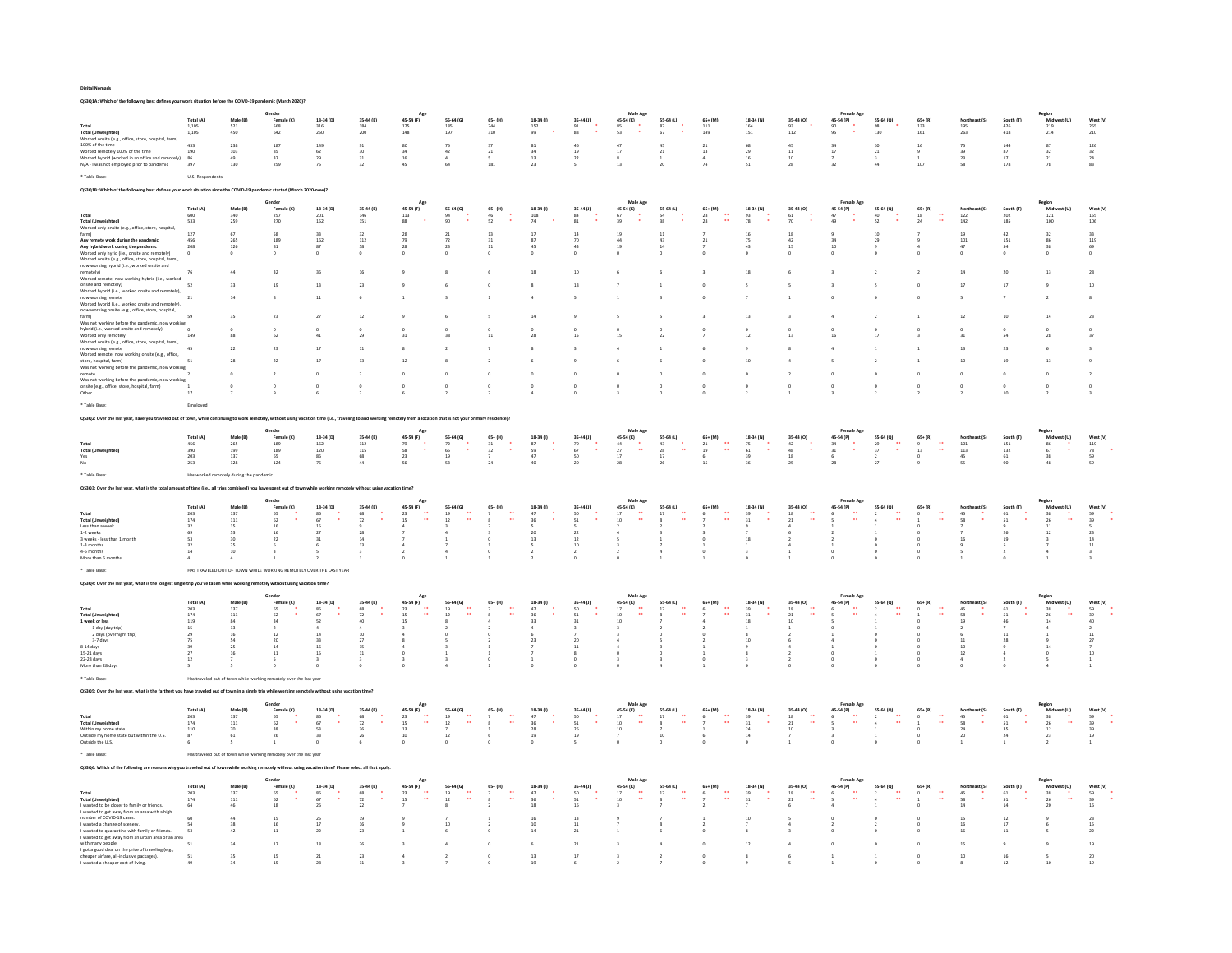QS3Q1A: Which of the following best defines your work situation before the COIVD-19 pandemic (March 2020)?

|                                                                                                                                       |                         | Male (R                              | Gende                                                              |                                                     |                                                |                                                                                         |                                         |                              |                                                                                  |                                                                 | Male Age                                             |                                                   |                                                          |                                         |                                                                                                                                                        | Female Age                                                                                                                                |                                 |                                                                       |                                                     |                                                   |                                                                           |                                  |
|---------------------------------------------------------------------------------------------------------------------------------------|-------------------------|--------------------------------------|--------------------------------------------------------------------|-----------------------------------------------------|------------------------------------------------|-----------------------------------------------------------------------------------------|-----------------------------------------|------------------------------|----------------------------------------------------------------------------------|-----------------------------------------------------------------|------------------------------------------------------|---------------------------------------------------|----------------------------------------------------------|-----------------------------------------|--------------------------------------------------------------------------------------------------------------------------------------------------------|-------------------------------------------------------------------------------------------------------------------------------------------|---------------------------------|-----------------------------------------------------------------------|-----------------------------------------------------|---------------------------------------------------|---------------------------------------------------------------------------|----------------------------------|
|                                                                                                                                       | Total (A)<br>1.105      | 521                                  | Fema<br>568<br>642                                                 | 18-34 (D)<br>316<br>250                             | 35-44 (E)<br>184                               | 45-54 (F)<br>$\frac{175}{148}$                                                          | 55-64 (G)<br>185<br>197                 | 244                          | 18-34 (1)<br>152                                                                 | 35-44 (J)<br>$\begin{array}{c} 91 \\ 88 \end{array}$            | 45-54 (K)<br>$\begin{array}{c} 85 \\ 53 \end{array}$ | 55-64 (L)<br>87                                   | 111                                                      | 18-34 (N<br>164<br>151                  | 93                                                                                                                                                     | 45-54 (P)<br>90<br>95                                                                                                                     | 55-64 (Q)<br>98                 | 133                                                                   | 195<br>263                                          | $\frac{426}{418}$                                 | $\frac{219}{214}$                                                         |                                  |
| <b>Total (Unweighted)</b><br>Worked onsite (e.g., office, store, hospital, farm)                                                      | 1,105                   | 450                                  |                                                                    |                                                     | 200                                            |                                                                                         |                                         | 310                          | 99                                                                               |                                                                 |                                                      | 67                                                | 149                                                      |                                         | 112                                                                                                                                                    |                                                                                                                                           | 130                             | 161                                                                   |                                                     |                                                   |                                                                           | 210                              |
| $100\%$ of the time                                                                                                                   | 433                     | 228                                  | 187                                                                | 149                                                 | 91                                             | 80                                                                                      | 75                                      | 27                           | 81                                                                               | 46                                                              | 47                                                   | 45                                                | 21                                                       | 68                                      | 45                                                                                                                                                     | $\frac{34}{17}$                                                                                                                           | 30                              | 16                                                                    | 75                                                  | 144                                               | 87                                                                        | 126                              |
| Worked remotely 100% of the time<br>Worked hybrid (worked in an office and rem                                                        | 190<br>86               | 103<br>49                            | 85<br>37                                                           | 62<br>$^{29}$                                       | 30<br>31                                       | 34<br>$16\,$                                                                            | 42                                      | 21                           | 34<br>13                                                                         | 19<br>$\mathbf{22}$                                             | $17\,$                                               | 21                                                | 13                                                       | 29<br>16                                | $11\,$<br>10                                                                                                                                           |                                                                                                                                           | 21                              | $9\,$                                                                 | 39<br>23                                            | 87<br>17                                          | 32<br>$_{\rm 21}$                                                         | 32                               |
| $\mathsf{N}/\mathsf{A}\cdot\mathsf{I}$ was not employed prior to pandemic                                                             | 397                     | 130                                  | 259                                                                | 75                                                  | 32                                             | 45                                                                                      | 64                                      | 181                          | 23                                                                               | $\mathsf{s}$                                                    | 13                                                   | 20                                                | 74                                                       | 51                                      | 28                                                                                                                                                     | 32                                                                                                                                        | 44                              | 107                                                                   | 58                                                  | 178                                               | 78                                                                        | $\frac{24}{83}$                  |
| <b>Table Base</b>                                                                                                                     | U.S. Respondents        |                                      |                                                                    |                                                     |                                                |                                                                                         |                                         |                              |                                                                                  |                                                                 |                                                      |                                                   |                                                          |                                         |                                                                                                                                                        |                                                                                                                                           |                                 |                                                                       |                                                     |                                                   |                                                                           |                                  |
| QS3Q1B: Which of the following best defines you                                                                                       | work situa              | e the COVID-19 o                     | iic started (N                                                     |                                                     |                                                |                                                                                         |                                         |                              |                                                                                  |                                                                 |                                                      |                                                   |                                                          |                                         |                                                                                                                                                        |                                                                                                                                           |                                 |                                                                       |                                                     |                                                   |                                                                           |                                  |
|                                                                                                                                       |                         |                                      |                                                                    |                                                     |                                                |                                                                                         |                                         |                              |                                                                                  |                                                                 |                                                      |                                                   |                                                          |                                         |                                                                                                                                                        |                                                                                                                                           |                                 |                                                                       |                                                     |                                                   |                                                                           |                                  |
|                                                                                                                                       | Total (A)               | Male (B)                             | Gender<br>Female (C)<br>$257$                                      | 18-34 (D)                                           | 35-44 (E)                                      | $45-54 (F)$<br>113                                                                      | 55-64 (G)                               | $65+ (H)$                    | 18-34 (I)<br>108                                                                 | 35-44 (J)                                                       | 45-54 (K)                                            | 55-64 (L)                                         | $65+ (M)$                                                | 18-34 (N)                               | 35-44 (0)                                                                                                                                              | 45-54 (P)                                                                                                                                 | 55-64 (Q)                       | $\begin{array}{c} 65+ (R) \\ 18 \end{array}$                          | $\begin{array}{c} \text{North} \\ 122 \end{array}$  | South (T)<br>202                                  | $\begin{array}{c}\n\text{Midu} \\ 121\n\end{array}$                       | <b>West (V)</b><br>155           |
|                                                                                                                                       | 600<br>533              | 340<br>259                           | 270                                                                | 201<br>152                                          | 146<br>$151\,$                                 | $^{\rm 88}$                                                                             | 94<br>90                                | 46<br>$^{\rm S2}$            | 74                                                                               | 84<br>$\bf 81$                                                  | 67<br>39                                             | 54<br>38                                          | $\ddot{\phantom{1}}$<br>28<br>$\bf 28$                   | 93<br>78                                | 61<br>$70\,$                                                                                                                                           | 47<br>49                                                                                                                                  | 40<br>52                        | $\bullet\bullet$<br>$\bf 24$<br>$\bullet\bullet$                      | $142\,$                                             | 185                                               | 100                                                                       | 106                              |
| Total (Unweighted)<br>Worked only onsite (e.g., office, store, hospital                                                               | 127                     | 67                                   | <b>SR</b>                                                          | 33                                                  | 32                                             |                                                                                         |                                         |                              | 17                                                                               |                                                                 |                                                      | 11                                                |                                                          | 16                                      | 18                                                                                                                                                     |                                                                                                                                           | 10 <sup>1</sup>                 |                                                                       |                                                     | 42                                                |                                                                           | 33                               |
| farm)<br>Any remote work during the pandemi                                                                                           | 456                     | 265                                  | 189                                                                | 162                                                 | $112\,$                                        | $\begin{array}{r} 28 \\ 79 \\ 28 \end{array}$                                           | $\bf{21}$<br>$72\,$                     | 13<br>31                     | 87                                                                               | $\frac{14}{70}$                                                 | 19<br>44                                             | $43\,$                                            | 21                                                       | 75                                      | $42\,$                                                                                                                                                 | 34                                                                                                                                        | 29                              | $\overline{9}$                                                        | 19<br>$101\,$                                       | 151                                               | $\begin{array}{c} 32 \\ 86 \end{array}$                                   | $_{\rm 119}$                     |
| Any hybrid work during the pandemic<br>Worked only hyrid (i.e., onsite and remotely)                                                  | 208                     | 126                                  | 81<br>$^{\circ}$                                                   | 87<br>$^{\circ}$                                    | 58<br>$\mathfrak o$                            | $^{\circ}$                                                                              | 23<br>$^{\circ}$                        | $11\,$<br>$^{\circ}$         | 49                                                                               | 43<br>$^{\circ}$                                                | 19                                                   | 14                                                |                                                          | 43                                      | 15<br>$^{\circ}$                                                                                                                                       | 10<br>$^{\circ}$                                                                                                                          |                                 |                                                                       | 47                                                  | S4                                                | 38<br>$^{\circ}$                                                          | 69                               |
| Worked onsite (e.g., office, store, hospital, farm),                                                                                  |                         |                                      |                                                                    |                                                     |                                                |                                                                                         |                                         |                              |                                                                                  |                                                                 |                                                      |                                                   |                                                          |                                         |                                                                                                                                                        |                                                                                                                                           |                                 |                                                                       |                                                     |                                                   |                                                                           |                                  |
| now working hybrid (i.e., worked onsite and<br>remotely)                                                                              | 76                      |                                      | $\overline{32}$                                                    | 36                                                  | 16                                             |                                                                                         |                                         |                              | 18                                                                               | 10                                                              |                                                      |                                                   |                                                          | 18                                      |                                                                                                                                                        |                                                                                                                                           |                                 |                                                                       | 14                                                  |                                                   | 13                                                                        |                                  |
| Worked remote, now working hybrid (i.e., worked<br>onsite and remotely)                                                               | 52                      |                                      |                                                                    |                                                     |                                                |                                                                                         |                                         |                              |                                                                                  |                                                                 |                                                      |                                                   |                                                          |                                         |                                                                                                                                                        |                                                                                                                                           |                                 |                                                                       |                                                     |                                                   |                                                                           |                                  |
| Worked hybrid (i.e., worked onsite and remotely),                                                                                     |                         |                                      |                                                                    | $13\,$                                              | $23\,$                                         |                                                                                         |                                         |                              |                                                                                  | 18                                                              |                                                      |                                                   |                                                          |                                         |                                                                                                                                                        |                                                                                                                                           |                                 |                                                                       | 17                                                  | $17\,$                                            |                                                                           |                                  |
| ow working remote<br>Worked hybrid (i.e., worked onsite and remotely),                                                                | 21                      |                                      |                                                                    | 11                                                  |                                                |                                                                                         |                                         |                              |                                                                                  |                                                                 |                                                      |                                                   |                                                          |                                         |                                                                                                                                                        |                                                                                                                                           |                                 |                                                                       |                                                     |                                                   |                                                                           |                                  |
| now working onsite (e.g., office, store, hospital,                                                                                    |                         |                                      |                                                                    |                                                     |                                                |                                                                                         |                                         |                              |                                                                                  |                                                                 |                                                      |                                                   |                                                          |                                         |                                                                                                                                                        |                                                                                                                                           |                                 |                                                                       |                                                     |                                                   |                                                                           |                                  |
| Was not working before the pandemic, now working                                                                                      | 59                      |                                      | 23                                                                 | 27                                                  | $12\,$                                         |                                                                                         |                                         |                              | 14                                                                               |                                                                 |                                                      |                                                   |                                                          | 13                                      |                                                                                                                                                        |                                                                                                                                           |                                 |                                                                       | 12                                                  | 10                                                | 14                                                                        | 23                               |
| hybrid (i.e., worked onsite and remotely)                                                                                             |                         |                                      |                                                                    |                                                     |                                                |                                                                                         |                                         |                              |                                                                                  |                                                                 |                                                      | $\overline{2}$                                    |                                                          |                                         |                                                                                                                                                        |                                                                                                                                           |                                 |                                                                       |                                                     |                                                   |                                                                           |                                  |
| Worked only remotely<br>Worked onsite (e.g., office, store, hospital, farm),                                                          |                         |                                      |                                                                    |                                                     |                                                |                                                                                         |                                         |                              |                                                                                  |                                                                 |                                                      |                                                   |                                                          |                                         |                                                                                                                                                        |                                                                                                                                           |                                 |                                                                       |                                                     |                                                   |                                                                           |                                  |
| now working remote $\label{eq:1}$ Worked remote, now working on<br>site (e.g., office,                                                | 45                      | 22                                   | 23                                                                 | 17                                                  | 11                                             |                                                                                         |                                         |                              |                                                                                  |                                                                 |                                                      |                                                   |                                                          |                                         |                                                                                                                                                        |                                                                                                                                           |                                 |                                                                       | 13                                                  | 23                                                |                                                                           |                                  |
| store, hospital, farm)                                                                                                                | 51                      |                                      | $\mathfrak{D}$                                                     |                                                     | 13                                             | 12                                                                                      |                                         |                              |                                                                                  |                                                                 |                                                      |                                                   |                                                          | 10                                      |                                                                                                                                                        |                                                                                                                                           |                                 |                                                                       | 10                                                  |                                                   | 13                                                                        |                                  |
| Was not working before the pandemic, now working<br>remote<br>Was not working before the pandemic, now                                |                         |                                      |                                                                    |                                                     |                                                |                                                                                         |                                         |                              |                                                                                  |                                                                 |                                                      |                                                   |                                                          |                                         |                                                                                                                                                        |                                                                                                                                           |                                 |                                                                       |                                                     |                                                   |                                                                           |                                  |
| onsite (e.g., office, store, hospital, farm)                                                                                          |                         |                                      |                                                                    |                                                     |                                                |                                                                                         |                                         |                              |                                                                                  |                                                                 |                                                      |                                                   |                                                          |                                         |                                                                                                                                                        |                                                                                                                                           |                                 |                                                                       |                                                     |                                                   |                                                                           |                                  |
| Other                                                                                                                                 | $\overline{17}$         |                                      |                                                                    |                                                     |                                                |                                                                                         |                                         |                              |                                                                                  |                                                                 |                                                      |                                                   |                                                          |                                         |                                                                                                                                                        |                                                                                                                                           |                                 |                                                                       |                                                     |                                                   |                                                                           |                                  |
| <b>Table Base</b>                                                                                                                     | Employed                |                                      |                                                                    |                                                     |                                                |                                                                                         |                                         |                              |                                                                                  |                                                                 |                                                      |                                                   |                                                          |                                         |                                                                                                                                                        |                                                                                                                                           |                                 |                                                                       |                                                     |                                                   |                                                                           |                                  |
|                                                                                                                                       |                         |                                      |                                                                    |                                                     |                                                |                                                                                         |                                         |                              |                                                                                  |                                                                 |                                                      |                                                   |                                                          |                                         |                                                                                                                                                        |                                                                                                                                           |                                 |                                                                       |                                                     |                                                   |                                                                           |                                  |
|                                                                                                                                       |                         |                                      |                                                                    |                                                     |                                                |                                                                                         |                                         |                              |                                                                                  |                                                                 |                                                      |                                                   |                                                          |                                         |                                                                                                                                                        |                                                                                                                                           |                                 |                                                                       |                                                     |                                                   |                                                                           |                                  |
|                                                                                                                                       |                         |                                      |                                                                    |                                                     |                                                |                                                                                         |                                         |                              |                                                                                  |                                                                 |                                                      |                                                   |                                                          |                                         |                                                                                                                                                        |                                                                                                                                           |                                 |                                                                       |                                                     |                                                   |                                                                           |                                  |
|                                                                                                                                       | <b>Total (A)</b><br>456 |                                      |                                                                    | 18-34 (D)<br>162                                    | 35-44 (E)<br>112                               |                                                                                         |                                         | $\ddot{\downarrow}$          | ÷                                                                                | ÷                                                               |                                                      | $\mathbb{Z}$                                      | $\mathbb{Z}$                                             |                                         | ÷                                                                                                                                                      |                                                                                                                                           |                                 | $\mathbb{Z}$                                                          |                                                     |                                                   |                                                                           |                                  |
| Total (Unwe<br>Yes<br>No                                                                                                              | 390<br>203              | Male (B)<br>265<br>199<br>137        | Female<br>189<br>189<br>65                                         | $\frac{120}{86}$                                    | $\begin{array}{l} 115 \\ 68 \\ 44 \end{array}$ | 45-54 (F)<br>79<br>58<br>23<br>23<br>56                                                 | 55-64 (G)<br>72<br>65<br>19             | 65+ (H)<br>$31$<br>$32$<br>7 | <b>18-34 (1)</b><br>87<br>59<br>47                                               | $\begin{array}{l} 35-44 \ (1) \\ 70 \\ 67 \\ 50 \\ \end{array}$ | $45-54$ (K)<br>$44$<br>$27$<br>$17$                  | 55-64 (L)<br>43<br>28<br>17                       | $\begin{array}{c} 65 + (M) \\ 21 \\ 19 \\ 6 \end{array}$ | 18-34 (N)<br>75<br>61<br>39             | $\begin{array}{l} 35\text{-}44\ ( \text{O)} \\ 42 \\ 48 \\ 18 \end{array}$                                                                             | 45-54 (P)<br>34<br>31<br>6                                                                                                                | 55-64 (Q)<br>29<br>37<br>2<br>2 | $65 + (R)$<br>9<br>13<br>0                                            | Norti<br>101<br>113<br>45<br>55                     | South (T)<br>151<br>132<br>61                     | Mich<br>$86$<br>$67$<br>$38$                                              | West (V)<br>119<br>78<br>59      |
|                                                                                                                                       | 253                     | 128                                  | 124                                                                | 76                                                  |                                                |                                                                                         |                                         |                              |                                                                                  |                                                                 |                                                      |                                                   |                                                          |                                         |                                                                                                                                                        |                                                                                                                                           |                                 |                                                                       |                                                     |                                                   |                                                                           |                                  |
| * Table Rase                                                                                                                          |                         | Has worked remotely during the pande |                                                                    |                                                     |                                                |                                                                                         |                                         |                              |                                                                                  |                                                                 |                                                      |                                                   |                                                          |                                         |                                                                                                                                                        |                                                                                                                                           |                                 |                                                                       |                                                     |                                                   |                                                                           |                                  |
| OS3O3: Over the I                                                                                                                     |                         |                                      |                                                                    |                                                     |                                                |                                                                                         |                                         |                              |                                                                                  |                                                                 |                                                      |                                                   |                                                          |                                         |                                                                                                                                                        |                                                                                                                                           |                                 |                                                                       |                                                     |                                                   |                                                                           |                                  |
|                                                                                                                                       |                         |                                      |                                                                    |                                                     |                                                |                                                                                         |                                         |                              |                                                                                  |                                                                 |                                                      |                                                   |                                                          |                                         |                                                                                                                                                        |                                                                                                                                           |                                 |                                                                       |                                                     |                                                   |                                                                           |                                  |
|                                                                                                                                       |                         |                                      | Gende                                                              |                                                     |                                                |                                                                                         |                                         |                              |                                                                                  |                                                                 | Male Ap                                              |                                                   |                                                          |                                         |                                                                                                                                                        | Female Ag                                                                                                                                 |                                 |                                                                       |                                                     |                                                   |                                                                           |                                  |
|                                                                                                                                       | Total (A)               | Male (B                              | Female (C)                                                         | 18-34 (D)                                           | 35-44 (E)                                      | 45-54 (F)                                                                               | 55-64 (G)                               |                              | 18-34 (1)                                                                        | 35-44 (J)                                                       | 45-54 (K)                                            | 55-64 (L)                                         |                                                          | 18-34 (N                                | 35-44 (O)                                                                                                                                              | 45-54 (P)                                                                                                                                 | 55-64 (Q)                       |                                                                       |                                                     |                                                   |                                                                           |                                  |
| Total<br><b>Total (Unweighted)</b>                                                                                                    | 203<br>174              | 137<br>$111\,$                       | 65<br>62                                                           | 86<br>67                                            | $\frac{68}{72}$                                | $\ddot{\phantom{a}}$<br>$\begin{array}{c} 23 \\ 15 \end{array}$<br>$\ddot{\phantom{a}}$ | 19<br>$\ddot{\phantom{1}}$              |                              | 47                                                                               | $50\atop51$                                                     | $\begin{array}{c} 17 \\ 10 \end{array}$              | 17                                                |                                                          | 39<br>31                                | $18\,$<br>$_{\rm 21}$                                                                                                                                  |                                                                                                                                           |                                 |                                                                       | 45<br>58                                            | 61                                                | $\begin{array}{c} 38 \\ 26 \end{array}$                                   | 59<br>39                         |
| Less than a week                                                                                                                      | 32                      | 15<br>53                             | 16                                                                 | 15<br>27                                            | 28                                             |                                                                                         |                                         |                              |                                                                                  | $\epsilon$                                                      |                                                      |                                                   |                                                          |                                         |                                                                                                                                                        |                                                                                                                                           |                                 |                                                                       |                                                     | 26                                                |                                                                           |                                  |
| $1-2$ weeks<br>3 weeks - less than 1 m                                                                                                | 52                      |                                      |                                                                    | 31                                                  | 14                                             |                                                                                         |                                         |                              | 20<br>13                                                                         | $\bf 22$                                                        |                                                      |                                                   |                                                          | 18                                      |                                                                                                                                                        |                                                                                                                                           |                                 |                                                                       | 16                                                  | 19                                                | $\begin{array}{c} 11 \\ 12 \end{array}$                                   | $_{\rm 23}$                      |
| 1-3 months<br>4-6 months                                                                                                              |                         |                                      |                                                                    |                                                     | 13                                             |                                                                                         |                                         |                              |                                                                                  | $\begin{array}{c} 12 \\ 10 \end{array}$                         |                                                      |                                                   |                                                          |                                         |                                                                                                                                                        |                                                                                                                                           |                                 |                                                                       |                                                     |                                                   |                                                                           |                                  |
| More than 6 months                                                                                                                    |                         |                                      |                                                                    |                                                     |                                                |                                                                                         |                                         |                              |                                                                                  |                                                                 |                                                      |                                                   |                                                          |                                         |                                                                                                                                                        |                                                                                                                                           |                                 |                                                                       |                                                     |                                                   |                                                                           |                                  |
| Table Base                                                                                                                            |                         |                                      | HAS TRAVELED OUT OF TOWN WHILE WORKING REMOTELY OVER THE LAST YEAR |                                                     |                                                |                                                                                         |                                         |                              |                                                                                  |                                                                 |                                                      |                                                   |                                                          |                                         |                                                                                                                                                        |                                                                                                                                           |                                 |                                                                       |                                                     |                                                   |                                                                           |                                  |
|                                                                                                                                       |                         |                                      |                                                                    |                                                     |                                                |                                                                                         |                                         |                              |                                                                                  |                                                                 |                                                      |                                                   |                                                          |                                         |                                                                                                                                                        |                                                                                                                                           |                                 |                                                                       |                                                     |                                                   |                                                                           |                                  |
|                                                                                                                                       |                         |                                      |                                                                    |                                                     |                                                |                                                                                         |                                         |                              |                                                                                  |                                                                 |                                                      |                                                   |                                                          |                                         |                                                                                                                                                        |                                                                                                                                           |                                 |                                                                       |                                                     |                                                   |                                                                           |                                  |
|                                                                                                                                       | Total (A)               |                                      | (0)                                                                | 18-34 (D)                                           | 35-44 (E)                                      | Age                                                                                     | 55-64 (G)                               | $65 + (H)$                   | 18-34 (f)                                                                        | 35-44 (1)                                                       |                                                      | 55-64 (L)                                         |                                                          | 18-34 (N)                               |                                                                                                                                                        | 45-54 (P)                                                                                                                                 |                                 |                                                                       |                                                     |                                                   |                                                                           |                                  |
| <b>Total (Unweighted)</b>                                                                                                             | 203<br>174              | 137<br>111                           | Fem:<br>65<br>62                                                   | $\frac{86}{67}$                                     | $rac{68}{72}$                                  | 45-54 (F) $^{16}$<br>15                                                                 | 19<br>12                                | $\bullet\bullet$             |                                                                                  | $\frac{50}{51}$                                                 | 45-54 (K)                                            |                                                   |                                                          | $rac{10}{39}$<br>$rac{39}{31}$          | $\begin{array}{l} 35\text{-}44\ ( \text{O} ) \\ 18 \end{array}$<br>21                                                                                  |                                                                                                                                           |                                 |                                                                       |                                                     |                                                   |                                                                           |                                  |
| $1$ week or less $\,$                                                                                                                 | 119                     |                                      |                                                                    |                                                     |                                                | 15                                                                                      |                                         |                              |                                                                                  |                                                                 |                                                      |                                                   |                                                          |                                         |                                                                                                                                                        |                                                                                                                                           |                                 |                                                                       |                                                     |                                                   |                                                                           |                                  |
| 1 day (day trip)<br>2 days (overnight trip)                                                                                           | 15                      | 13                                   | 12                                                                 |                                                     |                                                |                                                                                         |                                         |                              |                                                                                  |                                                                 |                                                      |                                                   |                                                          |                                         |                                                                                                                                                        |                                                                                                                                           |                                 |                                                                       |                                                     |                                                   |                                                                           |                                  |
| 3-7 days                                                                                                                              |                         |                                      |                                                                    | 33                                                  | 27<br>15                                       |                                                                                         |                                         |                              |                                                                                  | 11                                                              |                                                      |                                                   |                                                          |                                         |                                                                                                                                                        |                                                                                                                                           |                                 |                                                                       | 11                                                  |                                                   |                                                                           |                                  |
| 8-14 days                                                                                                                             |                         |                                      |                                                                    | 15                                                  |                                                |                                                                                         |                                         |                              |                                                                                  |                                                                 |                                                      |                                                   |                                                          |                                         |                                                                                                                                                        |                                                                                                                                           |                                 |                                                                       | 12                                                  |                                                   |                                                                           |                                  |
| 15-21 days<br>22-28 days<br>More than 28 days                                                                                         |                         |                                      |                                                                    |                                                     |                                                |                                                                                         |                                         |                              |                                                                                  |                                                                 |                                                      |                                                   |                                                          |                                         |                                                                                                                                                        |                                                                                                                                           |                                 |                                                                       |                                                     |                                                   |                                                                           |                                  |
| Table Base                                                                                                                            |                         |                                      | Has traveled out of town while working remotely over the last yea  |                                                     |                                                |                                                                                         |                                         |                              |                                                                                  |                                                                 |                                                      |                                                   |                                                          |                                         |                                                                                                                                                        |                                                                                                                                           |                                 |                                                                       |                                                     |                                                   |                                                                           |                                  |
|                                                                                                                                       |                         |                                      |                                                                    |                                                     |                                                |                                                                                         |                                         |                              |                                                                                  |                                                                 |                                                      |                                                   |                                                          |                                         |                                                                                                                                                        |                                                                                                                                           |                                 |                                                                       |                                                     |                                                   |                                                                           |                                  |
| QS3Q5: Over the last                                                                                                                  |                         |                                      |                                                                    |                                                     |                                                |                                                                                         |                                         |                              |                                                                                  |                                                                 |                                                      |                                                   |                                                          |                                         |                                                                                                                                                        |                                                                                                                                           |                                 |                                                                       |                                                     |                                                   |                                                                           |                                  |
|                                                                                                                                       | Total (A)               |                                      |                                                                    | 18-34 (D)                                           | 35-44 (E)                                      |                                                                                         | 55-64 (G)                               |                              |                                                                                  |                                                                 |                                                      |                                                   |                                                          |                                         |                                                                                                                                                        |                                                                                                                                           |                                 | $65 + (R)$                                                            |                                                     |                                                   |                                                                           |                                  |
| Total                                                                                                                                 | 203                     | 137                                  | $\sim$                                                             |                                                     |                                                |                                                                                         |                                         | 65+ (H)<br>$\overline{7}$    |                                                                                  | $\bullet$                                                       |                                                      | 55-64 (L)                                         | 65+ (M)<br>6                                             | $\mathcal{L}_{\mathbf{a}}$              |                                                                                                                                                        |                                                                                                                                           | 55-64 (Q)<br>$\overline{2}$     |                                                                       | $\mathcal{A}$                                       | $\bullet$                                         | $\mathcal{L}_{\mathbf{r}}$                                                |                                  |
| <b>Total (Unweighted)</b><br>Within my home state                                                                                     | 174<br>110              | $_{\bf 111}$<br>70                   | 65<br>62<br>38                                                     | -1<br>$\begin{array}{c} 86 \\ 67 \end{array}$<br>53 | 68<br>72<br>36<br>÷                            |                                                                                         | $\mathbb{Z}$<br>$\frac{19}{12}$         | $\mathbb{Z}$                 |                                                                                  |                                                                 |                                                      | ÷.<br>$\begin{array}{c} 17 \\ 8 \\ 7 \end{array}$ | $\mathbb{Z}$<br>$\mathbf{1}$                             |                                         |                                                                                                                                                        | $\begin{array}{ccc}\n & & \text{Form.} \\  & & \text{45-54 (P)} \\  & & & \text{} \\  & & & & \text{} \\  & & & & & \text{}\n\end{array}$ | ÷.                              | $\mathbb{Z}$<br>$\begin{smallmatrix}0\\1\end{smallmatrix}$<br>$\circ$ |                                                     |                                                   |                                                                           |                                  |
| Outside my home state but within the U.S.<br>Outside the U.S.                                                                         |                         | 61                                   |                                                                    |                                                     |                                                | $45-54$ (F)<br>23<br>15<br>13<br>13<br>10                                               | $12\,$                                  |                              | $\begin{array}{l} \mathbf{18 \cdot 34}\ (1) \\ 47 \\ 36 \\ 28 \\ 19 \end{array}$ | <b>35-44 (J)</b><br>50<br>51<br>26<br>26                        | Male Age<br>45-54 (K)<br>17<br>10<br>2<br>10<br>7    |                                                   |                                                          | 18-34 (N)<br>39<br>31<br>24<br>24<br>14 | $\begin{array}{l} 35\,44\, (0)\\ 18\\ 21\\ 10\\ 7\\ \end{array} \begin{array}{l} \begin{array}{c} \bullet\\ \bullet\\ \bullet \end{array} \end{array}$ |                                                                                                                                           |                                 |                                                                       | $\begin{array}{r} 45 \\ 58 \\ 24 \\ 20 \end{array}$ | $61$<br>$51$<br>$35$<br>$24$                      | Mid<br>38<br>26<br>26<br>22<br>23                                         | West (V)<br>59<br>39<br>39<br>39 |
|                                                                                                                                       |                         |                                      |                                                                    |                                                     |                                                |                                                                                         |                                         |                              |                                                                                  |                                                                 |                                                      |                                                   |                                                          |                                         |                                                                                                                                                        |                                                                                                                                           |                                 |                                                                       |                                                     |                                                   |                                                                           |                                  |
|                                                                                                                                       |                         |                                      | Has traveled out of town while working remotely over the last yea  |                                                     |                                                |                                                                                         |                                         |                              |                                                                                  |                                                                 |                                                      |                                                   |                                                          |                                         |                                                                                                                                                        |                                                                                                                                           |                                 |                                                                       |                                                     |                                                   |                                                                           |                                  |
|                                                                                                                                       |                         |                                      |                                                                    |                                                     |                                                |                                                                                         |                                         |                              |                                                                                  |                                                                 |                                                      |                                                   |                                                          |                                         |                                                                                                                                                        |                                                                                                                                           |                                 |                                                                       |                                                     |                                                   |                                                                           |                                  |
|                                                                                                                                       | Total (A)               | Male (B                              |                                                                    |                                                     | 35-44 (E)                                      | Age                                                                                     | 55-64 (G)                               | $65 + (H)$                   | 18-34 (I)                                                                        | 35-44 (J)                                                       | Male Ap                                              |                                                   |                                                          |                                         |                                                                                                                                                        | Female Age                                                                                                                                |                                 |                                                                       |                                                     |                                                   |                                                                           |                                  |
| Total                                                                                                                                 | 203                     | 137                                  | Female (C)                                                         | 18-34 (D)                                           |                                                | 45-54 (F)<br>$\ddot{\phantom{a}}$                                                       |                                         |                              | 47                                                                               |                                                                 | 45-54 (K)<br>17                                      | 55-64 (L)<br>17                                   |                                                          | 18-34 (N)<br>39                         | 35-44 (0)                                                                                                                                              | 45-54 (P)                                                                                                                                 | 55-64 (Q)                       |                                                                       |                                                     |                                                   |                                                                           |                                  |
| Total (Unweighted)<br>I wanted to be closer to family or friends.                                                                     | 174<br>64               | $111\,$<br>46                        | $\frac{65}{62}$<br>18                                              | 86<br>67<br>$\sim$<br>$26\,$                        | $\frac{68}{72}$<br>$\sim$<br>$\mathbf{22}$     | $\begin{array}{c} 23 \\ 15 \end{array}$<br>$\overline{\phantom{a}}$                     | $\begin{array}{c} 19 \\ 12 \end{array}$ | $\mathbf{A}$                 | 18                                                                               | 50<br>51<br>16                                                  | 10                                                   |                                                   | $\ddotsc$                                                |                                         | $\frac{18}{21}$                                                                                                                                        |                                                                                                                                           |                                 | $\bullet\bullet$                                                      | 45<br>58                                            | $\begin{array}{c} 61 \\ 51 \end{array}$<br>$14\,$ | $\begin{array}{c} 38 \\ 26 \end{array}$<br>$\overline{\phantom{a}}$<br>20 | 59<br>39<br>16                   |
| I wanted to get away from an area with a high<br>number of COVID-19 cases.                                                            |                         |                                      |                                                                    | 25                                                  | 19                                             |                                                                                         |                                         |                              | 16                                                                               | 13                                                              |                                                      |                                                   |                                                          |                                         |                                                                                                                                                        |                                                                                                                                           |                                 |                                                                       | 15                                                  | 12                                                |                                                                           | 23                               |
| wanted a change of scenery                                                                                                            |                         |                                      |                                                                    |                                                     |                                                |                                                                                         |                                         |                              |                                                                                  |                                                                 |                                                      |                                                   |                                                          |                                         |                                                                                                                                                        |                                                                                                                                           |                                 |                                                                       |                                                     | $17\,$                                            |                                                                           |                                  |
| I wanted to quarantine with family or friends.                                                                                        |                         |                                      |                                                                    | 22                                                  | 23                                             |                                                                                         |                                         |                              | 14                                                                               | 21                                                              |                                                      |                                                   |                                                          |                                         |                                                                                                                                                        |                                                                                                                                           |                                 |                                                                       |                                                     | 11                                                |                                                                           |                                  |
| wanted to get away from an urban area or an area<br>with many people.                                                                 |                         |                                      |                                                                    | 18                                                  |                                                |                                                                                         |                                         |                              |                                                                                  | $_{21}$                                                         |                                                      |                                                   |                                                          |                                         |                                                                                                                                                        |                                                                                                                                           |                                 |                                                                       |                                                     |                                                   |                                                                           |                                  |
| I got a good deal on the price of traveling (e.g.,<br>cheaper airfare, all-inclusive packages).<br>I wanted a cheaper cost of living. |                         |                                      |                                                                    |                                                     | 23                                             |                                                                                         |                                         |                              | 13                                                                               | 17                                                              |                                                      |                                                   |                                                          |                                         |                                                                                                                                                        |                                                                                                                                           |                                 |                                                                       |                                                     |                                                   |                                                                           |                                  |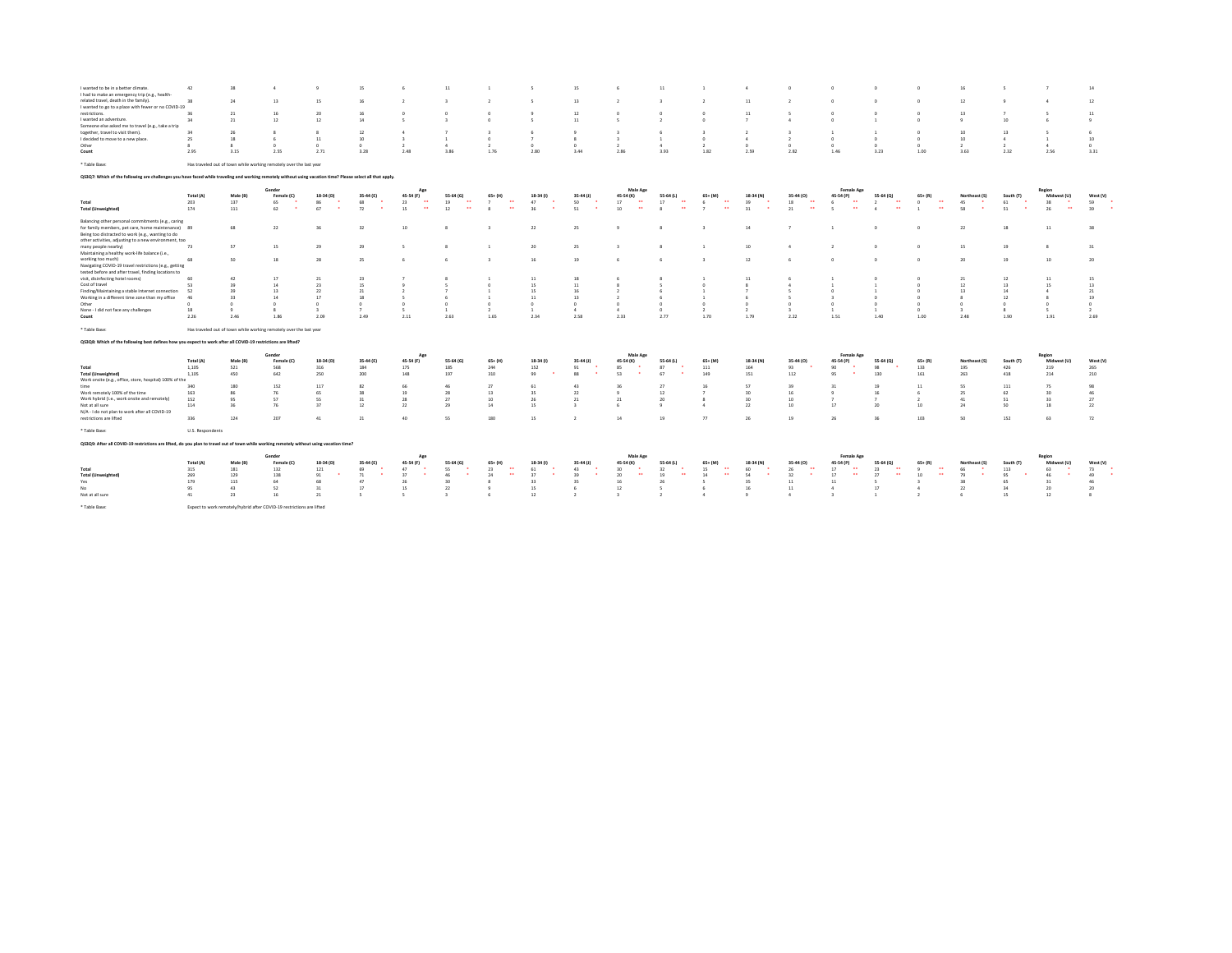| I wanted to be in a better climate.                                                                                                                          | 42               | 38           | 4                                                                     | $\overline{9}$ | 15         | -6                         | 11                         |                                    |                                | 15                 |                            | 11                                |                                    |                |                        |                            |                                    |                                          |               |                 |                          | 14            |
|--------------------------------------------------------------------------------------------------------------------------------------------------------------|------------------|--------------|-----------------------------------------------------------------------|----------------|------------|----------------------------|----------------------------|------------------------------------|--------------------------------|--------------------|----------------------------|-----------------------------------|------------------------------------|----------------|------------------------|----------------------------|------------------------------------|------------------------------------------|---------------|-----------------|--------------------------|---------------|
| I had to make an emergency trip (e.g., health-                                                                                                               |                  |              |                                                                       |                |            |                            |                            |                                    |                                |                    |                            |                                   |                                    |                |                        |                            |                                    |                                          |               |                 |                          |               |
| related travel, death in the family).                                                                                                                        | 38               | 24           | 13                                                                    | 15             | 16         | $\overline{2}$             | $\overline{\mathbf{3}}$    | $\overline{2}$                     | 5                              | 13                 | $\overline{2}$             |                                   | $\overline{2}$                     | 11             |                        | $^{\circ}$                 |                                    | $^{\circ}$                               | 12            |                 | $\overline{4}$           | 12            |
| I wanted to go to a place with fewer or no COVID-19                                                                                                          |                  |              |                                                                       |                |            |                            |                            |                                    |                                |                    |                            |                                   |                                    |                |                        |                            |                                    |                                          |               |                 |                          |               |
| restrictions.                                                                                                                                                | 36               | 21           | 16                                                                    | 20             | 16         | $\Omega$                   |                            | $\Omega$                           |                                | $12$               | $\Omega$                   |                                   | $\Omega$                           | 11             |                        | $\Omega$                   |                                    | $\Omega$                                 | 13            |                 |                          | 11            |
| I wanted an adventure                                                                                                                                        | 34               | 21           | 12                                                                    | 12             | 14         | 5                          | $\overline{\mathbf{3}}$    | $\circ$                            | 5                              | 11                 | 5                          | $\rightarrow$                     | $^{\circ}$                         | $\overline{z}$ | A                      | $^{\circ}$                 |                                    | $^{\circ}$                               |               | 10              |                          | $\ddot{q}$    |
| Someone else asked me to travel (e.g., take a trip                                                                                                           |                  |              |                                                                       |                |            |                            |                            |                                    |                                |                    |                            |                                   |                                    |                |                        |                            |                                    |                                          |               |                 |                          |               |
| together, travel to visit them).                                                                                                                             | 34               | 26           | -8                                                                    | -8             | 12         |                            |                            |                                    |                                |                    | $\mathbf{z}$               |                                   |                                    | $\overline{2}$ |                        | -1                         |                                    | n                                        | 10            | 13              | $\sim$                   |               |
| I decided to move to a new place.                                                                                                                            | 25               | 18           | 6                                                                     | 11             | 10         | $\overline{z}$             | $\overline{1}$             | $^{\circ}$                         | $\overline{z}$                 | $\mathcal{R}$      | $\overline{z}$             | $\overline{1}$                    | $^{\circ}$                         | $\overline{4}$ | $\rightarrow$          | $^{\circ}$                 | $\theta$                           | $^{\circ}$                               | 10            | 4               | $\mathbf{1}$             | 10            |
| Other                                                                                                                                                        | $\boldsymbol{8}$ | $\mathbf{R}$ | $\circ$                                                               | $\Omega$       | $\Omega$   | $\overline{2}$             | $\Delta$                   | $\overline{2}$                     | $^{\circ}$                     | $^{\circ}$         | $\overline{2}$             | $\Delta$                          | $\mathcal{L}$                      | $^{\circ}$     | $^{\circ}$             | $^{\circ}$                 | $\Omega$                           | $\circ$                                  |               | $\overline{2}$  | $\Delta$                 | $^{\circ}$    |
| Count                                                                                                                                                        | 2.95             | 3.15         | 2.55                                                                  | 2.71           | 3.28       | 2.48                       | 3.86                       | 1.76                               | 2.80                           | 3.44               | 2.86                       | 3.93                              | 1.82                               | 2.59           | 2.82                   | 1.46                       | 3.23                               | 1.00                                     | 3.63          | 2.32            | 2.56                     | 3.31          |
|                                                                                                                                                              |                  |              |                                                                       |                |            |                            |                            |                                    |                                |                    |                            |                                   |                                    |                |                        |                            |                                    |                                          |               |                 |                          |               |
| * Table Base:                                                                                                                                                |                  |              | Has traveled out of town while working remotely over the last year    |                |            |                            |                            |                                    |                                |                    |                            |                                   |                                    |                |                        |                            |                                    |                                          |               |                 |                          |               |
| Q\$3Q7: Which of the following are challenges you have faced while traveling and working remotely without using vacation time? Please select all that apply. |                  |              |                                                                       |                |            |                            |                            |                                    |                                |                    |                            |                                   |                                    |                |                        |                            |                                    |                                          |               |                 |                          |               |
|                                                                                                                                                              |                  |              | Gender                                                                |                |            | Age                        |                            |                                    |                                |                    | Male Age                   |                                   |                                    |                |                        | <b>Female Age</b>          |                                    |                                          |               |                 | Region                   |               |
|                                                                                                                                                              | Total (A)        | Male (B)     | Female (C)                                                            | 18-34 (D)      | 35-44 (E)  | 45-54 (F)                  | 55-64 (G)                  | $65+ (H)$                          | 18-34 (1)                      | $35-44$ (J)        | 45-54 (K)                  | 55-64 (L)                         | $65+ (M)$                          | 18-34 (N)      | 35-44 (0)              | 45-54 (P)                  | 55-64 (Q)                          | $65+ (R)$                                | Northeast (S) | South (T)       | Midwest (U)              | West (V)      |
| Total                                                                                                                                                        | 203              | 137          | 65                                                                    | 86             | 68         | 23<br>$\bullet\bullet$     | $\bullet\bullet$<br>19     | $\overline{7}$<br>$\bullet\bullet$ | 47                             | 50                 | $\bullet\bullet$<br>17     | 17<br>$\bullet\bullet$            | $\bullet\bullet$<br>6              | 39             | 18<br>$\bullet\bullet$ | $\bullet\bullet$<br>6      | $\bullet\bullet$<br>$\overline{2}$ | $\bullet\bullet$<br>$\circ$              | 45            | 61              | 38                       | 59<br>٠       |
| <b>Total (Unweighted)</b>                                                                                                                                    | 174              | 111          | 62                                                                    | ٠.<br>67       | 72         | $\ddot{\phantom{1}}$<br>15 | 12<br>$\ddot{\phantom{1}}$ | $\bullet\bullet$<br>$\mathbf{R}$   | 36<br>. .                      | 51<br>$\bullet$    | $\bullet$<br>10            | $\bullet\bullet$<br>$\mathcal{R}$ | $\bullet\bullet$<br>$\overline{z}$ | 31             | $\bullet\bullet$<br>21 | $\bullet\bullet$<br>$\sim$ | $\bullet\bullet$<br>$\sim$         | $\bullet$<br>$\overline{1}$              | 58            | 51<br>$\bullet$ | $\bullet\bullet$<br>26   | ٠.<br>39      |
|                                                                                                                                                              |                  |              |                                                                       |                |            |                            |                            |                                    |                                |                    |                            |                                   |                                    |                |                        |                            |                                    |                                          |               |                 |                          |               |
| Balancing other personal commitments (e.g., caring                                                                                                           |                  |              |                                                                       |                |            |                            |                            |                                    |                                |                    |                            |                                   |                                    |                |                        |                            |                                    |                                          |               |                 |                          |               |
| for family members, pet care, home maintenance) 89                                                                                                           |                  | 68           | 22                                                                    |                | 32         | 10                         | -8                         |                                    | 22                             | 25                 | 9                          | -8                                | 3                                  | 14             |                        | $\mathbf{1}$               |                                    | $^{\circ}$                               | 22            | 18              | 11                       | 38            |
| Being too distracted to work (e.g., wanting to do                                                                                                            |                  |              |                                                                       |                |            |                            |                            |                                    |                                |                    |                            |                                   |                                    |                |                        |                            |                                    |                                          |               |                 |                          |               |
| other activities, adjusting to a new environment, too                                                                                                        |                  |              |                                                                       |                |            |                            |                            |                                    |                                |                    |                            |                                   |                                    |                |                        |                            |                                    |                                          |               |                 |                          |               |
| many people nearby)                                                                                                                                          | 73               | 57           | 15                                                                    | 29             | 29         | 5                          | $\boldsymbol{3}$           |                                    | 20                             | 25                 |                            |                                   |                                    | 10             | $\Delta$               | $\overline{2}$             |                                    | $^{\circ}$                               | 15            | 19              | $_{8}$                   | 31            |
| Maintaining a healthy work-life balance (i.e.,                                                                                                               |                  |              |                                                                       |                |            |                            |                            |                                    |                                |                    |                            |                                   |                                    |                |                        |                            |                                    |                                          |               |                 |                          |               |
| working too much)                                                                                                                                            | 68               | 50           | 18                                                                    | 28             | 25         | 6                          | -6                         | $\mathbf{a}$                       | 16                             | 19                 |                            |                                   | $\mathbf{a}$                       | 12             |                        | $\Omega$                   |                                    | $\Omega$                                 | 20            | 19              | 10                       | 20            |
| Navigating COVID-19 travel restrictions (e.g., getting                                                                                                       |                  |              |                                                                       |                |            |                            |                            |                                    |                                |                    |                            |                                   |                                    |                |                        |                            |                                    |                                          |               |                 |                          |               |
| tested before and after travel, finding locations to                                                                                                         |                  |              |                                                                       |                |            |                            |                            |                                    |                                |                    |                            |                                   |                                    |                |                        |                            |                                    |                                          |               |                 |                          |               |
| visit, disinfecting hotel rooms)                                                                                                                             | 60               | 42           | 17                                                                    | 21             | 23         |                            |                            |                                    | 11                             | 18                 |                            |                                   |                                    | 11             |                        |                            |                                    | $\Omega$                                 | 21            | 12              | 11                       | 15            |
| Cost of travel                                                                                                                                               | 53               | 39           | 14                                                                    | 23             | 15         |                            |                            | $\Omega$                           | 15                             | 11                 | $\mathcal{R}$              |                                   |                                    |                |                        |                            |                                    | $\Omega$                                 | 12            | 13              | 15                       | 13            |
| Finding/Maintaining a stable Internet connection                                                                                                             | 52               | 39           | 13                                                                    | 22             | 21         |                            |                            |                                    | 15                             | 16                 |                            |                                   |                                    |                |                        | -n                         |                                    | $\Omega$                                 | 13            | 14              | $\Delta$                 | 21            |
| Working in a different time zone than my office                                                                                                              | 46               | 33           | 14                                                                    | 17             | 18         |                            | -6                         |                                    | 11                             | 13                 | $\overline{2}$             | -6                                |                                    | -6             |                        |                            |                                    | $\Omega$                                 |               | 12              | $\mathbf{R}$             | 19            |
| Other                                                                                                                                                        | $\circ$          |              | $\circ$                                                               | $^{\circ}$     | $^{\circ}$ | $^{\circ}$                 | $^{\circ}$                 | $^{\circ}$                         | $^{\circ}$                     | $^{\circ}$         | $^{\circ}$                 | $^{\circ}$                        | $\circ$                            | $^{\circ}$     |                        | $^{\circ}$                 |                                    | $^{\circ}$                               |               | $^{\circ}$      | $^{\circ}$               | $^{\circ}$    |
| None - I did not face any challenges                                                                                                                         | 18               | $\ddot{q}$   | 8                                                                     | -3             |            | -5                         | $\mathbf{1}$               | $\overline{2}$                     | $\mathbf{1}$                   | 4                  | $\Delta$                   | $\Omega$                          | $\overline{ }$                     | $\overline{2}$ |                        | $\mathbf{1}$               |                                    | $^{\circ}$                               | $\mathbf{a}$  | я.              | $\overline{\phantom{a}}$ | $\rightarrow$ |
| Count                                                                                                                                                        | 2.26             | 2.46         | 1.86                                                                  | 2.09           | 2.49       | 2.11                       | 2.63                       | 1.65                               | 2.34                           | 2.58               | 2.33                       | 2.77                              | 1.70                               | 1.79           | 2.22                   | 1.51                       | 1.40                               | 1.00                                     | 2.48          | 1.90            | 1.91                     | 2.69          |
|                                                                                                                                                              |                  |              |                                                                       |                |            |                            |                            |                                    |                                |                    |                            |                                   |                                    |                |                        |                            |                                    |                                          |               |                 |                          |               |
| * Table Base:                                                                                                                                                |                  |              | Has traveled out of town while working remotely over the last year    |                |            |                            |                            |                                    |                                |                    |                            |                                   |                                    |                |                        |                            |                                    |                                          |               |                 |                          |               |
| QS3Q8: Which of the following best defines how you expect to work after all COVID-19 restrictions are lifted?                                                |                  |              |                                                                       |                |            |                            |                            |                                    |                                |                    |                            |                                   |                                    |                |                        |                            |                                    |                                          |               |                 |                          |               |
|                                                                                                                                                              |                  |              |                                                                       |                |            |                            |                            |                                    |                                |                    |                            |                                   |                                    |                |                        |                            |                                    |                                          |               |                 |                          |               |
|                                                                                                                                                              |                  |              | Gender                                                                |                |            | Ap                         |                            |                                    |                                |                    | Male Age                   |                                   |                                    |                |                        | <b>Female Age</b>          |                                    |                                          |               |                 | Region                   |               |
|                                                                                                                                                              | Total (A)        | Male (B)     | Female (C)                                                            | 18-34 (D)      | 35-44 (E)  | 45-54 (F)                  | 55-64 (G)                  | $65+ (H)$                          | 18-34 (1)                      | $35-44$ (J)        | 45-54 (K)                  | 55-64 (L)                         | $65 + (M)$                         | 18-34 (N)      | 35-44 (0)              | 45-54 (P)                  | 55-64 (Q)                          | $65 + (R)$                               | Northeast (S) | South (T)       | Midwest (U)              | West (V)      |
| Total                                                                                                                                                        | 1,105            | 521          | 568                                                                   | 316            | 184        | 175                        | 185                        | 244                                | 152                            | 91                 | 85                         | 87<br>$\bullet$                   | 111                                | 164            | 93                     | 90<br>$\bullet$            | 98                                 | 133                                      | 195           | 426             | 219                      | 265           |
| <b>Total (Unweighted)</b>                                                                                                                                    | 1,105            | 450          | 642                                                                   | 250            | 200        | 148                        | 197                        | 310                                | 99<br>$\overline{\phantom{a}}$ | $\mathbf{r}$<br>88 | $\bullet$<br>53            | 67                                | 149                                | 151            | 112                    | $\ddot{\phantom{1}}$<br>95 | 130                                | 161                                      | 263           | 418             | 214                      | 210           |
| Work onsite (e.g., office, store, hospital) 100% of the                                                                                                      |                  |              |                                                                       |                |            |                            |                            |                                    |                                |                    |                            |                                   |                                    |                |                        |                            |                                    |                                          |               |                 |                          |               |
| time                                                                                                                                                         | 340              | 180          | 152                                                                   | 117            | 82         | 66                         | 46                         | 27                                 | 61                             | 43                 | 36                         | 27                                | 16                                 | 57             | 39                     | 31                         | 19                                 | 11                                       | 55            | 111             | 75                       | 98            |
| Work remotely 100% of the time                                                                                                                               | 163              | 86           | 76                                                                    | 65             | 38         | 19                         | 28                         | 13                                 | 35                             | 22                 | $\overline{9}$             | 12                                |                                    | 30             | 16                     | $\overline{9}$             | 16                                 | 6                                        | 25            | 62              | 30                       | 46            |
| Work hybrid (i.e., work onsite and remotely)                                                                                                                 | 152              | 95           | 57                                                                    | 55             | 31         | 28                         | 27                         | 10                                 | 26                             | 21                 | 21                         | 20                                | $\mathbf{R}$                       | 30             | 10 <sup>10</sup>       | $\overline{7}$             |                                    | $\overline{2}$                           | 41            | 51              | 33                       | 27            |
| Not at all sure                                                                                                                                              | 114              | 36           | 76                                                                    | 37             | 12         | 22                         | 29                         | 14                                 | 15                             |                    | 6                          | $\mathbf{q}$                      | $\Delta$                           | 22             | 10                     | 17                         | 20                                 | 10                                       | 24            | 50              | 18                       | 22            |
| N/A - I do not plan to work after all COVID-19                                                                                                               |                  |              |                                                                       |                |            |                            |                            |                                    |                                |                    |                            |                                   |                                    |                |                        |                            |                                    |                                          |               |                 |                          |               |
| restrictions are lifted                                                                                                                                      | 336              | 124          | 207                                                                   | 41             | 21         | 40                         | 55                         | 180                                | 15                             |                    | 14                         | 19                                | $\overline{1}$                     | 26             | 19                     | 26                         | 36                                 | 103                                      | 50            | 152             | 63                       | 72            |
| * Table Base:                                                                                                                                                | U.S. Respondents |              |                                                                       |                |            |                            |                            |                                    |                                |                    |                            |                                   |                                    |                |                        |                            |                                    |                                          |               |                 |                          |               |
| Q53Q9: After all COVID-19 restrictions are lifted, do you plan to travel out of town while working remotely without using vacation time?                     |                  |              |                                                                       |                |            |                            |                            |                                    |                                |                    |                            |                                   |                                    |                |                        |                            |                                    |                                          |               |                 |                          |               |
|                                                                                                                                                              |                  |              |                                                                       |                |            |                            |                            |                                    |                                |                    |                            |                                   |                                    |                |                        |                            |                                    |                                          |               |                 |                          |               |
|                                                                                                                                                              |                  |              | Gender                                                                |                |            | Ap                         |                            |                                    |                                |                    | Male Age                   |                                   |                                    |                |                        | <b>Female Age</b>          |                                    |                                          |               |                 | Region                   |               |
|                                                                                                                                                              | Total (A)        | Male (B)     | Female (C)                                                            | 18-34 (D)      | 35-44 (E)  | 45-54 (F)                  | 55-64 (G)                  | $65+ (H)$                          | 18-34 (1)                      | 35-44 (J)          | 45-54 (K)                  | 55-64 (L)                         | $65+ (M)$                          | 18-34 (N)      | 35-44 (0)              | 45-54 (P)                  | 55-64 (Q)                          | $65+ (R)$                                | Northeast (S) | South (T)       | Midwest (U)              | West (V)      |
| Total                                                                                                                                                        | 315              | 181          | 132                                                                   | 121            | 69         | 47<br>$\bullet$            | 55                         | 23<br>$\bullet\bullet$             | 61                             | 43                 | 30<br>. .                  | 32                                | $\bullet\bullet$<br>15             | 60             | 26<br>$\bullet\bullet$ | 17<br>$\bullet\bullet$     | 23<br>$\bullet$                    | $\overline{\phantom{a}}$<br>$\mathbf{Q}$ | 66            | 113             | 63                       | 73<br>٠       |
| <b>Total (Unweighted)</b>                                                                                                                                    | 269              | 129          | 138                                                                   | 91             | 71         | 37                         | 46                         | $\bullet\bullet$<br>24             | 37                             | 39                 | $\ddot{\phantom{1}}$<br>20 | 19<br>$\ddot{\phantom{1}}$        | $\bullet\bullet$<br>14             | 54             | 32                     | $\ddot{\phantom{1}}$<br>17 | 27<br>$\ddot{\phantom{1}}$         | 10                                       | 79            | 95              | 46<br>$\bullet$          | ٠<br>49       |
| Yes                                                                                                                                                          | 179              | 115          | 64                                                                    | 68             | 47         | 26                         | 30                         |                                    | 33                             | 35                 | 16                         | 26                                |                                    | 35             | 11                     | $11\,$                     |                                    | $\overline{3}$                           | 38            | 65              | 31                       | 46            |
| No.                                                                                                                                                          | 95               | 43           | 52                                                                    | 31             | 17         | 15                         | $22\,$                     |                                    | 15                             | 6                  | 12                         | $\sim$                            | 6                                  | 16             | 11                     | $\Delta$                   | 17                                 | 4                                        | 22            | 34              | 20                       | 20            |
| Not at all sure                                                                                                                                              | 41               | 23           | 16                                                                    | 21             |            | $\sim$                     | $\rightarrow$              | 6                                  | 12                             | $\rightarrow$      | $\mathbf{a}$               | $\rightarrow$                     | 4                                  | $\mathbf{q}$   | 4                      | $\overline{z}$             | $\overline{1}$                     | $\rightarrow$                            |               | 15              | 12                       |               |
| * Table Base:                                                                                                                                                |                  |              | Expect to work remotely/hybrid after COVID-19 restrictions are lifted |                |            |                            |                            |                                    |                                |                    |                            |                                   |                                    |                |                        |                            |                                    |                                          |               |                 |                          |               |
|                                                                                                                                                              |                  |              |                                                                       |                |            |                            |                            |                                    |                                |                    |                            |                                   |                                    |                |                        |                            |                                    |                                          |               |                 |                          |               |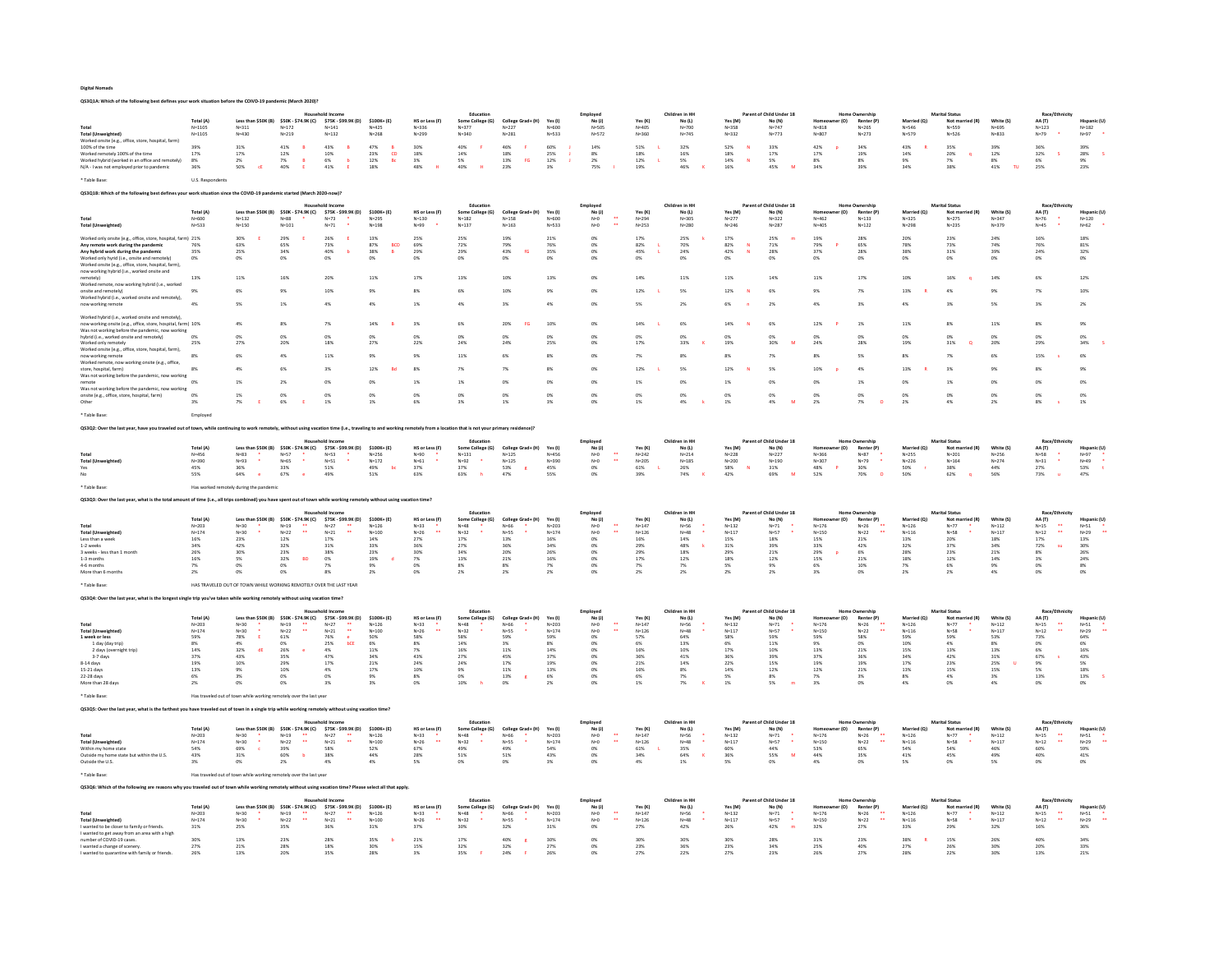| <b>Digital Nomads</b>                                                                 |
|---------------------------------------------------------------------------------------|
| OS3O1A: Which of the following best defines your work situation before the COIVD-19 o |

Total(A) Leasthan-S50K(B)\$50K-574SK(D)\$750K-193, 1990K-10; MScritzed Mecadion (Employed Children Packet Mecadion Mecadion Mecadion Mecadion Mecadion Mecadion Mecadion Mecadion Mecadion ARC Network<br>N=1105 N=111 N=112 N=123 Toda (Movemighted) N=1105 N=411 N=112 N=2441 N=425 N=258 N=229 N=377 N=420 N=575 N=420 N=778 N=132 N=777 N=817 N=818 N=218 N=589 N=589 N=589 N=589 N=589 N=589 N=589 N=589 N=589 N=589 N=589 N=589 N=589 N=589 N=589 N=589 N= Wondenbründerdendentnechnungen des 21% is 6% b 12% is 5% is 2% is 2% is 2% is 3% am is 3% am is 2% is 3% am i<br>NA-lwasnatemploped princhemic 30% 30% € 40% E 11% 42% 48% H 40% i 23% 3% 75% I 19% 46% K 10% 45% M 34% 39% 34% \* Table Base: U.S. Respondents QS3Q1B: Which of the following best defines your work situation since the COVID-19 pandemic started (March 2020-now)? Total (As the SSK(B) 1990، 1992, 1992, 1992, 1992, 2010, 1994 (1990, 1992) (1998, 1992) (1994) (1992) (1998, 1<br>1994 (1992) ماجئات الأخرى (1994) 1993 (1994) 1992 (1994) 1993 (1994 1992) 1994 (1992) 1994) (1994) 1992) 1994 Worked only only on the marked on the marked on the marked on the marked on the marked on the marked on the marked on the marked on the marked on the marked on the marked only on the marked on the marked on the marked on t Any remote work during the pandemic 76% 63% 65% 73% 87% BCD 69% 72% 79% 76% 0% 82% L 70% 82% N 71% 79% P 65% 78% 73% 74% 76% 81% Any hybrid work during the pandemic 35% 25% 34% 40% b 38% B 29% 29% 43% fG 35% 0% 45% L 24% 42% N 28% 37% 28% 38% 31% 39% 24% 32% Worked only hyrid (i.e., onsite and remotely) 0% 0% 0% 0% 0% 0% 0% 0% 0% 0% 0% 0% 0% 0% 0% 0% 0% 0% 0% 0% 0% Worked onsite (e.g., office, store, hospital, farm), now working hybrid (i.e., worked onsite and now woking hybrid (i.e., worked onsite and<br>remotely) 13% 13% 11% 16% 20% 11% 17% 13% 10% 13% 10% 14% 14% 11% 11% 11% 11% 11% 10% 16% q 14% 6% 12%<br>Worked remote, now working hybrid (i.e., worked Wonderlemende,now working hydrid (i.e.,worked<br>Wonderlemendian<br>Wonderlemendian<br>now wonking cenode and are and any the same and the same and the same of the same and the same and the same and the same of the same of the same Worked hybrid (i.e., worked onsite and remotely), now working onsite (e.g., office, store, hospital, farm) 10% 4% 8% 7% 14% B 3% 6% 20% FG 10% 0% 14% L 6% 14% N 6% 12% P 1% 11% 8% 11% 8% 9% Was not working before the pandemic, now working hybrid (i.e., worked onsite and remotely) 0% 0% 0% 0% 0% 0% 0% 0% 0% 0% 0% 0% 0% 0% 0% 0% 0% 0% 0% 0% 0% Worked only remotely 25% 27% 20% 18% 27% 22% 24% 24% 25% 0% 17% 33% K 19% 30% M 24% 28% 19% 31% Q 20% 29% 34% S Worked onsite (e.g., office, store, hospital, farm), now working remote 8% 6% 4% 11% 9% 9% 11% 6% 8% 0% 7% 8% 8% 7% 8% 5% 8% 7% 6% 15% s 6% Worked remote, now working onsite (e.g., office, store,Dongala, Barm) 8% 4% 6% 3% 12% Bd 8% 7% 7% 8% 0% 12% L 5% 12% N 5% 10% 4% 13% R 3% 9% 8% 9%<br>Was not working before the pandemic, now working remote 0% 1% 2% 0% 0% 1% 1% 0% 0% 0% 1% 0% 1% 0% 0% 1% 0% 1% 0% 0% 0% Was not working before the pandemic, now working onsite (e.g., office, store, hospital, farm) 0% 1% 0% 0% 0% 0% 0% 0% 0% 0% 0% 0% 0% 0% 0% 0% 0% 0% 0% 0% 0% Other 3% 7% E 6% E 1% 1% 6% 3% 1% 3% 0% 1% 4% k 1% 4% M 2% 7% O 2% 4% 2% 8% s 1% \* Table Base: Employed QS3Q2: Over the last year, have you traveled out of town, while continuing to work remotely, without using vacation time (i.e., traveling to and working remotely from a location that is not your primary residence)? Todal Todal Leasthan-SSOK(B) SOK-S7-34-SPA (C) STAR-SPASION PRO-DESIGNER (Salescina-F01) No. 2010, No. 2010, No. 2010, No. 2010, No. 2010, No. 2010, No. 2010, No. 2010, No. 2010, No. 2010, No. 2010, No. 2010, No. 2010, No \* Table Base: Has worked remotely during the pandemic QS3Q3: Over the last year, what is the total amount of time (i.e., all trips combined) you have spent out of town while working Total Youngarized Precision SSOK States (1994-1998) 2000 (1998-1998) 2000 12:00 12:00 12:00 12:00 12:00 12:00 12:00 12:00 12:00 12:00 12:00 12:00 12:00 12:00 12:00 12:00 12:00 12:00 12:00 12:00 12:00 12:00 12:00 12:00 12: \* Table Base: HAS TRAVELED OUT OF TOWN WHILE WORKING REMOTELY OVER THE LAST YEAR QS3Q4: Over the last year, what is the longest single trip you've taken while working remotely without using vacation time? Total (A) Less than \$50K (B) \$50K - \$74.9K (C) \$75K - \$99.9K (D) \$100K+ (E) HS or Less (F) Some College (G) College Grad+ (H) Yes (I) No (J) Yes (K) No (L) Yes (M) No (N) Homeowner (O) Renter (P) Married (Q) Not married (R) White (S) AA (T) Hispanic (U) Total N=203 N=30 \* N=19 \*\* N=27 \*\* N=126 N=33 \* N=48 \* N=66 \* N=203 N=0 \*\* N=147 N=56 \* N=132 N=71 \* N=176 N=26 \*\* N=126 N=77 \* N=112 N=15 \*\* N=51 \* Total (Unweighted) N=174 N=30 \* N=22 \*\* N=21 \*\* N=100 N=26 \*\* N=32 \* N=55 \* N=174 N=0 \*\* N=126 N=48 \* N=117 N=57 \* N=150 N=22 \*\* N=116 N=58 \* N=117 N=12 \*\* N=29 \*\* 1 week or less 59% 78% E 61% 76% e 50% 58% 58% 59% 59% 0% 57% 64% 58% 59% 59% 58% 59% 59% 53% 73% 64% 1 day (day trip) 8% 4% 0% 25% bCE 6% 8% 14% 3% 8% 0% 6% 13% 6% 11% 9% 0% 10% 4% 8% 0% 6% 2 days (overnight trip) 14% 32% dE 26% e 4% 11% 7% 16% 11% 14% 0% 16% 10% 17% 10% 13% 21% 15% 13% 13% 6% 16% 3-7 days 37% 43% 35% 47% 34% 43% 27% 45% 37% 0% 36% 41% 36% 39% 37% 36% 34% 42% 31% 67% s 43% 8-14 days 19% 10% 29% 17% 21% 24% 24% 17% 19% 0% 21% 14% 22% 15% 19% 19% 17% 23% 25% U 9% 5% 15-21 days 13% 9% 10% 4% 17% 10% 9% 11% 13% 0% 16% 8% 14% 12% 12% 21% 13% 15% 15% 5% 18% 22-28 days 6% 3% 0% 0% 9% 8% 0% 13% g 6% 0% 6% 7% 5% 8% 7% 3% 8% 4% 3% 13% 13% S More than 28 days 2% 0% 0% 3% 3% 0% 10% h 0% 2% 0% 1% 7% K 1% 5% m 3% 0% 4% 0% 4% 0% 0% \* Table Base: Has traveled out of town while working remotely over the last year QS3Q5: Over the last wear, what is the farthest you have traveled out of town in a single trip while working rep Total Total Incidented) Leads (1993, 2014) Leads (1993, 2014) 2014 (1993, 2014) No. 2014 (1993) No. 2014 (1993) No. 2014 (1993, 2014) No. 2014 (1993, 2014) No. 2014 (1993, 2014) No. 2014 (1993, 2014) No. 2014 (1993, 2014) \* Table Base: https://www.industraveled.out of town while working remotely over the last year of the last year of the last year of the last year of the last year of the last year of the last year of the last year of the la QS3Q6: Which of the following are reasons why you traveled out of tow Total (A) Less than \$50K (B) \$50K - \$74.9K (C) \$75K - \$99.9K (D) \$100K+ (E) HS or Less (F) Some College (G) College Grad+ (H) Yes (I) No (J) Yes (K) No (L) Yes (M) No (N) Homeowner (O) Renter (P) Married (Q) Not married (R) White (S) AA (T) Hispanic (U) Total N=203 N=30 \* N=19 \*\* N=27 \*\* N=126 N=33 \* N=48 \* N=66 \* N=203 N=0 \*\* N=147 N=56 \* N=132 N=71 \* N=176 N=26 \*\* N=126 N=77 \* N=112 N=15 \*\* N=51 \* Total (Unweighted) N=174 N=30 \* N=22 \*\* N=21 \*\* N=100 N=26 \*\* N=32 \* N=55 \* N=174 N=0 \*\* N=126 N=48 \* N=117 N=57 \* N=150 N=22 \*\* N=116 N=58 \* N=117 N=12 \*\* N=29 \*\* I wanted to be closer to family or friends. 31% 25% 35% 36% 31% 37% 30% 32% 31% 0% 27% 42% 26% 42% m 32% 27% 33% 29% 32% 16% 36% I wanted to get away from an area with a high number of COVID-19 cases. 30% 13% 23% 28% 35% b 21% 17% 40% g 30% 0% 30% 30% 30% 28% 31% 23% 38% R 15% 26% 40% 34% I wanted a change of scenery. 27% 21% 28% 18% 30% 15% 32% 32% 27% 0% 23% 36% 23% 34% 25% 40% 27% 26% 30% 20% 33% Household Income Education Employed Children in Head North Parent Polisical Parent (1980)<br>1945 - Ne-Go Ne-203 Ne-D Yes N=12 Ne-5 N=132 Ne-71 -<br>1945 - Ne-So N=274 Ne-D \*\* N=124 N=-8 N=117 N=-57 + Marital Status Race/Ethnicit<br>
Not married (R) White (S)  $AA(T)$ <br>  $N=77$  \*  $N=112$   $N=15$  \*\* Hoortest (Aucuston Employed College Grad- |All Parent | Children in Heath | Household Income | Marital Status<br>H-32 \* N=32 \* N=55 \* N=120 N=0 \* N=147 N=58 \* N=112 N=7 N=76 N=76 N=76 N=77 \* N=115 N=77 N=1112 N=15 \*\* N=51 \*<br> Household Income Education Employed Children in HH Parent of Child Under 18 Home Ownership Marital Status Race/Ethnicity Household Income **Education Employed** Employed Children in HH Parent of Child Under 18 Home Ownership Marital Status Race/Ethnicity House Industrian (1980)<br>Household Income Education Education Income Education Income Income Come Income Come Income<br>House \* N=121 + N=125 N=390 N=0 \*\* N=2Q5 N=218 N=200 N=120 N=360 N=37 \*<br>H=121 + N=22 + N=125 N=390 N=0 \*\* Marital Status<br>Mot married (R) White (S)<br>N=559 N=526 N=833 House Education (Education Employed Contensional Children Income Parent Point Home Parent Head (Discretion Par<br>Household United Annual Marital Under Head (Parent Parent Parent Parent Parent (Discretion Marital Marital Ma<br>  $\begin{array}{lcl} \text{Education} & \text{Conlege Grad+(H)} & \text{Yes (I)} \\ \text{Some College (G)} & \text{Collected and+(H)} & \text{N=500} \\ \text{N=340} & \text{N=281} & \text{N=533} \end{array}$ 

I wanted to quarantine with family or friends. 26% 13% 20% 35% 28% 3% 35% F 24% F 26% 0% 27% 22% 27% 23% 26% 27% 28% 22% 30% 13% 21%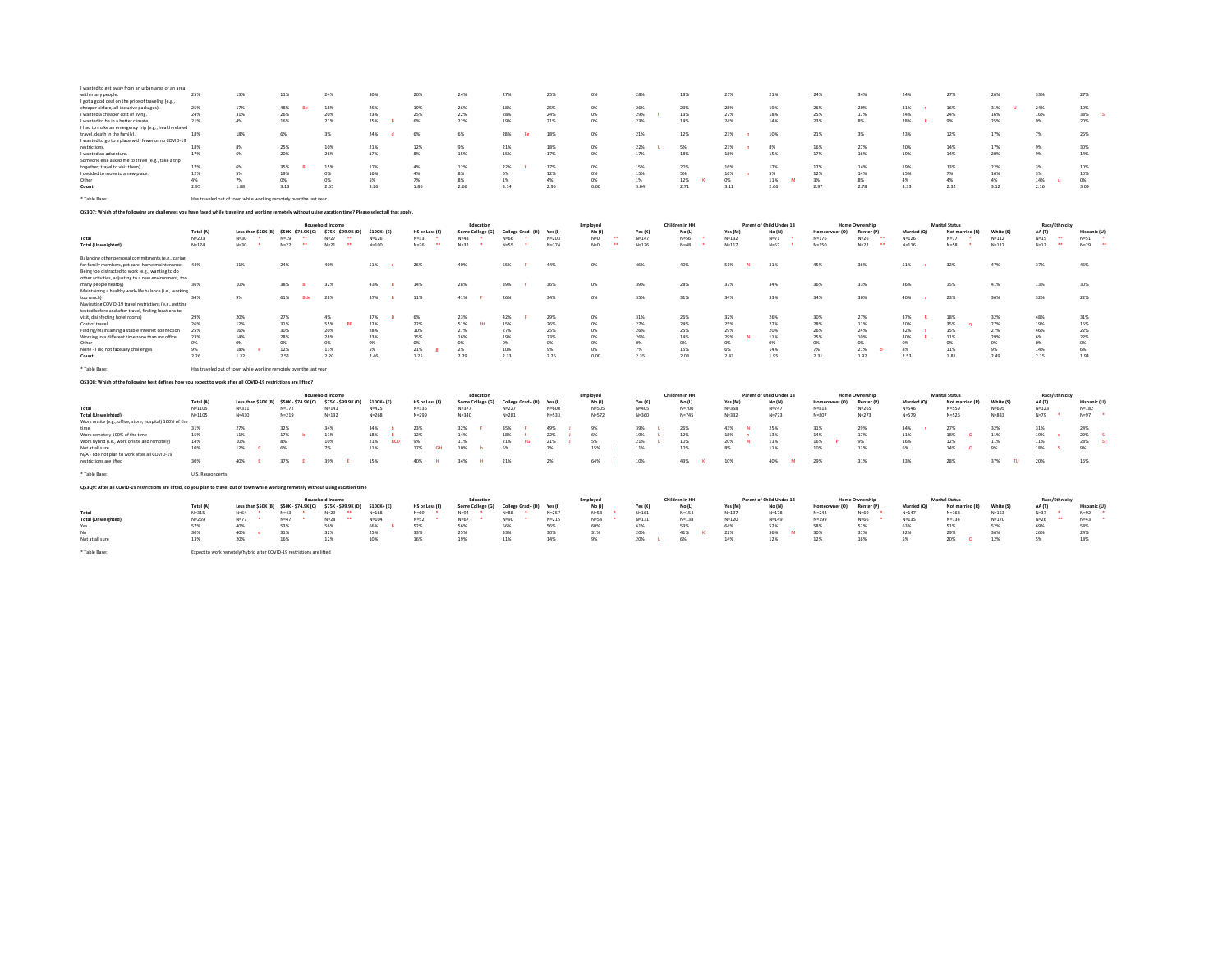| I wanted to get away from an urban area or an area<br>with many people<br>I got a good deal on the price of traveling (e.g.,<br>cheaper airfare, all-inclusive packages)<br>I wanted a cheaper cost of living<br>I wanted to be in a better climate.<br>I had to make an emergency trip (e.g., health-related<br>travel, death in the family).<br>I wanted to go to a place with fewer or no COVID-19<br>restrictions.<br>I wanted an adventure.<br>Someone else asked me to travel (e.g., take a trip<br>together, travel to visit them).<br>I decided to move to a new place.<br>Other<br>Count<br>* Table Base: | 25%<br>25%<br>24%<br>21%<br>18%<br>18%<br>17%<br>17%<br>12%<br>4%<br>2.95<br>Has traveled out of town while working remotely over the last year | 13%<br>17%<br>31%<br>4%<br>18%<br>8%<br>6%<br>6%<br>5%<br>7%<br>1.88            | 11%<br>48%<br>26%<br>16%<br>6%<br>25%<br>20%<br>35%<br>19%<br>0%<br>3.13 |                                                      | 24%<br>18%<br>20%<br>21%<br>3%<br>10%<br>26%<br>15%<br>0%<br>0%<br>2.55                                              | 30%<br>25%<br>23%<br>25%<br>24%<br>21%<br>17%<br>17%<br>16%<br>5%<br>3.26 |                              | 20%<br>19%<br>25%<br>6%<br>6%<br>12%<br>8%<br>4%<br>4%<br>7%<br>1.86 | 24%<br>26%<br>22%<br>22%<br>6%<br>9%<br>15%<br>12%<br>8%<br>8%<br>2.66 | 27%<br>18%<br>28%<br>19%<br>28%<br>21%<br>15%<br>22%<br>6%<br>1%<br>3.14 | 25%<br>25%<br>24%<br>21%<br>18%<br>18%<br>17%<br>17%<br>12%<br>4%<br>2.95 | 0%<br>ON6<br><b>CON</b><br>0%<br>0%<br>O <sup>N</sup><br>0%<br>0%<br>0%<br>0%<br>0.00 | 28%<br>26%<br>29%<br>23%<br>21%<br>22%<br>17%<br>15%<br>15%<br>1%<br>3.04 | 18%<br>23%<br>13%<br>14%<br>12%<br>5%<br>18%<br>20%<br>5%<br>12%<br>2.71 | 27%<br>28%<br>27%<br>24%<br>23%<br>23%<br>18%<br>16%<br>16%<br>0%<br>3.11 | 21%<br>19%<br>18%<br>14%<br>10%<br>8%<br>15%<br>17%<br>5%<br>11%<br>2.66 | 24%<br>26%<br>25%<br>23%<br>21%<br>16%<br>17%<br>17%<br>12%<br>3%<br>2.97 | 34%<br>20%<br>17%<br>8%<br>3%<br>27%<br>16%<br>14%<br>14%<br>8%<br>2.78                                           | 24%<br>31%<br>24%<br>28%<br>23%<br>20%<br>19%<br>19%<br>15%<br>4%<br>3.33 | 27%<br>16%<br>24%<br>9%<br>12%<br>14%<br>14%<br>13%<br>7%<br>4%<br>2.32    | 26%<br>31%<br>٠<br>16%<br>25%<br>17%<br>17%<br>20%<br>22%<br>16%<br>4%<br>3.12 | 33%<br>24%<br>16%<br>9%<br>7%<br>9%<br>9%<br>3%<br>3%<br>14%<br>2.16                   | 27%<br>10%<br>38%<br>20%<br>26%<br>30%<br>14%<br>10%<br>10%<br>0%<br>3.09 |
|--------------------------------------------------------------------------------------------------------------------------------------------------------------------------------------------------------------------------------------------------------------------------------------------------------------------------------------------------------------------------------------------------------------------------------------------------------------------------------------------------------------------------------------------------------------------------------------------------------------------|-------------------------------------------------------------------------------------------------------------------------------------------------|---------------------------------------------------------------------------------|--------------------------------------------------------------------------|------------------------------------------------------|----------------------------------------------------------------------------------------------------------------------|---------------------------------------------------------------------------|------------------------------|----------------------------------------------------------------------|------------------------------------------------------------------------|--------------------------------------------------------------------------|---------------------------------------------------------------------------|---------------------------------------------------------------------------------------|---------------------------------------------------------------------------|--------------------------------------------------------------------------|---------------------------------------------------------------------------|--------------------------------------------------------------------------|---------------------------------------------------------------------------|-------------------------------------------------------------------------------------------------------------------|---------------------------------------------------------------------------|----------------------------------------------------------------------------|--------------------------------------------------------------------------------|----------------------------------------------------------------------------------------|---------------------------------------------------------------------------|
| QS3Q7: Which of the following are challenges you have faced while traveling and working remotely without using vacation time? Please select all that apply.                                                                                                                                                                                                                                                                                                                                                                                                                                                        |                                                                                                                                                 |                                                                                 |                                                                          |                                                      |                                                                                                                      |                                                                           |                              |                                                                      |                                                                        |                                                                          |                                                                           |                                                                                       |                                                                           |                                                                          |                                                                           |                                                                          |                                                                           |                                                                                                                   |                                                                           |                                                                            |                                                                                |                                                                                        |                                                                           |
| Total<br><b>Total (Unweighted)</b>                                                                                                                                                                                                                                                                                                                                                                                                                                                                                                                                                                                 | Total (A)<br>$N = 203$<br>$N = 174$                                                                                                             | Less than \$50K (B) \$50K - \$74.9K (C)<br>$N = 30$<br>$\mathbf{r}$<br>$N = 30$ | $N=19$<br>$N=22$                                                         | $\overline{\phantom{a}}$<br>$\overline{\phantom{a}}$ | <b>Household Income</b><br>\$75K - \$99.9K (D)<br>$N = 27$<br>$\overline{\phantom{a}}$<br>.<br>$N = 21$              | \$100K+(E)<br>$N = 126$<br>$N = 100$                                      |                              | HS or Less (F)<br>$N=33$<br>$N = 26$<br>$\overline{\phantom{a}}$     | Education<br>Some College (G)<br>$N=48$<br>. .<br>$N=32$               | College Grad+ (H)<br>$N = 66$<br>$\bullet$<br>$N = 55$<br>$\bullet$      | Yes (I)<br>$N = 203$<br>$N = 174$                                         | Employed<br>No (J)<br>$N = 0$<br>$\overline{a}$<br>$N=0$<br>$\overline{\phantom{a}}$  | Yes (K)<br>$N = 147$<br>$N = 126$                                         | Children in HH<br>No (L)<br>$N = 56$<br>$N = 48$                         | Yes (M)<br>$N = 132$<br>$N = 117$                                         | Parent of Child Under 18<br>No (N)<br>$N = 71$<br>$\sim$<br>$N = 57$     | Homeowner (O)<br>$N = 176$<br>$N = 150$                                   | <b>Home Ownership</b><br>Renter (P)<br>$N = 26$<br>$\overline{\phantom{a}}$<br>$N=22$<br>$\overline{\phantom{a}}$ | Married (Q)<br>$N = 126$<br>$N = 116$                                     | <b>Marital Status</b><br>Not married (R)<br>$N=77$<br>- 1<br>$N = 58$      | White (S)<br>$N = 112$<br>$N = 117$                                            | Race/Ethnicity<br>AA (T)<br>$N=15$<br>$\cdots$<br>$N = 12$<br>$\overline{\phantom{a}}$ | Hispanic (U)<br>$N = 51$<br>$\overline{\phantom{a}}$<br>$N=29$            |
| Balancing other personal commitments (e.g., caring<br>for family members, pet care, home maintenance)<br>Being too distracted to work (e.g., wanting to do<br>other activities, adjusting to a new environment, too                                                                                                                                                                                                                                                                                                                                                                                                | 44%                                                                                                                                             | 31%                                                                             | 24%                                                                      |                                                      | 40%                                                                                                                  | 51%                                                                       |                              | 26%                                                                  | 40%                                                                    | 55%                                                                      | 44%                                                                       | 0%                                                                                    | 46%                                                                       | 40%                                                                      | 51%                                                                       | 31%                                                                      | 45%                                                                       | 36%                                                                                                               | 51%                                                                       | 32%                                                                        | 47%                                                                            | 37%                                                                                    | 46%                                                                       |
| many people nearby)<br>Maintaining a healthy work-life balance (i.e., working<br>too much)<br>Navigating COVID-19 travel restrictions (e.g., getting                                                                                                                                                                                                                                                                                                                                                                                                                                                               | 36%<br>34%                                                                                                                                      | 10%<br>9%                                                                       | 38%<br>61%                                                               | Bde                                                  | 32%<br>28%                                                                                                           | 43%<br>37%                                                                |                              | 14%<br>11%                                                           | 28%<br>41%                                                             | 39%<br>26%                                                               | 36%<br>34%                                                                | 0%<br>0%                                                                              | 39%<br>35%                                                                | 28%<br>31%                                                               | 37%<br>34%                                                                | 34%<br>33%                                                               | 36%<br>34%                                                                | 33%<br>30%                                                                                                        | 36%<br>40%                                                                | 35%<br>23%                                                                 | 41%<br>36%                                                                     | 13%<br>32%                                                                             | 30%<br>22%                                                                |
| tested before and after travel, finding locations to<br>visit, disinfecting hotel rooms)<br>Cost of travel<br>Finding/Maintaining a stable Internet connection<br>Working in a different time zone than my office<br>Other<br>None - I did not face any challenges<br>Count                                                                                                                                                                                                                                                                                                                                        | 29%<br>26%<br>25%<br>23%<br>0%<br>9%<br>2.26                                                                                                    | 20%<br>12%<br>16%<br>14%<br>0%<br>18%<br>1.32                                   | 27%<br>31%<br>30%<br>28%<br>0%<br>12%<br>2.51                            |                                                      | 4%<br>55%<br><b>BE</b><br>20%<br>28%<br>0%<br>13%<br>2.20                                                            | 37%<br>22%<br>28%<br>23%<br>0%<br>5%<br>2.46                              |                              | 6%<br>22%<br>10%<br>15%<br>0%<br>21%<br>1.25                         | 23%<br>51%<br>27%<br>16%<br>0%<br>2%<br>2.29                           | 42%<br>15%<br>27%<br>19%<br>0%<br>10%<br>2.33                            | 29%<br>26%<br>25%<br>23%<br>0%<br>9%<br>2.26                              | 0%<br>0%<br>0%<br>0%<br>0%<br>ms<br>0.00                                              | 31%<br>27%<br>26%<br>26%<br>0%<br>7%<br>2.35                              | 26%<br>24%<br>25%<br>14%<br>0%<br>15%<br>2.03                            | 32%<br>25%<br>29%<br>29%<br>0%<br>6%<br>2.43                              | 26%<br>27%<br>20%<br>11%<br>0%<br>14%<br>1.95                            | 30%<br>28%<br>26%<br>25%<br>0%<br>7%<br>2.31                              | 27%<br>11%<br>24%<br>10%<br>0%<br>21%<br>1.92                                                                     | 37%<br>20%<br>32%<br>30%<br>0%<br>$8\%$<br>2.53                           | 18%<br>35%<br>15%<br>11%<br>0%<br>11%<br>1.81                              | 32%<br>27%<br>27%<br>29%<br>0%<br>9%<br>2.49                                   | 48%<br>19%<br>46%<br>6%<br>0%<br>14%<br>2.15                                           | 31%<br>15%<br>22%<br>22%<br>0%<br>6%<br>1.94                              |
| * Table Base:                                                                                                                                                                                                                                                                                                                                                                                                                                                                                                                                                                                                      | Has traveled out of town while working remotely over the last year                                                                              |                                                                                 |                                                                          |                                                      |                                                                                                                      |                                                                           |                              |                                                                      |                                                                        |                                                                          |                                                                           |                                                                                       |                                                                           |                                                                          |                                                                           |                                                                          |                                                                           |                                                                                                                   |                                                                           |                                                                            |                                                                                |                                                                                        |                                                                           |
| QS3Q8: Which of the following best defines how you expect to work after all COVID-19 restrictions are lifted?                                                                                                                                                                                                                                                                                                                                                                                                                                                                                                      |                                                                                                                                                 |                                                                                 |                                                                          |                                                      |                                                                                                                      |                                                                           |                              |                                                                      |                                                                        |                                                                          |                                                                           |                                                                                       |                                                                           |                                                                          |                                                                           |                                                                          |                                                                           |                                                                                                                   |                                                                           |                                                                            |                                                                                |                                                                                        |                                                                           |
| Total                                                                                                                                                                                                                                                                                                                                                                                                                                                                                                                                                                                                              | <b>Total (A)</b><br>$N = 1105$                                                                                                                  | Less than \$50K (B) \$50K - \$74.9K (C)<br>$N = 311$                            | $N = 172$                                                                |                                                      | <b>Household Income</b><br>\$75K - \$99.9K (D)<br>$N = 141$                                                          | \$100K+(E)<br>$N = 425$                                                   |                              | HS or Less (F)<br>$N = 336$                                          | Education<br>Some College (G)<br>$N = 377$                             | College Grad+ (H)<br>$N = 227$                                           | Yes (I)<br>$N = 600$                                                      | Employee<br>No (J)<br>$N = 505$                                                       | Yes (K)<br>$N = 405$                                                      | Children in HH<br>No (I)<br>$N = 700$                                    | Yes (M)<br>$N = 358$                                                      | Parent of Child Under 18<br>No (N)<br>$N = 747$                          | Homeowner (O)<br>$N = 818$                                                | <b>Home Ownership</b><br>Renter (P)<br>$N = 265$                                                                  | Married (O)<br>$N = 546$                                                  | <b>Marital Status</b><br>Not married (R)<br>N=559                          | White IS<br>$N = 695$                                                          | Race/Ethnicity<br>AA (T)<br>$N = 123$                                                  | Hispanic (U)<br>$N = 182$                                                 |
| <b>Total (Unweighted)</b><br>Work onsite (e.g., office, store, hospital) 100% of the<br>Work remotely 100% of the time<br>Work hybrid (i.e., work onsite and remotely)<br>Not at all sure<br>N/A - I do not plan to work after all COVID-19<br>restrictions are lifted                                                                                                                                                                                                                                                                                                                                             | $N = 1105$<br>31%<br>15%<br>14%<br>10%<br>30%                                                                                                   | $N = 430$<br>27%<br>11%<br>10%<br>12%<br>40%                                    | $N = 219$<br>32%<br>17%<br>8%<br>6%<br>37%                               |                                                      | $N = 132$<br>34%<br>11%<br>10%<br>7%<br>39%                                                                          | $N = 268$<br>34%<br>18%<br>21%<br>11%<br>15%                              | $\overline{R}$<br><b>BCD</b> | $N = 299$<br>23%<br>12%<br>9%<br>17%<br><b>GH</b><br>40%             | $N = 340$<br>32%<br>14%<br>11%<br>10%<br>ъ.<br>34%                     | $N = 281$<br>35%<br>18%<br>21%<br><b>FG</b><br>5%<br>21%                 | $N = 533$<br>49%<br>22%<br>21%<br>7%<br>2%                                | $N = 572$<br>9%<br>6%<br>5%<br>15%<br>64%                                             | $N = 360$<br>39%<br>19%<br>21%<br>11%<br>10%                              | $N = 745$<br>26%<br>12%<br>10%<br>10%<br>43%                             | $N = 332$<br>43%<br>18%<br>20%<br>8%<br>10%                               | $N = 773$<br>25%<br>13%<br>11%<br>11%<br>40%                             | $N = 807$<br>31%<br>14%<br>16%<br>10%<br>29%                              | $N = 273$<br>29%<br>17%<br>9%<br>13%<br>31%                                                                       | $N = 579$<br>34%<br>11%<br>16%<br>6%<br>33%                               | $N = 526$<br>27%<br>18%<br>$\circ$<br>12%<br>14%<br>$\circ$<br>28%         | $N = 833$<br>32%<br>11%<br>11%<br>9%<br>37%<br>TU                              | $N=79$<br>31%<br>19%<br>-5<br>11%<br>18%<br>20%                                        | $N = 97$<br>24%<br>22%<br>28%<br><b>ST</b><br>9%<br>16%                   |
| * Table Base:                                                                                                                                                                                                                                                                                                                                                                                                                                                                                                                                                                                                      | U.S. Respondents                                                                                                                                |                                                                                 |                                                                          |                                                      |                                                                                                                      |                                                                           |                              |                                                                      |                                                                        |                                                                          |                                                                           |                                                                                       |                                                                           |                                                                          |                                                                           |                                                                          |                                                                           |                                                                                                                   |                                                                           |                                                                            |                                                                                |                                                                                        |                                                                           |
| QS3Q9: After all COVID-19 restrictions are lifted, do you plan to travel out of town while working remotely without using vacation time                                                                                                                                                                                                                                                                                                                                                                                                                                                                            |                                                                                                                                                 |                                                                                 |                                                                          |                                                      |                                                                                                                      |                                                                           |                              |                                                                      |                                                                        |                                                                          |                                                                           |                                                                                       |                                                                           |                                                                          |                                                                           |                                                                          |                                                                           |                                                                                                                   |                                                                           |                                                                            |                                                                                |                                                                                        |                                                                           |
|                                                                                                                                                                                                                                                                                                                                                                                                                                                                                                                                                                                                                    |                                                                                                                                                 |                                                                                 |                                                                          | Household Income                                     |                                                                                                                      |                                                                           |                              |                                                                      | Education                                                              |                                                                          |                                                                           | Employed                                                                              |                                                                           | Children in HH                                                           |                                                                           | Parent of Child Under 18                                                 |                                                                           | <b>Home Ownership</b>                                                                                             |                                                                           | <b>Marital Status</b>                                                      |                                                                                | Race/Ethnicity                                                                         |                                                                           |
| Total<br><b>Total (Unweighted)</b><br>Yes<br>Not at all sure<br>* Table Base:                                                                                                                                                                                                                                                                                                                                                                                                                                                                                                                                      | Total (A)<br>$N = 315$<br>$N = 269$<br>57%<br>30%<br>13%<br>Expect to work remotely/hybrid after COVID-19 restrictions are lifted               | Less than \$50K (B)<br>$N = 64$<br>$N=77$<br>40%<br>40%<br>20%                  | \$50K - \$74.9K (C)<br>$N = 43$<br>$N = 47$<br>53%<br>31%<br>16%         |                                                      | \$75K - \$99.9K (D)<br>$N=29$<br>$\overline{\phantom{a}}$<br>$N=28$<br>$\overline{\phantom{a}}$<br>56%<br>32%<br>12% | \$100K+(E)<br>$N = 168$<br>$N = 104$<br>66%<br>25%<br>10%                 |                              | HS or Less (F)<br>$N = 69$<br>$N = 52$<br>52%<br>33%<br>16%          | Some College (G)<br>$N = 94$<br>٠.<br>$N = 67$<br>56%<br>25%<br>19%    | College Grad+ (H)<br>$N = 88$<br>٠<br>$N = 90$<br>56%<br>33%<br>11%      | Yes (I)<br>$N = 257$<br>$N = 215$<br>56%<br>30%<br>14%                    | No (J)<br>$N = 58$<br>$N = 54$<br>60%<br>31%<br>9%                                    | Yes (K)<br>$N = 161$<br>$N = 131$<br>61%<br>20%<br>20%                    | No (L)<br>$N = 154$<br>$N = 138$<br>53%<br>41%<br>6%                     | Yes (M)<br>$N = 137$<br>$N = 120$<br>64%<br>22%<br>14%                    | No (N)<br>$N = 178$<br>$N = 149$<br>52%<br>36%<br>M<br>12%               | Homeo<br>ner (O)<br>$N = 242$<br>$N = 199$<br>58%<br>30%<br>12%           | Renter (P)<br>$N = 69$<br>$N = 66$<br>52%<br>31%<br>16%                                                           | Married (Q)<br>$N = 147$<br>$N=135$<br>63%<br>32%<br>5%                   | Not married (R)<br>$N = 168$<br>$N = 134$<br>51%<br>29%<br>20%<br>$\Omega$ | White (S)<br>$N = 153$<br>$N = 170$<br>52%<br>36%<br>12%                       | AA (T)<br>$N = 37$<br>$\ddot{\phantom{0}}$<br>$N = 26$<br>69%<br>26%<br>5%             | Hispanic (U)<br>$N = 92$<br>$N = 43$<br>58%<br>24%<br>18%                 |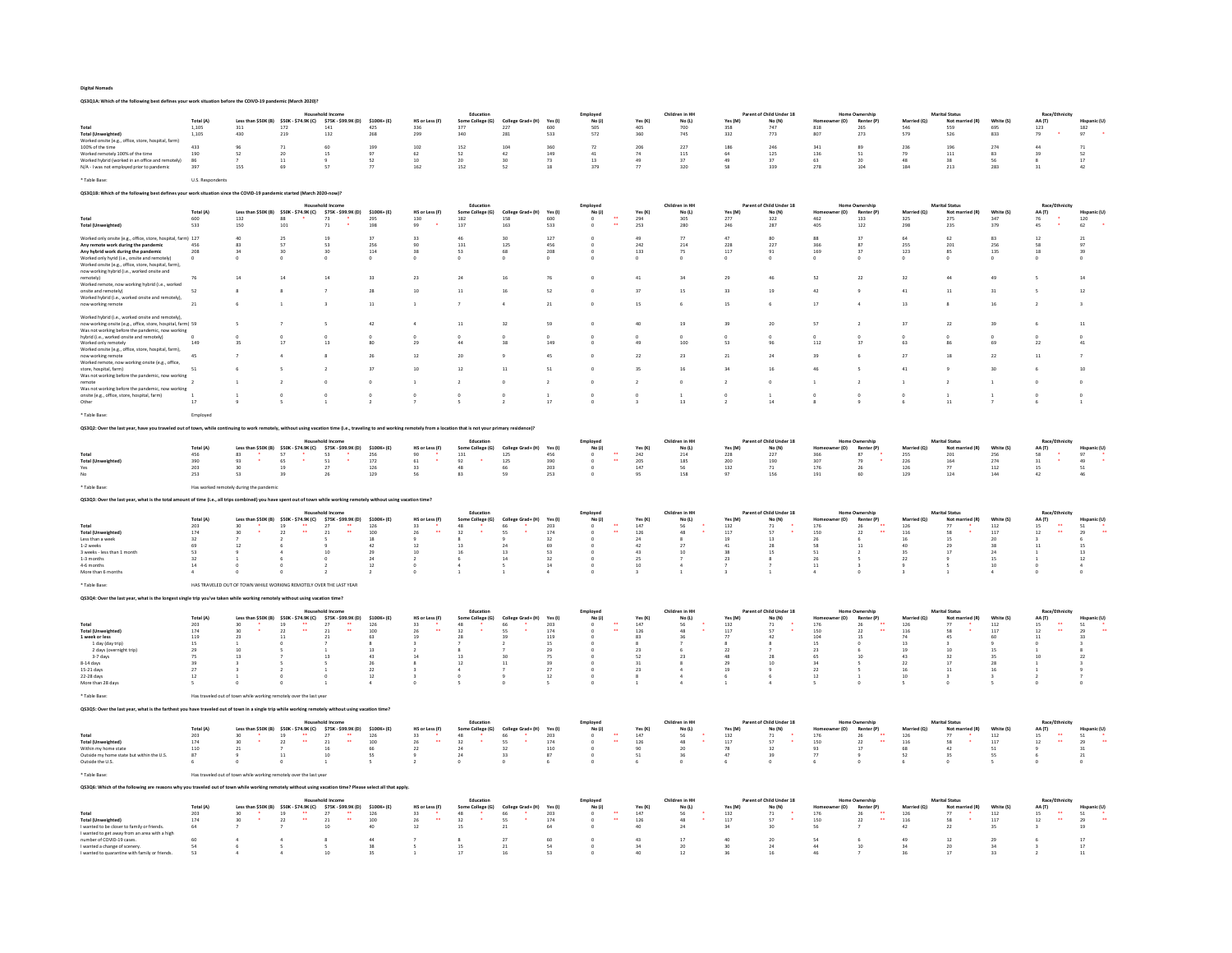QS3Q1A: Which of the following best defines your work situation before the COIVD-19 pandemic (March 2020)?

|                                                                                                                                                                        |                           |                                                                    |                                                                                                  |                                               |                          |                                         | Education                                   |                          |                       | Employed                                       |                                           | Children in HH       |                                           | Parent of Child Under 18 |                                                  | <b>Home Ownership</b>  |                                                | <b>Marital Status</b> |                                                 | Race/Eth                                               |                  |
|------------------------------------------------------------------------------------------------------------------------------------------------------------------------|---------------------------|--------------------------------------------------------------------|--------------------------------------------------------------------------------------------------|-----------------------------------------------|--------------------------|-----------------------------------------|---------------------------------------------|--------------------------|-----------------------|------------------------------------------------|-------------------------------------------|----------------------|-------------------------------------------|--------------------------|--------------------------------------------------|------------------------|------------------------------------------------|-----------------------|-------------------------------------------------|--------------------------------------------------------|------------------|
|                                                                                                                                                                        | <b>Total</b> (A)<br>1,105 |                                                                    | Less than \$50K (B) \$50K - \$74.9K (C)                                                          | \$75K - \$99.9K (D)<br>141                    | \$100K+(E)<br>$425\,$    | HS or Less (F)<br>336                   | Some College (G)<br>377                     | College Grad+ (H)<br>227 | <b>Yes (I)</b><br>600 | No(1)<br>505                                   | Yes (K)                                   | No (L)<br>700        | Yes (M)<br>358                            | No (N)<br>747            | (O)                                              | Renter (P)             | Married (O)                                    | Not mar<br>559        | White (S)<br>695                                | AA (T)<br>123                                          |                  |
| <b>Total (Unweighted)</b>                                                                                                                                              | 1,105                     | $\frac{311}{430}$                                                  | $\frac{172}{219}$                                                                                | 132                                           | 268                      | 299                                     | 340                                         | 281                      | 533                   | 572                                            | $\frac{405}{360}$                         | 745                  | 332                                       | 773                      | $\begin{array}{c} 818 \\ 807 \end{array}$        | $\frac{265}{273}$      | 546<br>579                                     | 526                   | 833                                             | 79                                                     | $\frac{182}{97}$ |
| Worked onsite (e.g., office, store, hospital, far<br>100% of the time                                                                                                  | 433                       | 96                                                                 | 71                                                                                               | 60                                            |                          | 102                                     | 152                                         | 104                      | 360                   | 72                                             | 206                                       | 227                  | 186                                       | 246                      | 341                                              |                        | 236                                            | 196                   | 274                                             | 44                                                     | 71               |
| Worked remotely 100% of the time                                                                                                                                       | 190                       | 52                                                                 | 20                                                                                               | 15                                            | 199<br>97                | $62\,$                                  | 52                                          | 42                       | 149                   | 41                                             | $74\,$                                    | 115                  | $64\,$                                    | 125                      | 136                                              | 89<br>51               | 79                                             | 111                   | 83                                              | 39                                                     | 52               |
| Worked hybrid (worked in an office and remotely)                                                                                                                       | 86                        |                                                                    | $11\,$                                                                                           |                                               | 52                       | 10                                      | 20 <sup>°</sup>                             | 30 <sup>2</sup>          | $73\,$                | $13\,$                                         | 49                                        | 37                   | 49                                        | 37                       | 63                                               | 20                     | 48                                             | 38                    | 56                                              |                                                        | $17\,$           |
| N/A - I was not employed prior to pandemic                                                                                                                             | 397                       | 155                                                                | 69                                                                                               | 57                                            | 77                       | 162                                     | 152                                         | 52                       | 18                    | 379                                            | 77                                        | 320                  | 58                                        | 339                      | 278                                              | 104                    | 184                                            | 213                   | 283                                             | 31                                                     | 42               |
| ' Table Base:                                                                                                                                                          | U.S. Respondents          |                                                                    |                                                                                                  |                                               |                          |                                         |                                             |                          |                       |                                                |                                           |                      |                                           |                          |                                                  |                        |                                                |                       |                                                 |                                                        |                  |
|                                                                                                                                                                        |                           |                                                                    |                                                                                                  |                                               |                          |                                         |                                             |                          |                       |                                                |                                           |                      |                                           |                          |                                                  |                        |                                                |                       |                                                 |                                                        |                  |
| Q\$3Q1B: Which of the following best defines your work situation since the COVID-19 pandemic started (March 2020-now)?                                                 |                           |                                                                    |                                                                                                  |                                               |                          |                                         |                                             |                          |                       |                                                |                                           |                      |                                           |                          |                                                  |                        |                                                |                       |                                                 |                                                        |                  |
|                                                                                                                                                                        |                           |                                                                    |                                                                                                  |                                               |                          |                                         | Educatio                                    |                          |                       |                                                |                                           | hildren in HH        |                                           | t of Child Under 18      |                                                  |                        |                                                |                       |                                                 | Race/E                                                 |                  |
|                                                                                                                                                                        | <b>Total (A)</b><br>600   | 132                                                                | Less than \$50K (B) \$50K - \$74.9K (C)                                                          | \$75K - \$99.9K (D)                           | \$100K+(E)               | HS or Less (F)                          | Some College (G)<br>182                     | College Grad+ (H)<br>158 | Yes (I)<br>600        | No(1)<br>$\ddot{\phantom{a}}$                  | Yes (K)<br>294                            | No (L)               | Yes (M)<br>277                            | No (N)<br>322            | r (O)<br>462                                     | Renter (P)<br>133      | Married (O)<br>325                             | Not married (R)       | White (S)<br>347                                | AA (T)                                                 | Hisnanis<br>120  |
| <b>Total (Unweighted)</b>                                                                                                                                              | 533                       | 150                                                                | 88<br>$\bf{101}$                                                                                 | 73<br>$71\,$                                  | 295<br>198               | 130<br>99                               | 137                                         | 163                      | ${\sf 533}$           |                                                | 253                                       | 305<br>280           | $\bf 246$                                 | ${\bf 287}$              | $40\mathrm{S}$                                   | $122\,$                | 298                                            | 275<br>235            | 379                                             | 76<br>45                                               | $62\,$           |
|                                                                                                                                                                        |                           |                                                                    |                                                                                                  |                                               |                          |                                         |                                             |                          |                       |                                                |                                           |                      |                                           |                          |                                                  |                        |                                                |                       |                                                 |                                                        |                  |
| orked only onsite (e.g., office, store, hospital, farm) 127<br>Any remote work during the pandemic                                                                     | 456                       | 40<br>83                                                           | 25<br>57                                                                                         | 19<br>53                                      | 37<br>256                | 33<br>90                                | 46<br>131                                   | 30<br>125                | 127<br>456            |                                                | 49<br>242                                 | 77<br>214            | 47<br>228                                 | 80<br>227                | 88<br>366                                        | 37<br>87               | $64\,$<br>255                                  | 62<br>201             | 83<br>256                                       | $12\,$<br>58                                           | $_{21}$<br>97    |
| Any hybrid work during the pandemic                                                                                                                                    | 208                       | 34                                                                 | 30                                                                                               | 30                                            | 114                      | 38                                      | 53                                          | 68                       | 208                   |                                                | 133                                       | 75                   | 117                                       | 91                       | 169                                              | 37                     | 123                                            | 85                    | 135                                             | 18                                                     | 39               |
| Worked only hyrid (i.e., onsite and remotely)                                                                                                                          | $\circ$                   |                                                                    |                                                                                                  | $\mathbf 0$                                   | $\mathfrak o$            | $\mathbf 0$                             |                                             |                          |                       |                                                | $\mathbf 0$                               | $\circ$              | $\circ$                                   |                          | $\mathfrak o$                                    |                        | $\mathbf 0$                                    | $\circ$               | $\bf{0}$                                        | $\circ$                                                |                  |
| Worked onsite (e.g., office, store, hospital, farm).<br>now working hybrid (i.e., worked onsite and                                                                    |                           |                                                                    |                                                                                                  |                                               |                          |                                         |                                             |                          |                       |                                                |                                           |                      |                                           |                          |                                                  |                        |                                                |                       |                                                 |                                                        |                  |
| remotely)                                                                                                                                                              |                           | 14                                                                 | 14                                                                                               | 14                                            | 33                       | 23                                      | 24                                          | 16                       | 76                    |                                                | 41                                        | 34                   | 29                                        | 46                       | 52                                               | 22                     | 32                                             | 44                    | 49                                              |                                                        |                  |
| Worked remote, now working hybrid (i.e., worked<br>onsite and remotely)                                                                                                | 52                        |                                                                    |                                                                                                  |                                               | 28                       | 10                                      | 11                                          |                          | 52                    |                                                | 37                                        | 15                   | 33                                        |                          | 42                                               |                        | A1                                             |                       |                                                 |                                                        |                  |
| Worked hybrid (i.e., worked onsite and remotely).                                                                                                                      |                           |                                                                    |                                                                                                  |                                               |                          |                                         |                                             |                          |                       |                                                |                                           |                      |                                           |                          |                                                  |                        |                                                |                       |                                                 |                                                        |                  |
| ow working remote                                                                                                                                                      |                           |                                                                    |                                                                                                  |                                               | $11\,$                   |                                         |                                             |                          | $^{21}$               |                                                | 15                                        |                      |                                           |                          | 17                                               |                        | 13                                             |                       |                                                 |                                                        |                  |
| Worked hybrid (i.e., worked onsite and remotely)                                                                                                                       |                           |                                                                    |                                                                                                  |                                               |                          |                                         |                                             |                          |                       |                                                |                                           |                      |                                           |                          |                                                  |                        |                                                |                       |                                                 |                                                        |                  |
| tow working onsite (e.g., office, store, hospital, farm) 59                                                                                                            |                           |                                                                    |                                                                                                  |                                               | 42                       |                                         | $\frac{1}{2}$                               | 32                       | 59                    |                                                | 40                                        | 19                   |                                           | 20                       | 57                                               |                        | 37                                             | $\overline{2}$        | $\overline{\mathbf{3}}$                         |                                                        |                  |
| Was not working before the pandemic, now working                                                                                                                       |                           |                                                                    |                                                                                                  |                                               |                          |                                         |                                             |                          |                       |                                                |                                           |                      |                                           |                          |                                                  |                        |                                                |                       |                                                 |                                                        |                  |
| hybrid (i.e., worked onsite and remotely)<br>Worked only remotely                                                                                                      | 149                       |                                                                    | 17                                                                                               | 13                                            |                          | 29                                      |                                             |                          | 149                   |                                                |                                           | 100                  | 53                                        |                          | 112                                              |                        | 63                                             |                       |                                                 | 22                                                     | 41               |
| Worked onsite (e.g., office, store, hospital, farm),                                                                                                                   |                           |                                                                    |                                                                                                  |                                               |                          |                                         |                                             |                          |                       |                                                |                                           |                      |                                           |                          |                                                  |                        |                                                |                       |                                                 |                                                        |                  |
| now working remote                                                                                                                                                     | 45                        |                                                                    |                                                                                                  |                                               |                          | 12                                      | 20                                          |                          | $\overline{AB}$       |                                                | 22                                        | 23                   |                                           |                          |                                                  |                        | 27                                             |                       | $^{22}$                                         |                                                        |                  |
| Worked remote, now working onsite (e.g., office,<br>store, hospital, farm)                                                                                             |                           |                                                                    |                                                                                                  |                                               |                          |                                         | 12                                          |                          | 51                    |                                                |                                           | 16                   |                                           |                          |                                                  |                        |                                                |                       |                                                 |                                                        |                  |
| Was not working before the pandemic, now working                                                                                                                       |                           |                                                                    |                                                                                                  |                                               |                          |                                         |                                             |                          |                       |                                                |                                           |                      |                                           |                          |                                                  |                        |                                                |                       |                                                 |                                                        |                  |
| remote<br>Was not working before the pandemic, now wo                                                                                                                  |                           |                                                                    |                                                                                                  |                                               | $\circ$                  | $\mathbf{1}$                            |                                             |                          |                       |                                                | $\overline{2}$                            | $^{\circ}$           | $\overline{2}$                            | $\circ$                  | $\mathbf{1}$                                     | $\overline{2}$         | $\mathbf{1}$                                   | $\overline{2}$        |                                                 |                                                        |                  |
| onsite (e.g., office, store, hospital, farm)                                                                                                                           |                           |                                                                    |                                                                                                  |                                               |                          |                                         |                                             |                          |                       |                                                | $\Omega$                                  |                      | $\Omega$                                  | $\mathbf{1}$             |                                                  |                        | $\Omega$                                       |                       |                                                 |                                                        |                  |
|                                                                                                                                                                        |                           |                                                                    |                                                                                                  |                                               |                          |                                         |                                             |                          |                       |                                                |                                           |                      |                                           |                          |                                                  |                        |                                                |                       |                                                 |                                                        |                  |
| * Table Base:                                                                                                                                                          | Employee                  |                                                                    |                                                                                                  |                                               |                          |                                         |                                             |                          |                       |                                                |                                           |                      |                                           |                          |                                                  |                        |                                                |                       |                                                 |                                                        |                  |
|                                                                                                                                                                        |                           |                                                                    |                                                                                                  |                                               |                          |                                         |                                             |                          |                       |                                                |                                           |                      |                                           |                          |                                                  |                        |                                                |                       |                                                 |                                                        |                  |
| OS3O2: Over the last year, have you traveled out of town, while continuing to work remotely, without using vacation time (i.e., traveling to and wo                    |                           |                                                                    |                                                                                                  |                                               |                          |                                         |                                             |                          |                       |                                                |                                           |                      |                                           |                          |                                                  |                        |                                                |                       |                                                 |                                                        |                  |
|                                                                                                                                                                        |                           |                                                                    |                                                                                                  | <b>Household Income</b>                       |                          |                                         | Education                                   |                          |                       |                                                |                                           | Children in HH       |                                           | Parent of Child Under 18 |                                                  |                        |                                                | <b>Marital Chats</b>  |                                                 | Race/Ft                                                |                  |
|                                                                                                                                                                        | <b>Total (A)</b>          |                                                                    | Less than \$50K (B) \$50K - \$74.9K (C)                                                          | \$75K - \$99.9K (D)                           | \$100K+(E)               | HS or Less (F)                          | Some College (G)                            | College Grad+ (H)        | Yes (I)               | No(1)                                          | Yes (K)                                   | No (L)               | Yes (M)                                   | No (N)                   | r (O)                                            | Renter (P)             | Married (O)                                    | Not mar<br>ried (R)   | White (S)                                       | AA (T)                                                 |                  |
| <b>Total (Unweighted)</b>                                                                                                                                              | 456<br>390                | 83<br>93                                                           | 57<br>65                                                                                         | 53<br>51                                      | 256<br>172               | 90<br>61                                | $\overline{1}\overline{3}\overline{1}$<br>× |                          | 456<br>390            | $\bullet\bullet$<br>$\mathbf{a}$<br>$^{\circ}$ | $\bf 242$                                 | 214<br>185           | $_{\rm 228}$                              | 227<br>190               |                                                  | $^{\rm 87}$<br>79      |                                                | 201<br>164            | 256<br>274                                      | 58<br>$\epsilon$<br>31                                 | 97<br>49         |
| Yes                                                                                                                                                                    | ${\bf 203}$               | 30                                                                 | 19                                                                                               | $\mathbf{27}$                                 | $126\,$                  | 33                                      | $\begin{array}{c} 92 \\ 48 \end{array}$     | $\frac{125}{125}$        | 203                   |                                                | $\begin{array}{c} 205 \\ 147 \end{array}$ | 56                   | $\begin{array}{c} 200 \\ 132 \end{array}$ | $71\,$                   | $\begin{array}{c} 366 \\ 307 \\ 176 \end{array}$ | $\overline{26}$        | 255<br>226<br>126                              | $7\bar{7}$            | 112                                             | 15                                                     | $\sf{51}$        |
| No                                                                                                                                                                     | 253                       | 53                                                                 | 39                                                                                               | 26                                            | 129                      | 56                                      | 83                                          | 59                       | 253                   | $\sim$                                         | 95                                        | 158                  | 97                                        | 156                      | 191                                              | 60                     | 129                                            | 124                   | 144                                             | 42                                                     | 46               |
|                                                                                                                                                                        |                           |                                                                    |                                                                                                  |                                               |                          |                                         |                                             |                          |                       |                                                |                                           |                      |                                           |                          |                                                  |                        |                                                |                       |                                                 |                                                        |                  |
|                                                                                                                                                                        |                           |                                                                    |                                                                                                  |                                               |                          |                                         |                                             |                          |                       |                                                |                                           |                      |                                           |                          |                                                  |                        |                                                |                       |                                                 |                                                        |                  |
|                                                                                                                                                                        |                           | Has worked remotely during the pandemic                            |                                                                                                  |                                               |                          |                                         |                                             |                          |                       |                                                |                                           |                      |                                           |                          |                                                  |                        |                                                |                       |                                                 |                                                        |                  |
| Q\$3Q3: Over the last year, what is the total amount of time (i.e., all trips combined) you have spent out of town while working remotely without using vacation time? |                           |                                                                    |                                                                                                  |                                               |                          |                                         |                                             |                          |                       |                                                |                                           |                      |                                           |                          |                                                  |                        |                                                |                       |                                                 |                                                        |                  |
|                                                                                                                                                                        |                           |                                                                    |                                                                                                  |                                               |                          |                                         | Education                                   |                          |                       |                                                |                                           | Children in HH       |                                           | Parent of Child Under 18 |                                                  | Home Ownershi          |                                                | Marital Status        |                                                 | Race/Eth                                               |                  |
|                                                                                                                                                                        | Total (A                  |                                                                    | \$50K - \$74.9K (C)                                                                              | \$75K - \$99.9K (D)                           | \$100K+(E)               | HS or Less (F)                          | me College (G)                              | College Grad+ (H)        | Yes (I)               | No(1)                                          | Yes (K)                                   | No(1)                | Yes (M                                    | No (N)                   | (O)                                              | Renter (P)             |                                                | Not mar               |                                                 | AA (T)                                                 |                  |
| Total                                                                                                                                                                  | 203                       |                                                                    | 19<br>$\mathbf{r}$                                                                               | 27<br>$\mathbf{r}$                            | 126                      | 33<br>$\mathbf{r}$                      | 48                                          | 66                       | 203                   | $\mathbf{a}$<br>$\mathbf{r}$                   | 147                                       | 56                   | 132                                       |                          | 176                                              | 26<br>$\mathbf{r}$     | 126                                            | 77                    | 112                                             | $\ddot{\phantom{1}}$<br>15<br>$\overline{\phantom{a}}$ | 51               |
| <b>Total (Unweighted)</b><br>Less than a week                                                                                                                          | 174<br>32                 |                                                                    | $22\,$                                                                                           | $2\mathbf{1}$                                 | $100\,$<br>18            | $\bf 26$                                | 32                                          | ss                       | $174\,$               |                                                | 126                                       | 48                   | $117\,$                                   | $\frac{71}{57}$<br>13    | 150<br>26                                        | $\bf{22}$<br>6         | $116\,$<br>16                                  | 58<br>15              | 117<br>20 <sup>o</sup>                          | $12\,$                                                 | 29               |
| 1-2 weeks                                                                                                                                                              | 69                        | 12                                                                 |                                                                                                  |                                               | 42                       | 12                                      | 13                                          | 24                       | $_{\rm 32}$<br>69     |                                                | $\bf 24$<br>42                            | 27                   | 19<br>41                                  | 28                       | 58                                               | 11                     | 40                                             | 29                    | 38                                              | 11                                                     | 15               |
| 3 weeks - less than 1 mo                                                                                                                                               | 32                        |                                                                    |                                                                                                  |                                               | 29                       | 10<br>$\mathcal{L}$                     | 16                                          | 13                       | 53                    |                                                | $43\,$                                    | 10                   | 38                                        | $1\mathrm{S}$            | 51                                               |                        | 35                                             | 17                    | $_{\rm 24}$                                     |                                                        | 13               |
| 1-3 months<br>4-6 months                                                                                                                                               |                           |                                                                    |                                                                                                  |                                               | 24<br>12                 |                                         |                                             | 14                       | 32<br>14              |                                                |                                           |                      | 23                                        |                          | 26<br>11                                         |                        | 22                                             |                       | 15<br>$10\,$                                    |                                                        | 12               |
| More than 6 month:                                                                                                                                                     |                           |                                                                    |                                                                                                  |                                               |                          |                                         |                                             |                          |                       |                                                | $\begin{array}{c} 25 \\ 10 \end{array}$   |                      |                                           |                          |                                                  |                        |                                                |                       |                                                 |                                                        |                  |
|                                                                                                                                                                        |                           |                                                                    |                                                                                                  |                                               |                          |                                         |                                             |                          |                       |                                                |                                           |                      |                                           |                          |                                                  |                        |                                                |                       |                                                 |                                                        |                  |
| * Table Base                                                                                                                                                           |                           | HAS TRAVELED OUT OF TOWN WHILE WORKING REMOTELY OVER THE LAST YEAR |                                                                                                  |                                               |                          |                                         |                                             |                          |                       |                                                |                                           |                      |                                           |                          |                                                  |                        |                                                |                       |                                                 |                                                        |                  |
| QS3Q4: Over the last year.<br>what is the longest single trip you've taken while working remotely without using vacation time?                                         |                           |                                                                    |                                                                                                  |                                               |                          |                                         |                                             |                          |                       |                                                |                                           |                      |                                           |                          |                                                  |                        |                                                |                       |                                                 |                                                        |                  |
|                                                                                                                                                                        |                           |                                                                    |                                                                                                  |                                               |                          |                                         | Education                                   |                          |                       |                                                |                                           | Children in HH       |                                           | Parent of Child Under 18 |                                                  |                        |                                                | Marital Statu         |                                                 | Race/Et                                                |                  |
|                                                                                                                                                                        | Total (A                  | Less than \$50K (B)                                                | \$50K - \$74.9K (C)                                                                              | \$75K - \$99.9K (D)                           | $$100K + (E)$            | HS or Less (F)                          | me College (G)                              |                          | Yes (I                | No (J)                                         | Yes (K)                                   | No (L)               | Yes (M                                    | No (N)                   |                                                  | Renter (P)             |                                                | Not ma                |                                                 | AA (T)                                                 |                  |
| Total                                                                                                                                                                  | 203<br>174                | 30<br>30                                                           | 19<br>22<br>$\mathbf{r}$                                                                         | 27<br>$\mathbf{r}$                            | 126                      | 33<br>26                                | 48<br>32                                    | 66<br>SS                 | 203                   | $\mathbf{r}$                                   | 147                                       | 56<br>48             | 132                                       | 71                       | 176                                              | 26<br>22               | 126                                            | 77                    |                                                 | 15<br>$\mathbf{r}$<br>$12\,$                           | 51<br>29         |
| <b>Total (Unweighted)</b><br>1 week or less                                                                                                                            | 119                       | 23                                                                 | 11                                                                                               | $\overline{21}$<br>$\bf{21}$                  | 100<br>63                | 19                                      | 28                                          | 39                       | 174<br>119            |                                                | 126<br>83                                 | 36                   | 117<br>77                                 | 42                       | 150<br>$_{\rm 104}$                              | 15                     | 116<br>74                                      | 49                    | $\begin{array}{c} 112 \\ 117 \end{array}$<br>60 | 11                                                     | 33               |
| 1 day (day trip)                                                                                                                                                       | 15                        |                                                                    |                                                                                                  |                                               | $\mathbf{R}$             |                                         |                                             |                          | 15                    |                                                |                                           |                      |                                           |                          | 15                                               | $\Omega$               | 13                                             |                       |                                                 |                                                        |                  |
| 2 days (overnight trip)<br>3-7 days                                                                                                                                    |                           | 13                                                                 |                                                                                                  | 13                                            | 13<br>43                 | 14                                      | 13                                          | 30                       | 29<br>75              |                                                | 23<br>52                                  | 23                   | 22<br>48                                  | 28                       | 23<br>65                                         | 10                     | 19<br>43                                       | 32                    | 15<br>35                                        | 10                                                     |                  |
| 8-14 days                                                                                                                                                              |                           |                                                                    |                                                                                                  |                                               | 26                       |                                         | 12                                          | 11                       | 39                    |                                                | $\frac{1}{31}$                            |                      | 29                                        | 10                       | 34                                               |                        | 22                                             | 17                    | $^{\rm 28}$                                     |                                                        |                  |
| 15-21 days                                                                                                                                                             |                           |                                                                    |                                                                                                  |                                               | $^{22}$                  |                                         |                                             |                          | $^{27}$               |                                                | $^{23}$                                   |                      | 19                                        |                          | $\bf{22}$                                        |                        | 16                                             |                       | 16                                              |                                                        |                  |
| 22-28 days<br>More than 28 days                                                                                                                                        | 12                        |                                                                    |                                                                                                  |                                               | 12                       |                                         |                                             |                          | 12                    |                                                |                                           |                      |                                           |                          | 12                                               |                        | 10                                             |                       |                                                 |                                                        |                  |
|                                                                                                                                                                        |                           |                                                                    |                                                                                                  |                                               |                          |                                         |                                             |                          |                       |                                                |                                           |                      |                                           |                          |                                                  |                        |                                                |                       |                                                 |                                                        |                  |
| Table Base:                                                                                                                                                            |                           | Has traveled out of town while working remotely over the last year |                                                                                                  |                                               |                          |                                         |                                             |                          |                       |                                                |                                           |                      |                                           |                          |                                                  |                        |                                                |                       |                                                 |                                                        |                  |
| QS3Q5: Over the last year, what is the farthest you have traveled out of town in a                                                                                     |                           |                                                                    |                                                                                                  | otely without using vacation time             |                          |                                         |                                             |                          |                       |                                                |                                           |                      |                                           |                          |                                                  |                        |                                                |                       |                                                 |                                                        |                  |
|                                                                                                                                                                        |                           |                                                                    |                                                                                                  |                                               |                          |                                         |                                             |                          |                       |                                                |                                           |                      |                                           |                          |                                                  |                        |                                                |                       |                                                 |                                                        |                  |
|                                                                                                                                                                        |                           |                                                                    |                                                                                                  |                                               |                          |                                         |                                             |                          |                       |                                                |                                           | Children in HH       |                                           | Parent of Child Under 18 |                                                  |                        |                                                |                       |                                                 |                                                        |                  |
| Total                                                                                                                                                                  | Total (A)<br>203          |                                                                    | Less than \$50K (B) \$50K - \$74.9K (C)                                                          | \$75K - \$99.9K (D)<br>$\sqrt{27}$            | $$100K + (E)$<br>$126\,$ | HS or Less (F)<br>$_{33}$               | Some College (G)<br>48                      | College Grad+ (H)<br>66  | Yes (I)<br>$\bf 203$  | No(1)<br>$\bullet\bullet$                      | Yes (K)<br>$147\,$                        | No (L)<br>${\sf S6}$ | Yes (M)<br>$132\,$                        | No (N)<br>$71\,$         | r (O)                                            | Renter (P)<br>$\bf 26$ | $126\,$                                        | Not mar               | White (S)<br>$112\,$                            | AA (T)<br>15<br>$\bullet\bullet$                       | ${\bf 51}$       |
| <b>Total (Unweighted)</b>                                                                                                                                              | 174                       | 30 <sub>0</sub>                                                    | 22                                                                                               | $\mathbf{a}$                                  | 100                      | $\mathbf{a}$<br>26                      | $\bullet$<br>32                             | 55                       | 174                   | $\mathbf{r}$<br>$\sim$                         |                                           | 48                   |                                           | 57                       |                                                  | $\mathbf{a}$           |                                                | SR.                   | 117                                             | $\bullet$<br>12                                        | 29               |
| Within my home state                                                                                                                                                   | 110<br>87                 | 21                                                                 | 11                                                                                               | $\begin{array}{c} 21 \\ 16 \end{array}$<br>10 | 66<br>SS.                | $\bf{22}$<br>$\overline{9}$             | $^{24}$<br>24                               | 32<br>33                 | 110                   |                                                | $\frac{126}{90}$                          | 20<br>36             | $\frac{117}{78}$<br>47                    | 32<br>39                 | 176<br>150<br>93<br>$\overline{7}$               | $\frac{22}{17}$        | $\begin{array}{c} 116 \\ 68 \end{array}$<br>52 | $42\,$<br>35          | ${\sf s}_1$<br>SS.                              |                                                        | 31               |
| Outside my home state but within the U.S.<br>Outside the U.S.                                                                                                          |                           |                                                                    |                                                                                                  |                                               |                          |                                         |                                             |                          | 87                    |                                                | ${\sf S1}$                                |                      |                                           |                          |                                                  |                        |                                                |                       |                                                 |                                                        | $\bf{21}$        |
| <b>Table Base</b>                                                                                                                                                      |                           |                                                                    |                                                                                                  |                                               |                          |                                         |                                             |                          |                       |                                                |                                           |                      |                                           |                          |                                                  |                        |                                                |                       |                                                 |                                                        |                  |
|                                                                                                                                                                        |                           | Has traveled out of town while working remotely over the last year |                                                                                                  |                                               |                          |                                         |                                             |                          |                       |                                                |                                           |                      |                                           |                          |                                                  |                        |                                                |                       |                                                 |                                                        |                  |
| QS3Q6: Which of the following are reasons wh                                                                                                                           |                           |                                                                    |                                                                                                  | using vacation time? Please select all that   |                          |                                         |                                             |                          |                       |                                                |                                           |                      |                                           |                          |                                                  |                        |                                                |                       |                                                 |                                                        |                  |
|                                                                                                                                                                        |                           |                                                                    |                                                                                                  |                                               |                          |                                         | Educati                                     |                          |                       |                                                |                                           | Children in HH       |                                           | of Child Under 18        |                                                  |                        |                                                |                       |                                                 |                                                        |                  |
|                                                                                                                                                                        | Total (A)                 |                                                                    |                                                                                                  |                                               | \$100K+(E)               |                                         |                                             | College Grad+ (H)        | Yes (I)               | No (J)                                         | Yes (K)                                   |                      | Yes (M)                                   |                          | <b>(O)</b>                                       | <b>Renter (P)</b>      | Married (Q)                                    | Not married (R)       | White (S)                                       | AA (T)                                                 |                  |
|                                                                                                                                                                        | 203                       | 30                                                                 | Less than \$50K (B) \$50K - \$74.9K (C) \$75K - \$99.9K (D)<br>30 $\frac{10}{19}$ 19<br>19<br>×. | 27<br>$\mathbf{a}$                            | 126                      | HS or Less (F)<br>33<br>$\mathbf{a}$    | Some College (G)<br>48<br>٠                 | 66                       | 203                   | $\mathbf{r}$<br>$\mathbf{a}$                   | 147                                       | No (L)<br>$56\,$     | 132                                       | No (N)<br>$71\,$         | 176                                              | 26                     | 126                                            | 77                    | 112                                             | 15<br>$\mathbf{a}$                                     | 51               |
| <b>Total (Unweighted)</b><br>I wanted to be closer to family or friends                                                                                                | 174                       |                                                                    | 22                                                                                               | $_{\rm 21}$<br>10                             | 100<br>40                |                                         | 32<br>15                                    | SS<br>21                 | 174<br>64             |                                                | 126<br>40                                 | 48<br>24             | $117\,$<br>34                             | 57<br>30                 | 150<br>56                                        | $\overline{22}$        | 116<br>42                                      | S.R<br>22             | 117<br>35                                       | $12\,$                                                 | 29<br>19         |
| I wanted to get away from an area with a high                                                                                                                          |                           |                                                                    |                                                                                                  |                                               |                          | $\begin{array}{c} 26 \\ 12 \end{array}$ |                                             |                          |                       |                                                |                                           |                      |                                           |                          |                                                  |                        |                                                |                       |                                                 |                                                        |                  |
| number of COVID-19 cases.                                                                                                                                              |                           |                                                                    |                                                                                                  |                                               | 44                       |                                         |                                             | 27                       | 60                    |                                                | 43                                        | 17                   | 40                                        | 20                       | 54                                               |                        | 49                                             | 12                    | 29                                              |                                                        |                  |
| I wanted a change of scenery<br>wanted to quarantine with family or friends                                                                                            | 53                        |                                                                    |                                                                                                  |                                               | 38<br>35                 |                                         | 15                                          | $^{21}$<br>16            | 54<br>53              |                                                |                                           | 12                   | 36                                        | 16                       | 44                                               |                        | 34                                             | 17                    | 34<br>33                                        |                                                        |                  |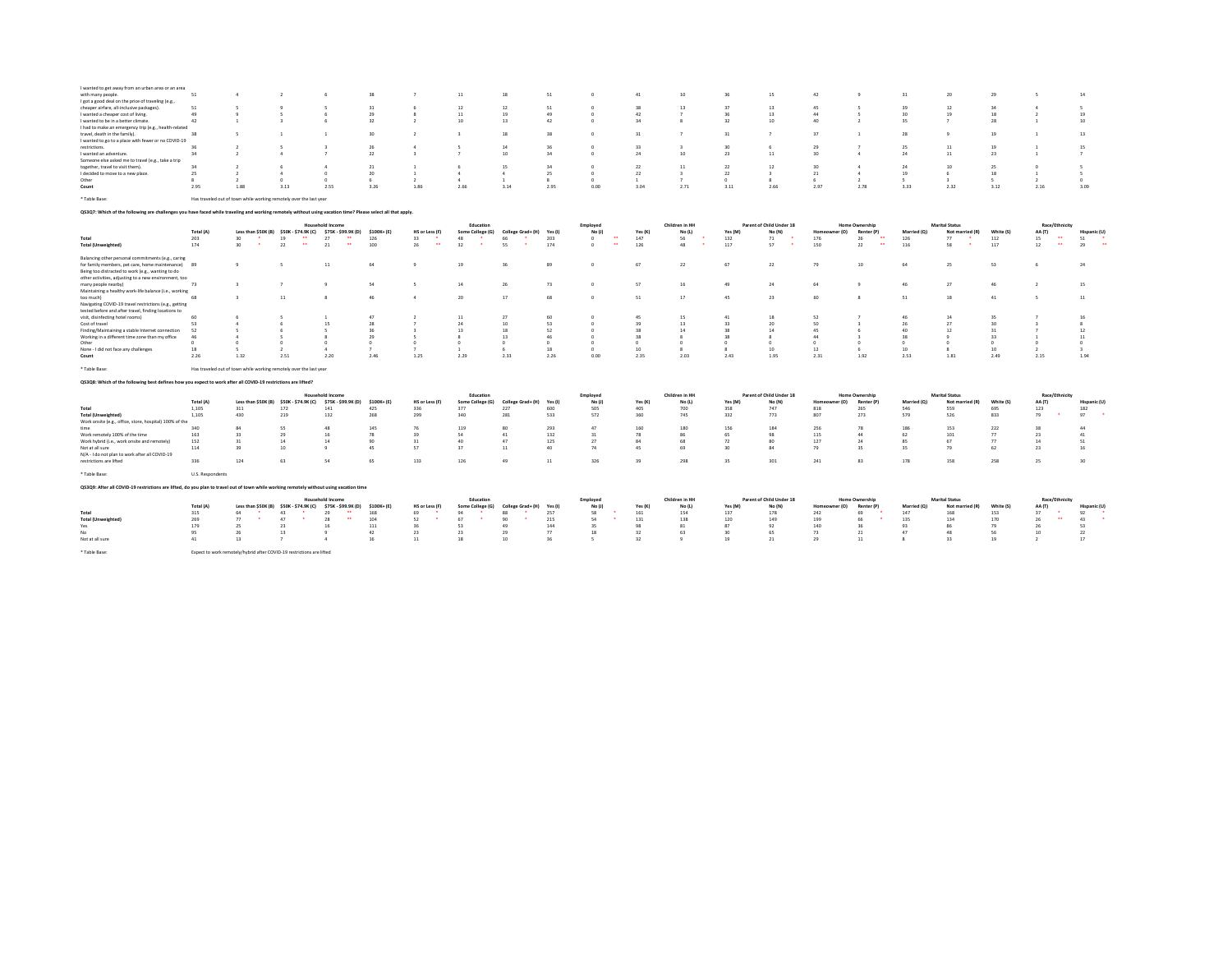| I wanted to get away from an urban area or an area                                                                                                           |                  | $\Delta$                                                           |                     |                                                             |            |                         |                  | 18                |              |                              |              | 10                 |           |                          | 42             |                                |             | 20                    | 29         |                        |                            |
|--------------------------------------------------------------------------------------------------------------------------------------------------------------|------------------|--------------------------------------------------------------------|---------------------|-------------------------------------------------------------|------------|-------------------------|------------------|-------------------|--------------|------------------------------|--------------|--------------------|-----------|--------------------------|----------------|--------------------------------|-------------|-----------------------|------------|------------------------|----------------------------|
| with many people.                                                                                                                                            | 51               |                                                                    |                     |                                                             | 38         |                         | $11\,$           |                   | 51           |                              | 41           |                    | 36        | 15                       |                |                                | 31          |                       |            |                        | 14                         |
| I got a good deal on the price of traveling (e.g.,                                                                                                           | 51               |                                                                    |                     |                                                             | 31         |                         | 12               | 12                | 51           |                              | 38           | 13                 | 37        | 13                       | 45             |                                | 39          | 12                    | 34         | $\Delta$               |                            |
| cheaper airfare, all-inclusive packages)<br>I wanted a cheaper cost of living.                                                                               | 49               | $\mathbf{q}$                                                       | -S                  | 6                                                           | 29         | 6<br>8                  | 11               | 19                | 49           |                              | 42           |                    | 36        | 13                       | 44             | s                              | 30          | 19                    | 18         | $\overline{2}$         | 19                         |
| I wanted to be in a better climate.                                                                                                                          | 42               | $\mathbf{1}$                                                       | $\overline{a}$      | 6                                                           | 32         | $\rightarrow$           | 10               | 13                | 42           |                              | 34           | $\mathbf{\hat{R}}$ | 32        | 10                       | 40             | $\overline{ }$                 | 35          |                       | 28         | $\overline{1}$         | 10                         |
| I had to make an emergency trip (e.g., health-related                                                                                                        |                  |                                                                    |                     |                                                             |            |                         |                  |                   |              |                              |              |                    |           |                          |                |                                |             |                       |            |                        |                            |
| travel, death in the family).                                                                                                                                | 38               |                                                                    |                     |                                                             | 30         | $\overline{2}$          |                  | 18                | 38           |                              | 31           |                    | 31        | $\overline{7}$           | 37             | $\mathbf{1}$                   | 28          |                       | 19         |                        | 13                         |
| I wanted to go to a place with fewer or no COVID-19                                                                                                          |                  |                                                                    |                     |                                                             |            |                         |                  |                   |              |                              |              |                    |           |                          |                |                                |             |                       |            |                        |                            |
| restrictions.                                                                                                                                                |                  | $\overline{2}$                                                     |                     |                                                             | 26         | $\Delta$                |                  | 14                | 36           |                              | 33           |                    | 30        | -6                       | 29             |                                | 25          | 11                    | 19         | $\mathbf{1}$           | 15                         |
| I wanted an adventure.                                                                                                                                       | 34               | $\overline{2}$                                                     | -4                  |                                                             | 22         | $\overline{\mathbf{3}}$ |                  | 10                | 34           |                              | 24           | 10                 | 23        | $11\,$                   | 30             | 4                              | 24          | 11                    | 23         | $\mathbf{1}$           |                            |
| Someone else asked me to travel (e.g., take a trip                                                                                                           |                  |                                                                    |                     |                                                             |            |                         |                  |                   |              |                              |              |                    |           |                          |                |                                |             |                       |            |                        |                            |
| together, travel to visit them).                                                                                                                             | 34               |                                                                    |                     |                                                             | 21         |                         |                  | 15                | 34           |                              | 22           | 11                 | 22        | 12                       | 30             |                                | 24          | 10                    | 25         | $^{\circ}$             |                            |
| I decided to move to a new place.                                                                                                                            | 25               |                                                                    | $\Delta$            | $\Omega$                                                    | 20         | $\mathbf{1}$            | $\Delta$         | $\Delta$          | 25           |                              | 22           |                    | 22        |                          | 21             | $\Delta$                       | 19          |                       | 18         |                        |                            |
| Other                                                                                                                                                        |                  | -2                                                                 | $\Omega$            | $\Omega$                                                    | 6          | $\overline{2}$          | $\Delta$         | $\mathbf{1}$      | $\mathbf{R}$ |                              | $\mathbf{1}$ |                    | $\Omega$  | $\mathcal{R}$            | -6             | $\overline{ }$                 | $\kappa$    |                       | ×.         | $\mathcal{L}$          | $\Omega$                   |
| Count                                                                                                                                                        | 2.95             | 1.88                                                               | 3.13                | 2.55                                                        | 3.26       | 1.86                    | 2.66             | 3.14              | 2.95         | 0.00                         | 3.04         | 2.71               | 3.11      | 2.66                     | 2.97           | 2.78                           | 3.33        | 2.32                  | 3.12       | 2.16                   | 3.09                       |
|                                                                                                                                                              |                  |                                                                    |                     |                                                             |            |                         |                  |                   |              |                              |              |                    |           |                          |                |                                |             |                       |            |                        |                            |
| * Table Base:                                                                                                                                                |                  | Has traveled out of town while working remotely over the last year |                     |                                                             |            |                         |                  |                   |              |                              |              |                    |           |                          |                |                                |             |                       |            |                        |                            |
| Q\$3Q7: Which of the following are challenges you have faced while traveling and working remotely without using vacation time? Please select all that apply. |                  |                                                                    |                     |                                                             |            |                         |                  |                   |              |                              |              |                    |           |                          |                |                                |             |                       |            |                        |                            |
|                                                                                                                                                              |                  |                                                                    |                     | <b>Household Income</b>                                     |            |                         | Education        |                   |              | Employed                     |              | Children in HH     |           | Parent of Child Under 18 |                | Home Ownership                 |             | <b>Marital Status</b> |            | Race/Ethnicity         |                            |
|                                                                                                                                                              | Total (A)        |                                                                    |                     | Less than \$50K (B) \$50K - \$74.9K (C) \$75K - \$99.9K (D) | \$100K+(E) | HS or Less (F)          | Some College (G) | College Grad+ (H) | Yes (I)      | No (J)                       | Yes (K)      | No (L)             | Yes (M)   | No (N)                   | Homeowner (O)  | Renter (P)                     | Married (Q) | Not married (R)       | White (S)  | AA (T)                 | Hispanic (U)               |
| Total                                                                                                                                                        | 203              | 30                                                                 | $\cdots$<br>19      | $\cdots$<br>27                                              | 126        | 33                      | 48               | 66                | 203          | $\mathbf{a}$<br>$\Omega$     | 147          | 56                 | 132       | $\bullet$<br>71          | 176            | $\overline{\phantom{a}}$<br>26 | 126         | 77                    | 112        | $\bullet\bullet$<br>15 | 51                         |
| <b>Total (Unweighted)</b>                                                                                                                                    | 174              | $\mathcal{L}_{\mathcal{A}}$<br>30                                  | $\mathbf{a}$<br>22  | $\mathbf{a}$<br>21                                          | 100        | $\cdots$<br>26          | 32<br>$\cdot$    | $\bullet$<br>55   | 174          | $\bullet\bullet$<br>$\Omega$ | 126          | $\sim$<br>48       | 117       | $\cdot$<br>57            | 150            | $\bullet\bullet$<br>22         | 116         | <b>A</b><br>58        | 117        | $\bullet\bullet$<br>12 | $\ddot{\phantom{1}}$<br>29 |
|                                                                                                                                                              |                  |                                                                    |                     |                                                             |            |                         |                  |                   |              |                              |              |                    |           |                          |                |                                |             |                       |            |                        |                            |
| Balancing other personal commitments (e.g., caring                                                                                                           |                  |                                                                    |                     |                                                             |            |                         |                  |                   |              |                              |              |                    |           |                          |                |                                |             |                       |            |                        |                            |
| for family members, pet care, home maintenance)                                                                                                              | 89               | $\overline{9}$                                                     | .S                  | 11                                                          | 64         | 9                       | 19               | 36                | 89           |                              | 67           | 22                 | 67        | 22                       | 79             | 10                             | 64          | 25                    | 53         |                        | 24                         |
| Being too distracted to work (e.g., wanting to do                                                                                                            |                  |                                                                    |                     |                                                             |            |                         |                  |                   |              |                              |              |                    |           |                          |                |                                |             |                       |            |                        |                            |
| other activities, adjusting to a new environment, too                                                                                                        |                  |                                                                    |                     |                                                             |            |                         |                  |                   |              |                              |              |                    |           |                          |                |                                |             |                       |            |                        |                            |
| many people nearby)                                                                                                                                          | 73               | $\overline{\mathbf{3}}$                                            | -7                  | 9                                                           | 54         | s                       | 14               | 26                | 73           | $\sim$                       | 57           | 16                 | 49        | 24                       | 64             | ٠                              | 46          | 27                    | 46         | $\overline{2}$         | 15                         |
| Maintaining a healthy work-life balance (i.e., working                                                                                                       |                  |                                                                    |                     |                                                             |            |                         |                  |                   |              |                              |              |                    |           |                          |                |                                |             |                       |            |                        |                            |
| too much)                                                                                                                                                    | 68               | $\mathbf{a}$                                                       | 11                  | ×                                                           | 46         | 4                       | 20               | 17                | 68           |                              | 51           | 17                 | 45        | 23                       | 60             | ×                              | 51          | 18                    | 41         | $\sim$                 | 11                         |
| Navigating COVID-19 travel restrictions (e.g., getting                                                                                                       |                  |                                                                    |                     |                                                             |            |                         |                  |                   |              |                              |              |                    |           |                          |                |                                |             |                       |            |                        |                            |
| tested before and after travel, finding locations to                                                                                                         |                  |                                                                    |                     |                                                             |            |                         |                  |                   |              |                              |              |                    |           |                          |                |                                |             |                       |            |                        |                            |
| visit, disinfecting hotel rooms)                                                                                                                             | 60               |                                                                    |                     |                                                             | 47         |                         | 11               | 27                | 60           |                              | 45           | 15                 | 41        | 18                       | 52             |                                | 46          | 14                    | 35         |                        | 16                         |
| Cost of travel                                                                                                                                               | 52               |                                                                    |                     | 15                                                          | 28         |                         | 24               | 10                | 53           |                              | 39           | 13                 | 33        | 20                       | 50             |                                | 26          | 21                    | 30         |                        |                            |
| Finding/Maintaining a stable Internet connection                                                                                                             | 52               |                                                                    |                     | s                                                           | 36         | $\overline{a}$          | 13               | 18                | 52           |                              | 28           | 14                 | 38        | 14                       | 45             | -6                             | 40          | 12                    | 31         |                        | 12                         |
| Working in a different time zone than my office                                                                                                              | 46               |                                                                    |                     |                                                             | 29         |                         |                  | 13                | 46           |                              | 38           |                    | 38        |                          | 44             |                                | 38          |                       | 33         |                        | 11                         |
| Other                                                                                                                                                        | -0               | $\sim$                                                             | $\theta$            | $\Omega$                                                    | $\Omega$   | $\Omega$                | 0                | $\Omega$          | $\Omega$     |                              | $\sim$       |                    | $\Omega$  | $^{\circ}$               | $\Omega$       | $^{\circ}$                     | $^{\circ}$  | n                     | $^{\circ}$ | $^{\circ}$             |                            |
| None - I did not face any challenges                                                                                                                         | 18               | -5                                                                 | $\overline{2}$      | 4                                                           |            | $\overline{z}$          | $\mathbf{1}$     |                   | 18           |                              | 10           |                    | 8         | 10                       | 12             | 6                              | 10          | $\mathcal{R}$         | 10         | $\overline{2}$         |                            |
| Count                                                                                                                                                        | 2.26             | 1.32                                                               | 2.51                | 2.20                                                        | 2.46       | 1.25                    | 2.29             | 2.33              | 2.26         | 0.00                         | 2.35         | 2.03               | 2.43      | 1.95                     | 2.31           | 1.92                           | 2.53        | 1.81                  | 2.49       | 2.15                   | 1.94                       |
| * Table Base:                                                                                                                                                |                  | Has traveled out of town while working remotely over the last year |                     |                                                             |            |                         |                  |                   |              |                              |              |                    |           |                          |                |                                |             |                       |            |                        |                            |
| QS3Q8: Which of the following best defines how you expect to work after all COVID-19 restrictions are lifted?                                                |                  |                                                                    |                     |                                                             |            |                         |                  |                   |              |                              |              |                    |           |                          |                |                                |             |                       |            |                        |                            |
|                                                                                                                                                              |                  |                                                                    |                     |                                                             |            |                         |                  |                   |              |                              |              |                    |           |                          |                |                                |             |                       |            |                        |                            |
|                                                                                                                                                              |                  |                                                                    |                     | <b>Household Income</b>                                     |            |                         | Education        |                   |              | Employed                     |              | Children in HH     |           | Parent of Child Under 18 |                | <b>Home Ownership</b>          |             | <b>Marital Status</b> |            | Race/Ethnicity         |                            |
|                                                                                                                                                              | Total (A)        | Less than \$50K (B)                                                | \$50K - \$74.9K (C) | \$75K - \$99.9K (D)                                         | \$100K+(E) | HS or Less (F)          | Some College (G) | College Grad+ (H) | Yes (I)      | No (J)                       | Yes (K)      | No (L)             | Yes (M)   | No (N)                   | Homeowner (O)  | Renter (P)                     | Married (Q) | Not mar<br>ied (R)    | White (S)  | AA (T)                 | Hispanic (U)               |
| Total                                                                                                                                                        | 1.105            | 311                                                                | 172                 | 141                                                         | 425        | 336                     | 377              | 227               | 600          | 505                          | 405          | 700                | 358       | 747                      | 818            | 265                            | 546         | 559                   | 695        | 123                    | 182<br>$\bullet$           |
| <b>Total (Unweighted)</b>                                                                                                                                    | 1,105            | 430                                                                | 219                 | 132                                                         | 268        | 299                     | 340              | 281               | 533          | 572                          | 360          | 745                | 332       | 773                      | 807            | 273                            | 579         | 526                   | 833        | 79                     | 97                         |
| Work onsite (e.g., office, store, hospital) 100% of the                                                                                                      | 340              | 84                                                                 | SS                  | 48                                                          |            |                         |                  | 80                |              | 47                           |              |                    |           |                          |                | 78                             |             |                       |            | 38                     | 44                         |
|                                                                                                                                                              | 163              | 33                                                                 | 29                  | 16                                                          | 145<br>78  | 76<br>39                | 119<br>54        | 41                | 293<br>132   | 31                           | 160<br>78    | 180<br>86          | 156<br>65 | 184<br>98                | 256<br>115     | 44                             | 186<br>62   | 153<br>101            | 222<br>77  | 23                     | 41                         |
| Work remotely 100% of the time                                                                                                                               | 152              |                                                                    | 14                  | 14                                                          | 90         | 31                      | 40               | 47                |              | 27                           | 84           | 68                 | 72        | 80                       | 127            | 24                             | 85          | 67                    | 77         | 14                     | 51                         |
| Work hybrid (i.e., work onsite and remotely)                                                                                                                 |                  | 31                                                                 |                     |                                                             |            |                         | 37               |                   | 125<br>40    | 74                           |              | 69                 |           |                          |                |                                |             |                       |            |                        |                            |
| Not at all sure<br>N/A - I do not plan to work after all COVID-19                                                                                            | 114              | 39                                                                 | 10                  | 9                                                           | 45         | 57                      |                  | 11                |              |                              | 45           |                    | 30        | 84                       | 79             | 35                             | 35          | 79                    | 62         | 23                     | 16                         |
| restrictions are lifted                                                                                                                                      | 336              | 124                                                                | 63                  | 54                                                          | 65         | 133                     | 126              | 49                | 11           | 326                          | 39           | 298                | 35        | 301                      | 241            | 83                             | 178         | 158                   | 258        | 25                     | 30                         |
|                                                                                                                                                              |                  |                                                                    |                     |                                                             |            |                         |                  |                   |              |                              |              |                    |           |                          |                |                                |             |                       |            |                        |                            |
| * Table Base:                                                                                                                                                | U.S. Respondents |                                                                    |                     |                                                             |            |                         |                  |                   |              |                              |              |                    |           |                          |                |                                |             |                       |            |                        |                            |
| Q\$3Q9: After all COVID-19 restrictions are lifted, do you plan to travel out of town while working remotely without using vacation time                     |                  |                                                                    |                     |                                                             |            |                         |                  |                   |              |                              |              |                    |           |                          |                |                                |             |                       |            |                        |                            |
|                                                                                                                                                              |                  |                                                                    |                     | <b>Household Income</b>                                     |            |                         | Education        |                   |              | Employee                     |              | Children in HH     |           | Parent of Child Under 18 |                | <b>Home Ownership</b>          |             | <b>Marital Status</b> |            | Race/Ethnicity         |                            |
|                                                                                                                                                              | Total (A)        | Less than \$50K (B)                                                | \$50K - \$74.9K (C) | \$75K - \$99.9K (D)                                         | \$100K+(E) | HS or Less (F)          | Some College (G) | College Grad+ (H) | Yes (I)      | No (J)                       | Yes (K)      | No (L)             | Yes (M)   | No (N)                   | er (O)<br>Home | Renter (P)                     | Married (Q) | Not married (R)       | White (S)  | AA (T)                 | Hispanic (U)               |
| Total                                                                                                                                                        | 315              | 64                                                                 | 43                  | 29                                                          | 168        | 69                      | 94               | 88                | 257          | 58                           | 161          | 154                | 137       | 178                      | 242            | 69                             | 147         | 168                   | 153        | 37                     | 92                         |
| <b>Total (Unweighted)</b>                                                                                                                                    | 269              | 77                                                                 | 47                  | 28                                                          | 104        | 52                      | 67               | 90                | 215          | 54                           | 131          | 138                | 120       | 149                      | 199            | 66                             | 135         | 134                   | 170        | 26                     | $\sim$<br>43               |
| Yes                                                                                                                                                          | 179              | 25                                                                 | 23                  | 16                                                          | 111        | 36                      | 53               | 49                | 144          | 35                           | 98           | 81                 | 87        | 92                       | 140            |                                | 93          |                       | 79         | 26                     | 53                         |
| No                                                                                                                                                           | 95               | 26                                                                 | 13                  | $\circ$                                                     | 42         | 23                      | 23               | 29                | 77           | 18                           | 32           | 63                 | 30        | 65                       | 73             | 21                             | 47          | 48                    | 56         | 10 <sub>1</sub>        | 22                         |
| Not at all sure                                                                                                                                              | 41               | 13                                                                 |                     |                                                             | 16         | 11                      | 18               | 10 <sup>10</sup>  | 36           |                              | 32           |                    | 19        | 21                       | 29             | 11                             |             |                       | 19         |                        | 17                         |

\* Table Base: Expect to work remotely/hybrid after COVID-19 restrictions are lifted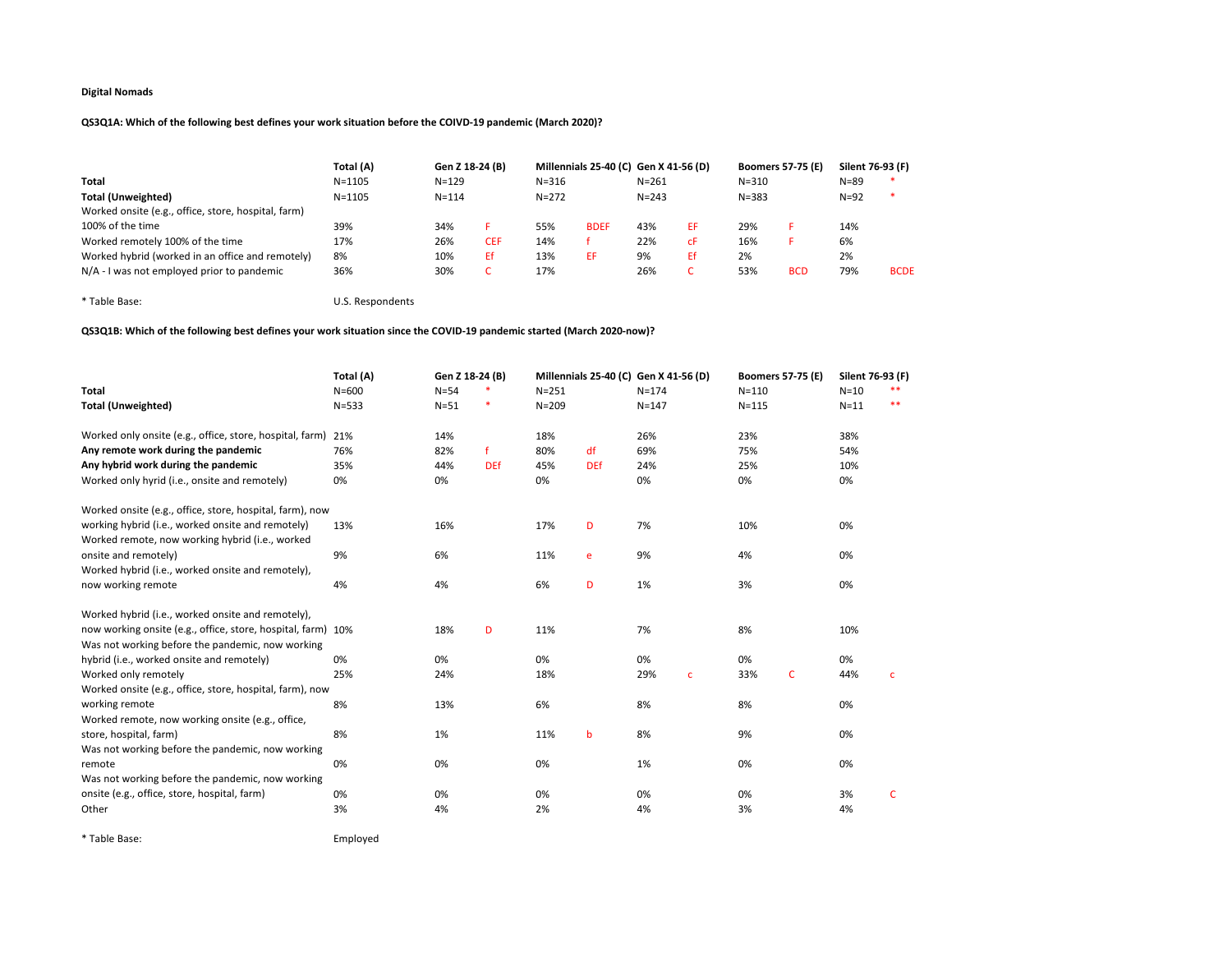# QS3Q1A: Which of the following best defines your work situation before the COIVD-19 pandemic (March 2020)?

|                                                     | Total (A)  | Gen Z 18-24 (B) |            |           | Millennials 25-40 (C) Gen X 41-56 (D) |           |    | <b>Boomers 57-75 (E)</b> |            | Silent 76-93 (F) |             |
|-----------------------------------------------------|------------|-----------------|------------|-----------|---------------------------------------|-----------|----|--------------------------|------------|------------------|-------------|
| Total                                               | $N = 1105$ | $N = 129$       |            | $N = 316$ |                                       | $N = 261$ |    | $N = 310$                |            | $N = 89$         | -88         |
| Total (Unweighted)                                  | $N = 1105$ | $N = 114$       |            | $N = 272$ |                                       | $N = 243$ |    | $N = 383$                |            | $N=92$           | $\ast$      |
| Worked onsite (e.g., office, store, hospital, farm) |            |                 |            |           |                                       |           |    |                          |            |                  |             |
| 100% of the time                                    | 39%        | 34%             |            | 55%       | <b>BDEF</b>                           | 43%       | ΕF | 29%                      |            | 14%              |             |
| Worked remotely 100% of the time                    | 17%        | 26%             | <b>CEF</b> | 14%       |                                       | 22%       | сF | 16%                      |            | 6%               |             |
| Worked hybrid (worked in an office and remotely)    | 8%         | 10%             | Ef         | 13%       | EF                                    | 9%        | Ef | 2%                       |            | 2%               |             |
| $N/A$ - I was not employed prior to pandemic        | 36%        | 30%             | ◡          | 17%       |                                       | 26%       |    | 53%                      | <b>BCD</b> | 79%              | <b>BCDE</b> |

\* Table Base: U.S. Respondents

# QS3Q1B: Which of the following best defines your work situation since the COVID-19 pandemic started (March 2020-now)?

|                                                              | Total (A) | Gen Z 18-24 (B) |            |           | Millennials 25-40 (C) Gen X 41-56 (D) |           |              | <b>Boomers 57-75 (E)</b> |              | Silent 76-93 (F) |       |
|--------------------------------------------------------------|-----------|-----------------|------------|-----------|---------------------------------------|-----------|--------------|--------------------------|--------------|------------------|-------|
| <b>Total</b>                                                 | $N = 600$ | $N = 54$        |            | $N = 251$ |                                       | $N = 174$ |              | $N = 110$                |              | $N=10$           |       |
| <b>Total (Unweighted)</b>                                    | $N = 533$ | $N = 51$        | ×          | $N = 209$ |                                       | $N = 147$ |              | $N = 115$                |              | $N = 11$         | $* *$ |
| Worked only onsite (e.g., office, store, hospital, farm)     | 21%       | 14%             |            | 18%       |                                       | 26%       |              | 23%                      |              | 38%              |       |
| Any remote work during the pandemic                          | 76%       | 82%             | f          | 80%       | df                                    | 69%       |              | 75%                      |              | 54%              |       |
| Any hybrid work during the pandemic                          | 35%       | 44%             | <b>DEf</b> | 45%       | <b>DEf</b>                            | 24%       |              | 25%                      |              | 10%              |       |
| Worked only hyrid (i.e., onsite and remotely)                | 0%        | 0%              |            | 0%        |                                       | 0%        |              | 0%                       |              | 0%               |       |
| Worked onsite (e.g., office, store, hospital, farm), now     |           |                 |            |           |                                       |           |              |                          |              |                  |       |
| working hybrid (i.e., worked onsite and remotely)            | 13%       | 16%             |            | 17%       | D                                     | 7%        |              | 10%                      |              | 0%               |       |
| Worked remote, now working hybrid (i.e., worked              |           |                 |            |           |                                       |           |              |                          |              |                  |       |
| onsite and remotely)                                         | 9%        | 6%              |            | 11%       | e                                     | 9%        |              | 4%                       |              | 0%               |       |
| Worked hybrid (i.e., worked onsite and remotely),            |           |                 |            |           |                                       |           |              |                          |              |                  |       |
| now working remote                                           | 4%        | 4%              |            | 6%        | D                                     | 1%        |              | 3%                       |              | 0%               |       |
| Worked hybrid (i.e., worked onsite and remotely),            |           |                 |            |           |                                       |           |              |                          |              |                  |       |
| now working onsite (e.g., office, store, hospital, farm) 10% |           | 18%             | D          | 11%       |                                       | 7%        |              | 8%                       |              | 10%              |       |
| Was not working before the pandemic, now working             |           |                 |            |           |                                       |           |              |                          |              |                  |       |
| hybrid (i.e., worked onsite and remotely)                    | 0%        | 0%              |            | 0%        |                                       | 0%        |              | 0%                       |              | 0%               |       |
| Worked only remotely                                         | 25%       | 24%             |            | 18%       |                                       | 29%       | $\mathbf{C}$ | 33%                      | $\mathsf{C}$ | 44%              | c     |
| Worked onsite (e.g., office, store, hospital, farm), now     |           |                 |            |           |                                       |           |              |                          |              |                  |       |
| working remote                                               | 8%        | 13%             |            | 6%        |                                       | 8%        |              | 8%                       |              | 0%               |       |
| Worked remote, now working onsite (e.g., office,             |           |                 |            |           |                                       |           |              |                          |              |                  |       |
| store, hospital, farm)                                       | 8%        | 1%              |            | 11%       | b                                     | 8%        |              | 9%                       |              | 0%               |       |
| Was not working before the pandemic, now working             |           |                 |            |           |                                       |           |              |                          |              |                  |       |
| remote                                                       | 0%        | 0%              |            | 0%        |                                       | 1%        |              | 0%                       |              | 0%               |       |
| Was not working before the pandemic, now working             |           |                 |            |           |                                       |           |              |                          |              |                  |       |
| onsite (e.g., office, store, hospital, farm)                 | 0%        | 0%              |            | 0%        |                                       | 0%        |              | 0%                       |              | 3%               | C     |
| Other                                                        | 3%        | 4%              |            | 2%        |                                       | 4%        |              | 3%                       |              | 4%               |       |
|                                                              |           |                 |            |           |                                       |           |              |                          |              |                  |       |

\* Table Base: Employed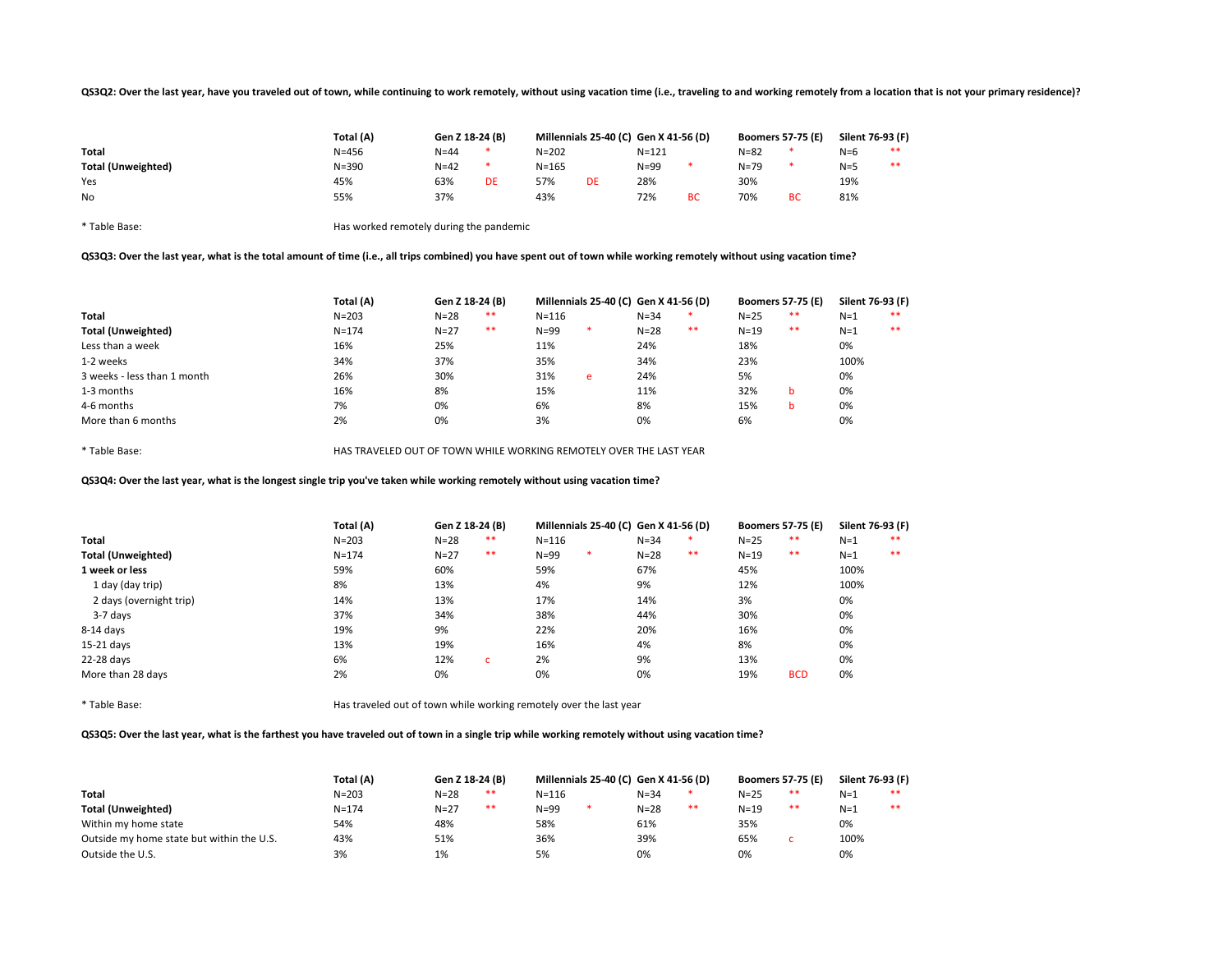### QS3Q2: Over the last year, have you traveled out of town, while continuing to work remotely, without using vacation time (i.e., traveling to and working remotely from a location that is not your primary residence)?

|                           | Total (A) | Gen Z 18-24 (B) |    |           |    | Millennials 25-40 (C) Gen X 41-56 (D) |    |          | <b>Boomers 57-75 (E)</b> | Silent 76-93 (F) |    |
|---------------------------|-----------|-----------------|----|-----------|----|---------------------------------------|----|----------|--------------------------|------------------|----|
| Total                     | $N = 456$ | $N = 44$        |    | $N = 202$ |    | $N = 121$                             |    | $N = 82$ |                          | $N=6$            | ** |
| <b>Total (Unweighted)</b> | $N = 390$ | $N=42$          |    | $N = 165$ |    | $N = 99$                              |    | $N = 79$ |                          | $N=5$            | ** |
| Yes                       | 45%       | 63%             | DE | 57%       | DE | 28%                                   |    | 30%      |                          | 19%              |    |
| No                        | 55%       | 37%             |    | 43%       |    | 72%                                   | BC | 70%      | <b>BC</b>                | 81%              |    |
|                           |           |                 |    |           |    |                                       |    |          |                          |                  |    |

\* Table Base: Has worked remotely during the pandemic

# QS3Q3: Over the last year, what is the total amount of time (i.e., all trips combined) you have spent out of town while working remotely without using vacation time?

|                             | Total (A) | Gen Z 18-24 (B) |    |           |   | Millennials 25-40 (C) Gen X 41-56 (D) |    |          | <b>Boomers 57-75 (E)</b> | Silent 76-93 (F) |    |
|-----------------------------|-----------|-----------------|----|-----------|---|---------------------------------------|----|----------|--------------------------|------------------|----|
| Total                       | $N = 203$ | $N = 28$        | ** | $N = 116$ |   | $N = 34$                              |    | $N=25$   | **                       | $N=1$            | ** |
| <b>Total (Unweighted)</b>   | $N = 174$ | $N=27$          | ** | $N = 99$  | * | $N=28$                                | ** | $N = 19$ | **                       | $N=1$            | ** |
| Less than a week            | 16%       | 25%             |    | 11%       |   | 24%                                   |    | 18%      |                          | 0%               |    |
| 1-2 weeks                   | 34%       | 37%             |    | 35%       |   | 34%                                   |    | 23%      |                          | 100%             |    |
| 3 weeks - less than 1 month | 26%       | 30%             |    | 31%       | e | 24%                                   |    | 5%       |                          | 0%               |    |
| 1-3 months                  | 16%       | 8%              |    | 15%       |   | 11%                                   |    | 32%      | b                        | 0%               |    |
| 4-6 months                  | 7%        | 0%              |    | 6%        |   | 8%                                    |    | 15%      | b                        | 0%               |    |
| More than 6 months          | 2%        | 0%              |    | 3%        |   | 0%                                    |    | 6%       |                          | 0%               |    |

\* Table Base: HAS TRAVELED OUT OF TOWN WHILE WORKING REMOTELY OVER THE LAST YEAR

QS3Q4: Over the last year, what is the longest single trip you've taken while working remotely without using vacation time?

|                           | Total (A) | Gen Z 18-24 (B) | Millennials 25-40 (C) Gen X 41-56 (D) |           |   |          | <b>Boomers 57-75 (E)</b> |        | Silent 76-93 (F) |       |    |
|---------------------------|-----------|-----------------|---------------------------------------|-----------|---|----------|--------------------------|--------|------------------|-------|----|
| Total                     | $N = 203$ | $N = 28$        | **                                    | $N = 116$ |   | $N = 34$ | ∗                        | $N=25$ | **               | $N=1$ | ** |
| <b>Total (Unweighted)</b> | $N = 174$ | $N=27$          | **                                    | $N = 99$  | 米 | $N=28$   | **                       | $N=19$ | $* *$            | $N=1$ | ** |
| 1 week or less            | 59%       | 60%             |                                       | 59%       |   | 67%      |                          | 45%    |                  | 100%  |    |
| 1 day (day trip)          | 8%        | 13%             |                                       | 4%        |   | 9%       |                          | 12%    |                  | 100%  |    |
| 2 days (overnight trip)   | 14%       | 13%             |                                       | 17%       |   | 14%      |                          | 3%     |                  | 0%    |    |
| 3-7 days                  | 37%       | 34%             |                                       | 38%       |   | 44%      |                          | 30%    |                  | 0%    |    |
| $8-14$ days               | 19%       | 9%              |                                       | 22%       |   | 20%      |                          | 16%    |                  | 0%    |    |
| 15-21 days                | 13%       | 19%             |                                       | 16%       |   | 4%       |                          | 8%     |                  | 0%    |    |
| 22-28 days                | 6%        | 12%             | c                                     | 2%        |   | 9%       |                          | 13%    |                  | 0%    |    |
| More than 28 days         | 2%        | 0%              |                                       | 0%        |   | 0%       |                          | 19%    | <b>BCD</b>       | 0%    |    |

\* Table Base: Has traveled out of town while working remotely over the last year

QS3Q5: Over the last year, what is the farthest you have traveled out of town in a single trip while working remotely without using vacation time?

|                                           | Total (A) | Gen Z 18-24 (B) |    |           | Millennials 25-40 (C) Gen X 41-56 (D) |          |    |        | <b>Boomers 57-75 (E)</b> | Silent 76-93 (F) |    |
|-------------------------------------------|-----------|-----------------|----|-----------|---------------------------------------|----------|----|--------|--------------------------|------------------|----|
| Total                                     | $N = 203$ | $N = 28$        | ** | $N = 116$ |                                       | $N = 34$ |    | $N=25$ | **                       | $N=1$            | ** |
| <b>Total (Unweighted)</b>                 | $N = 174$ | $N = 27$        | ** | $N = 99$  | *                                     | $N=28$   | ** | $N=19$ | **                       | $N=1$            | ** |
| Within my home state                      | 54%       | 48%             |    | 58%       |                                       | 61%      |    | 35%    |                          | 0%               |    |
| Outside my home state but within the U.S. | 43%       | 51%             |    | 36%       |                                       | 39%      |    | 65%    |                          | 100%             |    |
| Outside the U.S.                          | 3%        | 1%              |    | 5%        |                                       | 0%       |    | 0%     |                          | 0%               |    |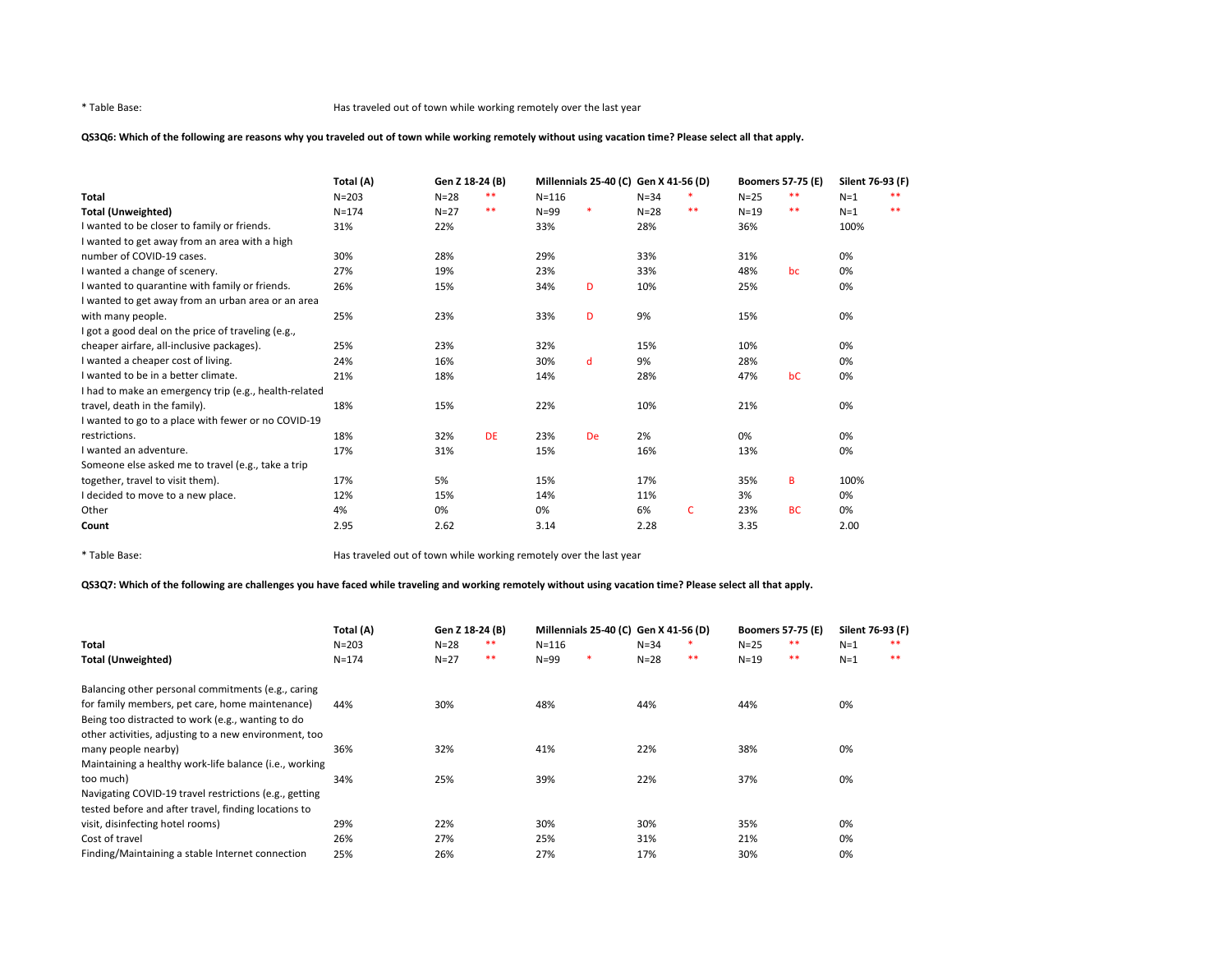# QS3Q6: Which of the following are reasons why you traveled out of town while working remotely without using vacation time? Please select all that apply.

|                                                       | Total (A) | Gen Z 18-24 (B) |           |           | Millennials 25-40 (C) Gen X 41-56 (D) |          |       | Boomers 57-75 (E) |           | Silent 76-93 (F) |    |
|-------------------------------------------------------|-----------|-----------------|-----------|-----------|---------------------------------------|----------|-------|-------------------|-----------|------------------|----|
| Total                                                 | $N = 203$ | $N=28$          | **        | $N = 116$ |                                       | $N = 34$ |       | $N=25$            | $***$     | $N=1$            | ** |
| <b>Total (Unweighted)</b>                             | $N = 174$ | $N = 27$        | $***$     | $N = 99$  |                                       | $N=28$   | $* *$ | $N=19$            | $***$     | $N=1$            | ** |
| I wanted to be closer to family or friends.           | 31%       | 22%             |           | 33%       |                                       | 28%      |       | 36%               |           | 100%             |    |
| I wanted to get away from an area with a high         |           |                 |           |           |                                       |          |       |                   |           |                  |    |
| number of COVID-19 cases.                             | 30%       | 28%             |           | 29%       |                                       | 33%      |       | 31%               |           | 0%               |    |
| I wanted a change of scenery.                         | 27%       | 19%             |           | 23%       |                                       | 33%      |       | 48%               | bc        | 0%               |    |
| I wanted to quarantine with family or friends.        | 26%       | 15%             |           | 34%       | D                                     | 10%      |       | 25%               |           | 0%               |    |
| I wanted to get away from an urban area or an area    |           |                 |           |           |                                       |          |       |                   |           |                  |    |
| with many people.                                     | 25%       | 23%             |           | 33%       | D                                     | 9%       |       | 15%               |           | 0%               |    |
| I got a good deal on the price of traveling (e.g.,    |           |                 |           |           |                                       |          |       |                   |           |                  |    |
| cheaper airfare, all-inclusive packages).             | 25%       | 23%             |           | 32%       |                                       | 15%      |       | 10%               |           | 0%               |    |
| I wanted a cheaper cost of living.                    | 24%       | 16%             |           | 30%       | d                                     | 9%       |       | 28%               |           | 0%               |    |
| I wanted to be in a better climate.                   | 21%       | 18%             |           | 14%       |                                       | 28%      |       | 47%               | bC        | 0%               |    |
| I had to make an emergency trip (e.g., health-related |           |                 |           |           |                                       |          |       |                   |           |                  |    |
| travel, death in the family).                         | 18%       | 15%             |           | 22%       |                                       | 10%      |       | 21%               |           | 0%               |    |
| I wanted to go to a place with fewer or no COVID-19   |           |                 |           |           |                                       |          |       |                   |           |                  |    |
| restrictions.                                         | 18%       | 32%             | <b>DE</b> | 23%       | <b>De</b>                             | 2%       |       | 0%                |           | 0%               |    |
| I wanted an adventure.                                | 17%       | 31%             |           | 15%       |                                       | 16%      |       | 13%               |           | 0%               |    |
| Someone else asked me to travel (e.g., take a trip    |           |                 |           |           |                                       |          |       |                   |           |                  |    |
| together, travel to visit them).                      | 17%       | 5%              |           | 15%       |                                       | 17%      |       | 35%               | B         | 100%             |    |
| I decided to move to a new place.                     | 12%       | 15%             |           | 14%       |                                       | 11%      |       | 3%                |           | 0%               |    |
| Other                                                 | 4%        | 0%              |           | 0%        |                                       | 6%       | C     | 23%               | <b>BC</b> | 0%               |    |
| Count                                                 | 2.95      | 2.62            |           | 3.14      |                                       | 2.28     |       | 3.35              |           | 2.00             |    |

\* Table Base: Has traveled out of town while working remotely over the last year

# QS3Q7: Which of the following are challenges you have faced while traveling and working remotely without using vacation time? Please select all that apply.

|                                                        | Total (A) | Gen Z 18-24 (B) |    |           | Millennials 25-40 (C) Gen X 41-56 (D) |          |    | <b>Boomers 57-75 (E)</b> |    | Silent 76-93 (F) |       |
|--------------------------------------------------------|-----------|-----------------|----|-----------|---------------------------------------|----------|----|--------------------------|----|------------------|-------|
| Total                                                  | $N = 203$ | $N = 28$        | ** | $N = 116$ |                                       | $N = 34$ |    | $N=25$                   | ** | $N=1$            | **    |
| <b>Total (Unweighted)</b>                              | $N = 174$ | $N=27$          | ** | $N = 99$  | *                                     | $N=28$   | ** | $N = 19$                 | ** | $N=1$            | $***$ |
| Balancing other personal commitments (e.g., caring     |           |                 |    |           |                                       |          |    |                          |    |                  |       |
| for family members, pet care, home maintenance)        | 44%       | 30%             |    | 48%       |                                       | 44%      |    | 44%                      |    | 0%               |       |
| Being too distracted to work (e.g., wanting to do      |           |                 |    |           |                                       |          |    |                          |    |                  |       |
| other activities, adjusting to a new environment, too  |           |                 |    |           |                                       |          |    |                          |    |                  |       |
| many people nearby)                                    | 36%       | 32%             |    | 41%       |                                       | 22%      |    | 38%                      |    | 0%               |       |
| Maintaining a healthy work-life balance (i.e., working |           |                 |    |           |                                       |          |    |                          |    |                  |       |
| too much)                                              | 34%       | 25%             |    | 39%       |                                       | 22%      |    | 37%                      |    | 0%               |       |
| Navigating COVID-19 travel restrictions (e.g., getting |           |                 |    |           |                                       |          |    |                          |    |                  |       |
| tested before and after travel, finding locations to   |           |                 |    |           |                                       |          |    |                          |    |                  |       |
| visit, disinfecting hotel rooms)                       | 29%       | 22%             |    | 30%       |                                       | 30%      |    | 35%                      |    | 0%               |       |
| Cost of travel                                         | 26%       | 27%             |    | 25%       |                                       | 31%      |    | 21%                      |    | 0%               |       |
| Finding/Maintaining a stable Internet connection       | 25%       | 26%             |    | 27%       |                                       | 17%      |    | 30%                      |    | 0%               |       |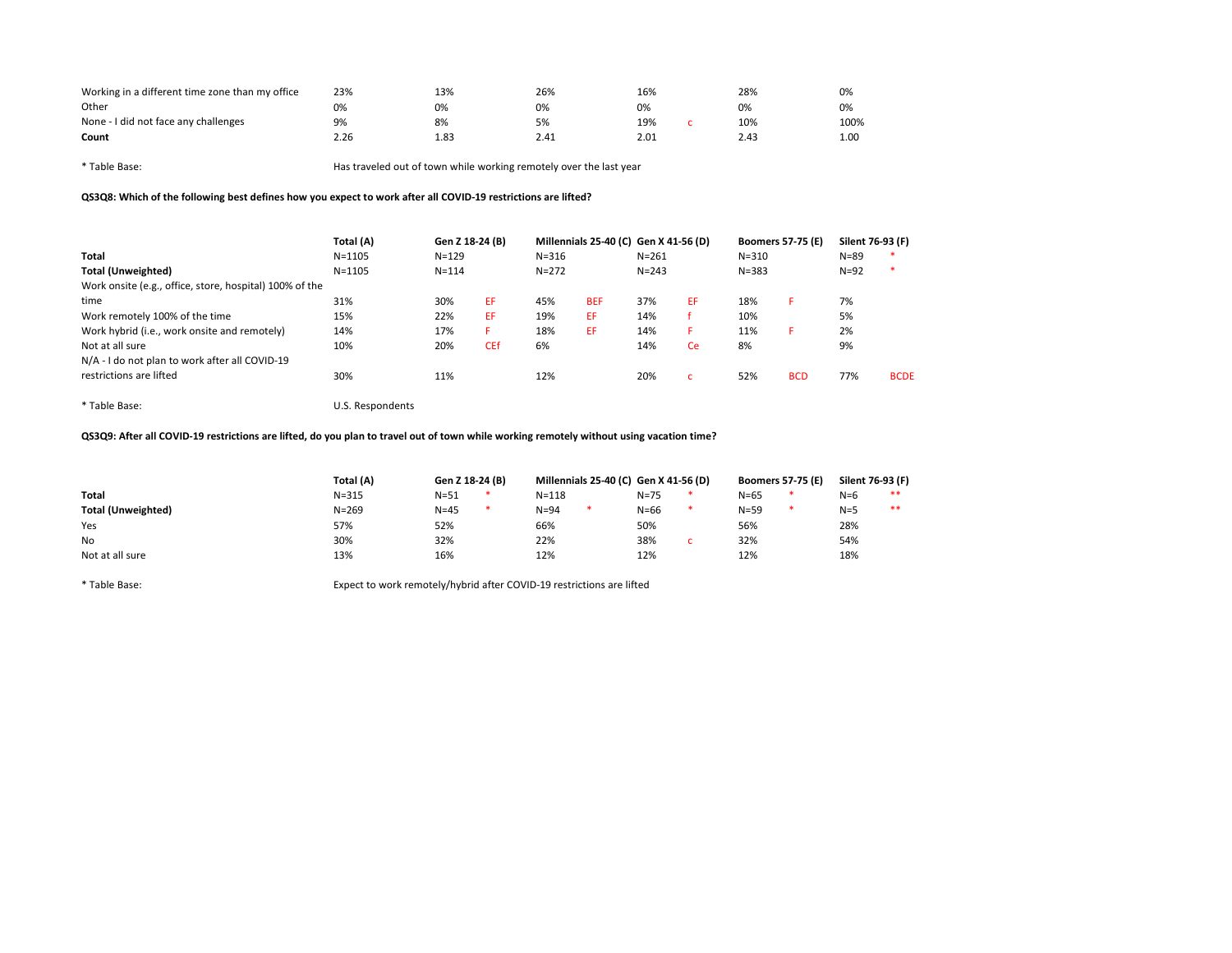| Working in a different time zone than my office | 23%  | 13%  | 26%  | 16%  | 28%  | 0%   |
|-------------------------------------------------|------|------|------|------|------|------|
| Other                                           | 0%   | 0%   | 0%   | 0%   | 0%   | 0%   |
| None - I did not face any challenges            | 9%   | 8%   | 5%   | 19%  | 10%  | 100% |
| Count                                           | 2.26 | 1.83 | 2.41 | 2.01 | 2.43 | 1.00 |
|                                                 |      |      |      |      |      |      |

QS3Q8: Which of the following best defines how you expect to work after all COVID-19 restrictions are lifted?

|                                                         | Total (A)        | Gen Z 18-24 (B) |            | Millennials 25-40 (C) Gen X 41-56 (D) |            |           |    | <b>Boomers 57-75 (E)</b> |            | Silent 76-93 (F) |             |
|---------------------------------------------------------|------------------|-----------------|------------|---------------------------------------|------------|-----------|----|--------------------------|------------|------------------|-------------|
| Total                                                   | $N = 1105$       | $N = 129$       |            | $N = 316$                             |            | $N = 261$ |    | $N = 310$                |            | $N = 89$         | - 56        |
| <b>Total (Unweighted)</b>                               | $N = 1105$       | $N = 114$       |            | $N = 272$                             |            | $N = 243$ |    | $N = 383$                |            | $N=92$           | -*          |
| Work onsite (e.g., office, store, hospital) 100% of the |                  |                 |            |                                       |            |           |    |                          |            |                  |             |
| time                                                    | 31%              | 30%             | EF         | 45%                                   | <b>BEF</b> | 37%       | EF | 18%                      | F          | 7%               |             |
| Work remotely 100% of the time                          | 15%              | 22%             | EF         | 19%                                   | EF         | 14%       |    | 10%                      |            | 5%               |             |
| Work hybrid (i.e., work onsite and remotely)            | 14%              | 17%             | F          | 18%                                   | EF         | 14%       | F  | 11%                      | Е          | 2%               |             |
| Not at all sure                                         | 10%              | 20%             | <b>CEf</b> | 6%                                    |            | 14%       | Ce | 8%                       |            | 9%               |             |
| N/A - I do not plan to work after all COVID-19          |                  |                 |            |                                       |            |           |    |                          |            |                  |             |
| restrictions are lifted                                 | 30%              | 11%             |            | 12%                                   |            | 20%       | C. | 52%                      | <b>BCD</b> | 77%              | <b>BCDE</b> |
| * Table Base:                                           | U.S. Respondents |                 |            |                                       |            |           |    |                          |            |                  |             |

QS3Q9: After all COVID-19 restrictions are lifted, do you plan to travel out of town while working remotely without using vacation time?

|                           | Total (A) | Gen Z 18-24 (B) |  | Millennials 25-40 (C) Gen X 41-56 (D) |   |          |  | <b>Boomers 57-75 (E)</b> |   | Silent 76-93 (F) |    |
|---------------------------|-----------|-----------------|--|---------------------------------------|---|----------|--|--------------------------|---|------------------|----|
| <b>Total</b>              | $N = 315$ | $N = 51$        |  | $N = 118$                             |   | $N = 75$ |  | $N = 65$                 |   | $N=6$            | ** |
| <b>Total (Unweighted)</b> | $N = 269$ | $N = 45$        |  | $N = 94$                              | * | $N = 66$ |  | $N = 59$                 | 米 | $N=5$            | ** |
| Yes                       | 57%       | 52%             |  | 66%                                   |   | 50%      |  | 56%                      |   | 28%              |    |
| No                        | 30%       | 32%             |  | 22%                                   |   | 38%      |  | 32%                      |   | 54%              |    |
| Not at all sure           | 13%       | 16%             |  | 12%                                   |   | 12%      |  | 12%                      |   | 18%              |    |

\* Table Base: Expect to work remotely/hybrid after COVID-19 restrictions are lifted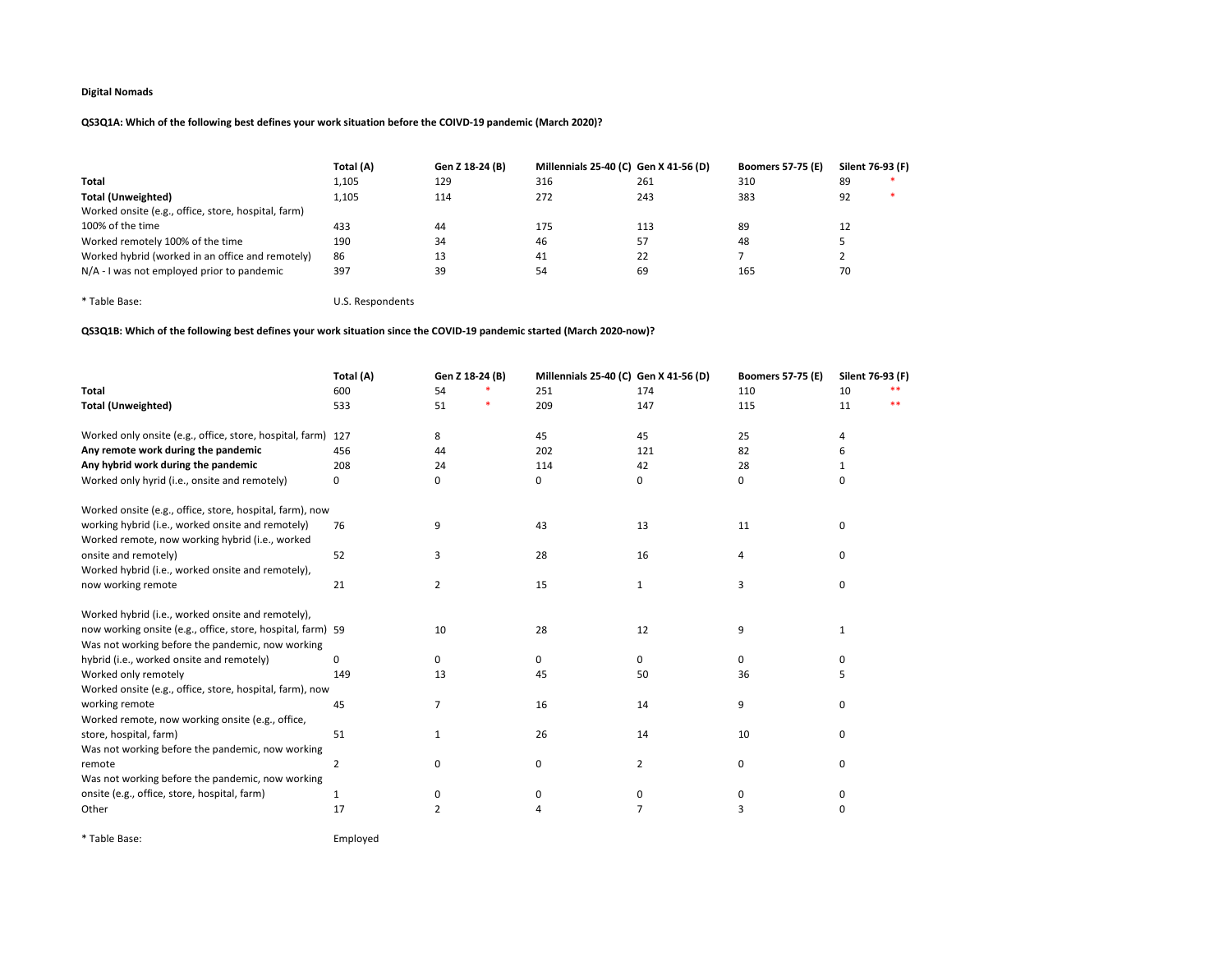# QS3Q1A: Which of the following best defines your work situation before the COIVD-19 pandemic (March 2020)?

|                                                     | Total (A) | Gen Z 18-24 (B) | Millennials 25-40 (C) Gen X 41-56 (D) |     | <b>Boomers 57-75 (E)</b> | Silent 76-93 (F) |  |
|-----------------------------------------------------|-----------|-----------------|---------------------------------------|-----|--------------------------|------------------|--|
| <b>Total</b>                                        | 1,105     | 129             | 316                                   | 261 | 310                      | 89               |  |
| <b>Total (Unweighted)</b>                           | 1.105     | 114             | 272                                   | 243 | 383                      | 92               |  |
| Worked onsite (e.g., office, store, hospital, farm) |           |                 |                                       |     |                          |                  |  |
| 100% of the time                                    | 433       | 44              | 175                                   | 113 | 89                       |                  |  |
| Worked remotely 100% of the time                    | 190       | 34              | 46                                    | 57  | 48                       |                  |  |
| Worked hybrid (worked in an office and remotely)    | 86        | 13              | 41                                    | 22  |                          |                  |  |
| N/A - I was not employed prior to pandemic          | 397       | 39              | 54                                    | 69  | 165                      | 70               |  |

\* Table Base: U.S. Respondents

# QS3Q1B: Which of the following best defines your work situation since the COVID-19 pandemic started (March 2020-now)?

|                                                             | Total (A)      | Gen Z 18-24 (B) | Millennials 25-40 (C) Gen X 41-56 (D) |                | <b>Boomers 57-75 (E)</b> | Silent 76-93 (F) |    |
|-------------------------------------------------------------|----------------|-----------------|---------------------------------------|----------------|--------------------------|------------------|----|
| <b>Total</b>                                                | 600            | 54              | 251                                   | 174            | 110                      | 10               |    |
| <b>Total (Unweighted)</b>                                   | 533            | 51              | 209                                   | 147            | 115                      | 11               | ** |
| Worked only onsite (e.g., office, store, hospital, farm)    | 127            | 8               | 45                                    | 45             | 25                       | 4                |    |
| Any remote work during the pandemic                         | 456            | 44              | 202                                   | 121            | 82                       | 6                |    |
| Any hybrid work during the pandemic                         | 208            | 24              | 114                                   | 42             | 28                       | 1                |    |
| Worked only hyrid (i.e., onsite and remotely)               | 0              | 0               | 0                                     | 0              | 0                        | 0                |    |
| Worked onsite (e.g., office, store, hospital, farm), now    |                |                 |                                       |                |                          |                  |    |
| working hybrid (i.e., worked onsite and remotely)           | 76             | 9               | 43                                    | 13             | 11                       | 0                |    |
| Worked remote, now working hybrid (i.e., worked             |                |                 |                                       |                |                          |                  |    |
| onsite and remotely)                                        | 52             | 3               | 28                                    | 16             | 4                        | 0                |    |
| Worked hybrid (i.e., worked onsite and remotely),           |                |                 |                                       |                |                          |                  |    |
| now working remote                                          | 21             | 2               | 15                                    | 1              | 3                        | 0                |    |
| Worked hybrid (i.e., worked onsite and remotely),           |                |                 |                                       |                |                          |                  |    |
| now working onsite (e.g., office, store, hospital, farm) 59 |                | 10              | 28                                    | 12             | 9                        | 1                |    |
| Was not working before the pandemic, now working            |                |                 |                                       |                |                          |                  |    |
| hybrid (i.e., worked onsite and remotely)                   | 0              | 0               | 0                                     | 0              | 0                        | 0                |    |
| Worked only remotely                                        | 149            | 13              | 45                                    | 50             | 36                       | 5                |    |
| Worked onsite (e.g., office, store, hospital, farm), now    |                |                 |                                       |                |                          |                  |    |
| working remote                                              | 45             | 7               | 16                                    | 14             | 9                        | 0                |    |
| Worked remote, now working onsite (e.g., office,            |                |                 |                                       |                |                          |                  |    |
| store, hospital, farm)                                      | 51             | 1               | 26                                    | 14             | 10                       | 0                |    |
| Was not working before the pandemic, now working            |                |                 |                                       |                |                          |                  |    |
| remote                                                      | $\overline{2}$ | 0               | 0                                     | $\overline{2}$ | 0                        | 0                |    |
| Was not working before the pandemic, now working            |                |                 |                                       |                |                          |                  |    |
| onsite (e.g., office, store, hospital, farm)                | 1              | 0               | 0                                     | 0              | 0                        | 0                |    |
| Other                                                       | 17             | $\overline{2}$  | 4                                     | 7              | 3                        | 0                |    |
|                                                             |                |                 |                                       |                |                          |                  |    |

\* Table Base: Employed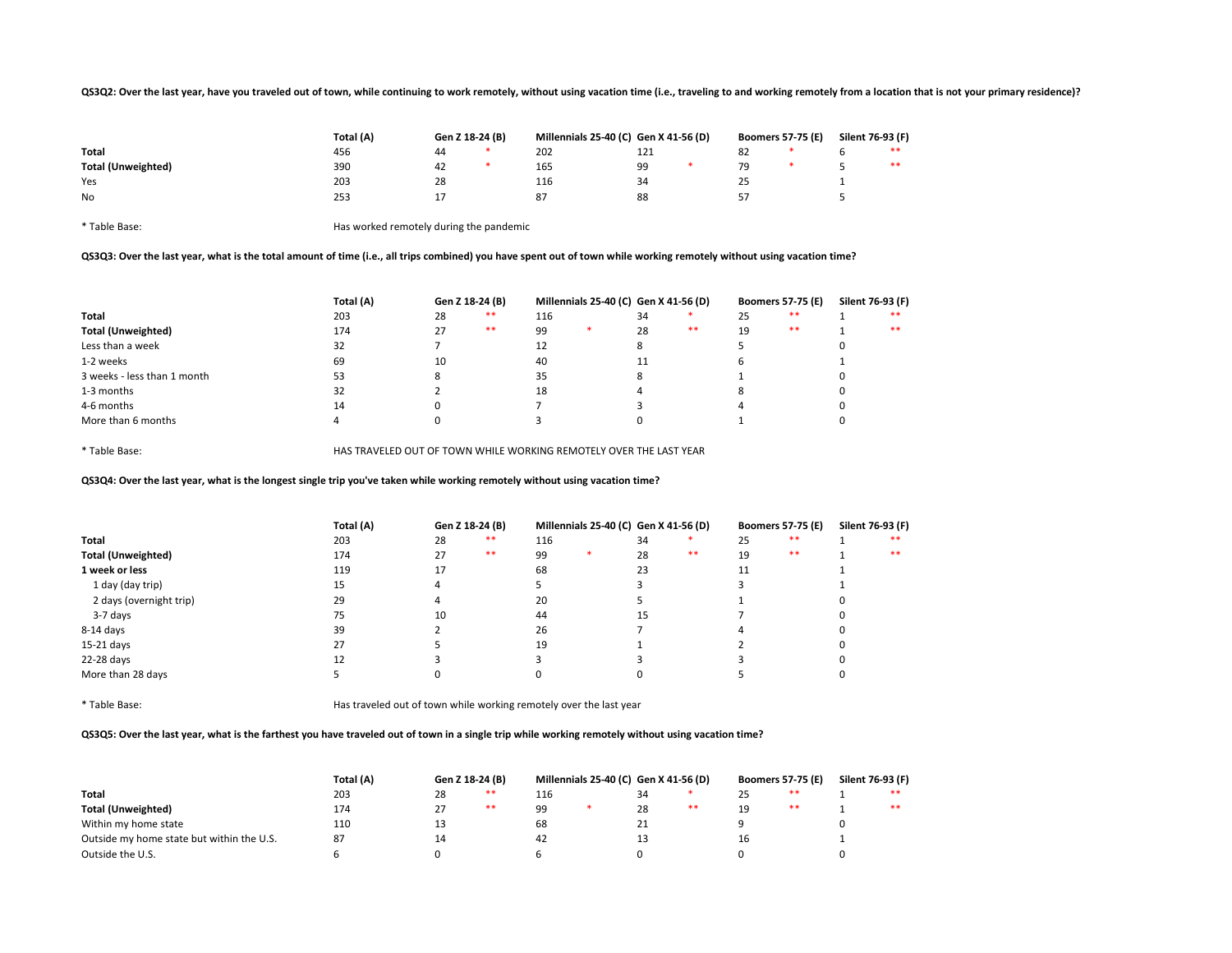### QS3Q2: Over the last year, have you traveled out of town, while continuing to work remotely, without using vacation time (i.e., traveling to and working remotely from a location that is not your primary residence)?

|                           | Total (A) | Gen Z 18-24 (B) |     |     | Millennials 25-40 (C) Gen X 41-56 (D) |    | <b>Boomers 57-75 (E)</b> | Silent 76-93 (F) |    |
|---------------------------|-----------|-----------------|-----|-----|---------------------------------------|----|--------------------------|------------------|----|
| Total                     | 456       | 44              | 202 | 121 |                                       | 82 |                          |                  | ** |
| <b>Total (Unweighted)</b> | 390       | 42              | 165 | 99  |                                       | 79 |                          |                  | ** |
| Yes                       | 203       | 28              | 116 | 34  |                                       | رے |                          |                  |    |
| No                        | 253       | <b>.</b>        | 87  | 88  |                                       | 57 |                          |                  |    |
|                           |           |                 |     |     |                                       |    |                          |                  |    |

\* Table Base: Has worked remotely during the pandemic

# QS3Q3: Over the last year, what is the total amount of time (i.e., all trips combined) you have spent out of town while working remotely without using vacation time?

|                             | Total (A) |    | Gen Z 18-24 (B) |     | Millennials 25-40 (C) Gen X 41-56 (D) |      |    | <b>Boomers 57-75 (E)</b> | Silent 76-93 (F) |
|-----------------------------|-----------|----|-----------------|-----|---------------------------------------|------|----|--------------------------|------------------|
| Total                       | 203       | 28 | **              | 116 | 34                                    |      | 25 | **                       | **               |
| <b>Total (Unweighted)</b>   | 174       | 27 | **              | 99  | 28                                    | $**$ | 19 | **                       | **               |
| Less than a week            | 32        |    |                 | 12  |                                       |      |    |                          |                  |
| 1-2 weeks                   | 69        | 10 |                 | 40  | 11                                    |      |    |                          |                  |
| 3 weeks - less than 1 month | 53        |    |                 | 35  | $\circ$                               |      |    |                          |                  |
| 1-3 months                  | 32        |    |                 | 18  |                                       |      |    |                          |                  |
| 4-6 months                  | 14        |    |                 |     |                                       |      |    |                          |                  |
| More than 6 months          |           |    |                 |     |                                       |      |    |                          |                  |

\* Table Base: HAS TRAVELED OUT OF TOWN WHILE WORKING REMOTELY OVER THE LAST YEAR

QS3Q4: Over the last year, what is the longest single trip you've taken while working remotely without using vacation time?

|                           | Total (A) | Gen Z 18-24 (B) |       | Millennials 25-40 (C) Gen X 41-56 (D) |  | <b>Boomers 57-75 (E)</b> |      | Silent 76-93 (F) |       |  |      |
|---------------------------|-----------|-----------------|-------|---------------------------------------|--|--------------------------|------|------------------|-------|--|------|
| Total                     | 203       | 28              | $***$ | 116                                   |  | 34                       |      | 25               | $* *$ |  | $**$ |
| <b>Total (Unweighted)</b> | 174       | 27              | $***$ | 99                                    |  | 28                       | $**$ | 19               | $* *$ |  | $**$ |
| 1 week or less            | 119       | 17              |       | 68                                    |  | 23                       |      | 11               |       |  |      |
| 1 day (day trip)          | 15        |                 |       |                                       |  |                          |      |                  |       |  |      |
| 2 days (overnight trip)   | 29        |                 |       | 20                                    |  |                          |      |                  |       |  |      |
| 3-7 days                  | 75        | 10              |       | 44                                    |  | 15                       |      |                  |       |  |      |
| 8-14 days                 | 39        |                 |       | 26                                    |  |                          |      |                  |       |  |      |
| 15-21 days                | 27        |                 |       | 19                                    |  |                          |      |                  |       |  |      |
| 22-28 days                | 12        |                 |       |                                       |  |                          |      |                  |       |  |      |
| More than 28 days         |           |                 |       |                                       |  |                          |      |                  |       |  |      |

\* Table Base: Has traveled out of town while working remotely over the last year

QS3Q5: Over the last year, what is the farthest you have traveled out of town in a single trip while working remotely without using vacation time?

|                                           | Total (A) |    | Gen Z 18-24 (B) |     | Millennials 25-40 (C) Gen X 41-56 (D) |    |    |          | <b>Boomers 57-75 (E)</b> |  | Silent 76-93 (F) |  |
|-------------------------------------------|-----------|----|-----------------|-----|---------------------------------------|----|----|----------|--------------------------|--|------------------|--|
| <b>Total</b>                              | 203       | 28 | **              | 116 |                                       | 34 |    | つに<br>رے | **                       |  | **               |  |
| <b>Total (Unweighted)</b>                 | 174       | 27 | **              | 99  |                                       | 28 | ** | 19<br>-- | $* *$                    |  | **               |  |
| Within my home state                      | 110       | 13 |                 | 68  |                                       | 21 |    |          |                          |  |                  |  |
| Outside my home state but within the U.S. | 87        | 14 |                 | 42  |                                       | د  |    | 16       |                          |  |                  |  |
| Outside the U.S.                          |           |    |                 |     |                                       |    |    |          |                          |  |                  |  |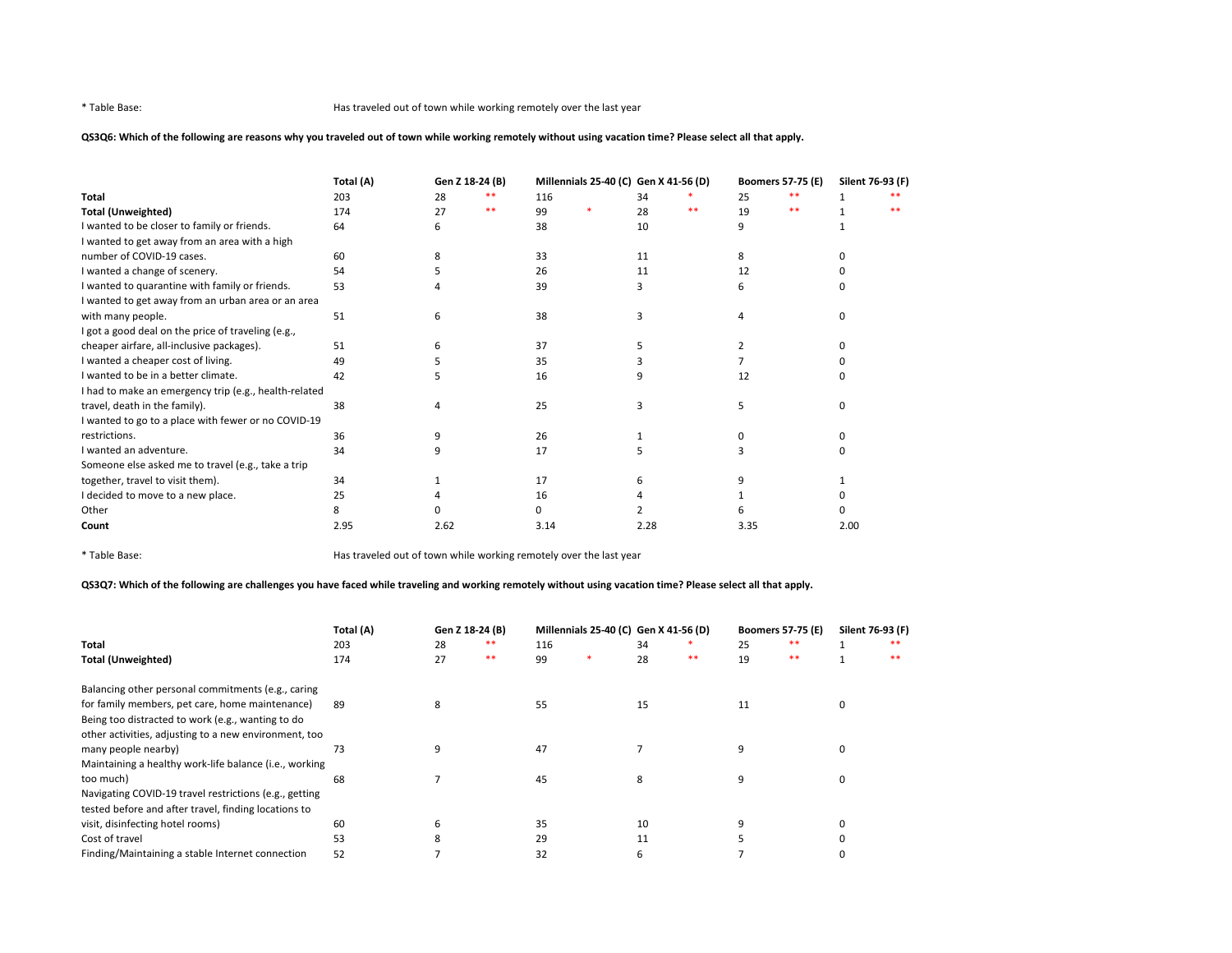# QS3Q6: Which of the following are reasons why you traveled out of town while working remotely without using vacation time? Please select all that apply.

|                                                       | Total (A) | Gen Z 18-24 (B) |    | Millennials 25-40 (C) Gen X 41-56 (D) |  |      |    | <b>Boomers 57-75 (E)</b><br>Silent 76-93 (F) |    |      |    |
|-------------------------------------------------------|-----------|-----------------|----|---------------------------------------|--|------|----|----------------------------------------------|----|------|----|
| <b>Total</b>                                          | 203       | 28              |    | 116                                   |  | 34   |    | 25                                           | ** |      |    |
| <b>Total (Unweighted)</b>                             | 174       | 27              | ** | 99                                    |  | 28   | ** | 19                                           | ** |      | ** |
| I wanted to be closer to family or friends.           | 64        |                 |    | 38                                    |  | 10   |    |                                              |    |      |    |
| I wanted to get away from an area with a high         |           |                 |    |                                       |  |      |    |                                              |    |      |    |
| number of COVID-19 cases.                             | 60        |                 |    | 33                                    |  | 11   |    |                                              |    |      |    |
| I wanted a change of scenery.                         | 54        |                 |    | 26                                    |  | 11   |    | 12                                           |    |      |    |
| I wanted to quarantine with family or friends.        | 53        |                 |    | 39                                    |  |      |    |                                              |    |      |    |
| I wanted to get away from an urban area or an area    |           |                 |    |                                       |  |      |    |                                              |    |      |    |
| with many people.                                     | 51        | 6               |    | 38                                    |  | ς    |    |                                              |    |      |    |
| I got a good deal on the price of traveling (e.g.,    |           |                 |    |                                       |  |      |    |                                              |    |      |    |
| cheaper airfare, all-inclusive packages).             | 51        |                 |    | 37                                    |  |      |    |                                              |    |      |    |
| I wanted a cheaper cost of living.                    | 49        |                 |    | 35                                    |  |      |    |                                              |    |      |    |
| I wanted to be in a better climate.                   | 42        |                 |    | 16                                    |  | 9    |    | 12                                           |    |      |    |
| I had to make an emergency trip (e.g., health-related |           |                 |    |                                       |  |      |    |                                              |    |      |    |
| travel, death in the family).                         | 38        |                 |    | 25                                    |  | ς    |    |                                              |    |      |    |
| I wanted to go to a place with fewer or no COVID-19   |           |                 |    |                                       |  |      |    |                                              |    |      |    |
| restrictions.                                         | 36        |                 |    | 26                                    |  |      |    |                                              |    |      |    |
| I wanted an adventure.                                | 34        |                 |    | 17                                    |  |      |    |                                              |    |      |    |
| Someone else asked me to travel (e.g., take a trip    |           |                 |    |                                       |  |      |    |                                              |    |      |    |
| together, travel to visit them).                      | 34        |                 |    | 17                                    |  |      |    |                                              |    |      |    |
| I decided to move to a new place.                     | 25        |                 |    | 16                                    |  |      |    |                                              |    |      |    |
| Other                                                 |           |                 |    | n.                                    |  |      |    |                                              |    |      |    |
| Count                                                 | 2.95      | 2.62            |    | 3.14                                  |  | 2.28 |    | 3.35                                         |    | 2.00 |    |

\* Table Base: Has traveled out of town while working remotely over the last year

# QS3Q7: Which of the following are challenges you have faced while traveling and working remotely without using vacation time? Please select all that apply.

|                                                        | Total (A)<br>Gen Z 18-24 (B) |    | Millennials 25-40 (C) Gen X 41-56 (D) |     |  |    | <b>Boomers 57-75 (E)</b> | Silent 76-93 (F) |       |          |       |
|--------------------------------------------------------|------------------------------|----|---------------------------------------|-----|--|----|--------------------------|------------------|-------|----------|-------|
| Total                                                  | 203                          | 28 | **                                    | 116 |  | 34 |                          | 25               | $* *$ |          | **    |
| <b>Total (Unweighted)</b>                              | 174                          | 27 | **                                    | 99  |  | 28 | $***$                    | 19               | $**$  |          | $* *$ |
| Balancing other personal commitments (e.g., caring     |                              |    |                                       |     |  |    |                          |                  |       |          |       |
| for family members, pet care, home maintenance)        | 89                           | 8  |                                       | 55  |  | 15 |                          | 11               |       | $\Omega$ |       |
| Being too distracted to work (e.g., wanting to do      |                              |    |                                       |     |  |    |                          |                  |       |          |       |
| other activities, adjusting to a new environment, too  |                              |    |                                       |     |  |    |                          |                  |       |          |       |
| many people nearby)                                    | 73                           |    |                                       | 47  |  |    |                          | 9                |       | 0        |       |
| Maintaining a healthy work-life balance (i.e., working |                              |    |                                       |     |  |    |                          |                  |       |          |       |
| too much)                                              | 68                           |    |                                       | 45  |  | 8  |                          | ٩                |       |          |       |
| Navigating COVID-19 travel restrictions (e.g., getting |                              |    |                                       |     |  |    |                          |                  |       |          |       |
| tested before and after travel, finding locations to   |                              |    |                                       |     |  |    |                          |                  |       |          |       |
| visit, disinfecting hotel rooms)                       | 60                           | ь  |                                       | 35  |  | 10 |                          |                  |       |          |       |
| Cost of travel                                         | 53                           | ៱  |                                       | 29  |  | 11 |                          |                  |       |          |       |
| Finding/Maintaining a stable Internet connection       | 52                           |    |                                       | 32  |  | 6  |                          |                  |       |          |       |